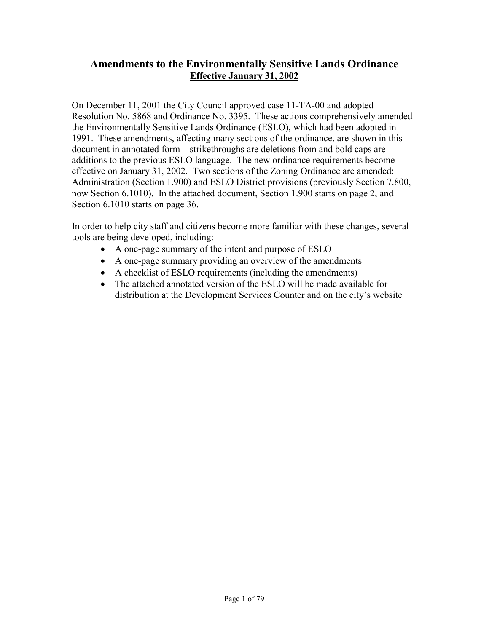# **Amendments to the Environmentally Sensitive Lands Ordinance Effective January 31, 2002**

On December 11, 2001 the City Council approved case 11-TA-00 and adopted Resolution No. 5868 and Ordinance No. 3395. These actions comprehensively amended the Environmentally Sensitive Lands Ordinance (ESLO), which had been adopted in 1991. These amendments, affecting many sections of the ordinance, are shown in this document in annotated form – strikethroughs are deletions from and bold caps are additions to the previous ESLO language. The new ordinance requirements become effective on January 31, 2002. Two sections of the Zoning Ordinance are amended: Administration (Section 1.900) and ESLO District provisions (previously Section 7.800, now Section 6.1010). In the attached document, Section 1.900 starts on page 2, and Section 6.1010 starts on page 36.

In order to help city staff and citizens become more familiar with these changes, several tools are being developed, including:

- A one-page summary of the intent and purpose of ESLO
- A one-page summary providing an overview of the amendments
- A checklist of ESLO requirements (including the amendments)
- The attached annotated version of the ESLO will be made available for distribution at the Development Services Counter and on the city's website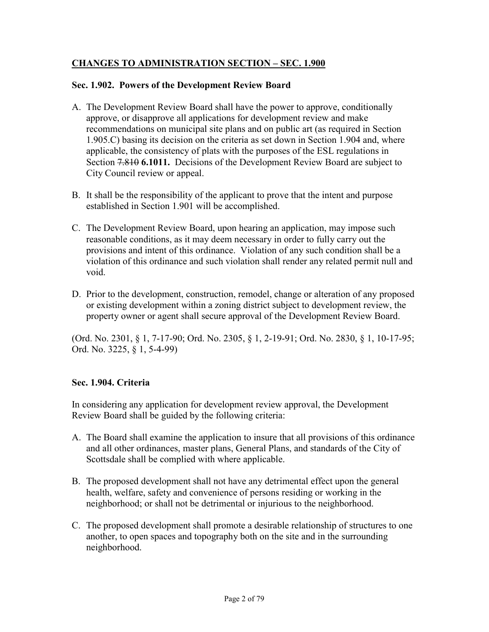# **CHANGES TO ADMINISTRATION SECTION – SEC. 1.900**

#### **Sec. 1.902. Powers of the Development Review Board**

- A. The Development Review Board shall have the power to approve, conditionally approve, or disapprove all applications for development review and make recommendations on municipal site plans and on public art (as required in Section 1.905.C) basing its decision on the criteria as set down in Section 1.904 and, where applicable, the consistency of plats with the purposes of the ESL regulations in Section 7.810 **6.1011.** Decisions of the Development Review Board are subject to City Council review or appeal.
- B. It shall be the responsibility of the applicant to prove that the intent and purpose established in Section 1.901 will be accomplished.
- C. The Development Review Board, upon hearing an application, may impose such reasonable conditions, as it may deem necessary in order to fully carry out the provisions and intent of this ordinance. Violation of any such condition shall be a violation of this ordinance and such violation shall render any related permit null and void.
- D. Prior to the development, construction, remodel, change or alteration of any proposed or existing development within a zoning district subject to development review, the property owner or agent shall secure approval of the Development Review Board.

(Ord. No. 2301, § 1, 7-17-90; Ord. No. 2305, § 1, 2-19-91; Ord. No. 2830, § 1, 10-17-95; Ord. No. 3225, § 1, 5-4-99)

### **Sec. 1.904. Criteria**

In considering any application for development review approval, the Development Review Board shall be guided by the following criteria:

- A. The Board shall examine the application to insure that all provisions of this ordinance and all other ordinances, master plans, General Plans, and standards of the City of Scottsdale shall be complied with where applicable.
- B. The proposed development shall not have any detrimental effect upon the general health, welfare, safety and convenience of persons residing or working in the neighborhood; or shall not be detrimental or injurious to the neighborhood.
- C. The proposed development shall promote a desirable relationship of structures to one another, to open spaces and topography both on the site and in the surrounding neighborhood.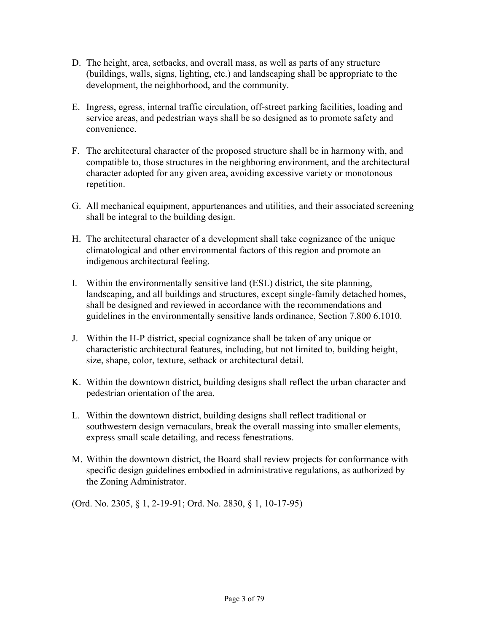- D. The height, area, setbacks, and overall mass, as well as parts of any structure (buildings, walls, signs, lighting, etc.) and landscaping shall be appropriate to the development, the neighborhood, and the community.
- E. Ingress, egress, internal traffic circulation, off-street parking facilities, loading and service areas, and pedestrian ways shall be so designed as to promote safety and convenience.
- F. The architectural character of the proposed structure shall be in harmony with, and compatible to, those structures in the neighboring environment, and the architectural character adopted for any given area, avoiding excessive variety or monotonous repetition.
- G. All mechanical equipment, appurtenances and utilities, and their associated screening shall be integral to the building design.
- H. The architectural character of a development shall take cognizance of the unique climatological and other environmental factors of this region and promote an indigenous architectural feeling.
- I. Within the environmentally sensitive land (ESL) district, the site planning, landscaping, and all buildings and structures, except single-family detached homes, shall be designed and reviewed in accordance with the recommendations and guidelines in the environmentally sensitive lands ordinance, Section 7.800 6.1010.
- J. Within the H-P district, special cognizance shall be taken of any unique or characteristic architectural features, including, but not limited to, building height, size, shape, color, texture, setback or architectural detail.
- K. Within the downtown district, building designs shall reflect the urban character and pedestrian orientation of the area.
- L. Within the downtown district, building designs shall reflect traditional or southwestern design vernaculars, break the overall massing into smaller elements, express small scale detailing, and recess fenestrations.
- M. Within the downtown district, the Board shall review projects for conformance with specific design guidelines embodied in administrative regulations, as authorized by the Zoning Administrator.

(Ord. No. 2305, § 1, 2-19-91; Ord. No. 2830, § 1, 10-17-95)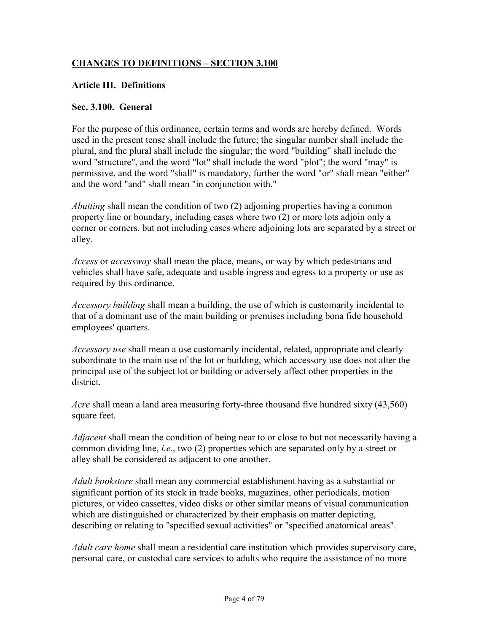# **CHANGES TO DEFINITIONS – SECTION 3.100**

#### **Article III. Definitions**

#### **Sec. 3.100. General**

For the purpose of this ordinance, certain terms and words are hereby defined. Words used in the present tense shall include the future; the singular number shall include the plural, and the plural shall include the singular; the word "building" shall include the word "structure", and the word "lot" shall include the word "plot"; the word "may" is permissive, and the word "shall" is mandatory, further the word "or" shall mean "either" and the word "and" shall mean "in conjunction with."

*Abutting* shall mean the condition of two (2) adjoining properties having a common property line or boundary, including cases where two (2) or more lots adjoin only a corner or corners, but not including cases where adjoining lots are separated by a street or alley.

*Access* or *accessway* shall mean the place, means, or way by which pedestrians and vehicles shall have safe, adequate and usable ingress and egress to a property or use as required by this ordinance.

*Accessory building* shall mean a building, the use of which is customarily incidental to that of a dominant use of the main building or premises including bona fide household employees' quarters.

*Accessory use* shall mean a use customarily incidental, related, appropriate and clearly subordinate to the main use of the lot or building, which accessory use does not alter the principal use of the subject lot or building or adversely affect other properties in the district.

*Acre* shall mean a land area measuring forty-three thousand five hundred sixty (43,560) square feet.

*Adjacent* shall mean the condition of being near to or close to but not necessarily having a common dividing line, *i.e.*, two (2) properties which are separated only by a street or alley shall be considered as adjacent to one another.

*Adult bookstore* shall mean any commercial establishment having as a substantial or significant portion of its stock in trade books, magazines, other periodicals, motion pictures, or video cassettes, video disks or other similar means of visual communication which are distinguished or characterized by their emphasis on matter depicting, describing or relating to "specified sexual activities" or "specified anatomical areas".

*Adult care home* shall mean a residential care institution which provides supervisory care, personal care, or custodial care services to adults who require the assistance of no more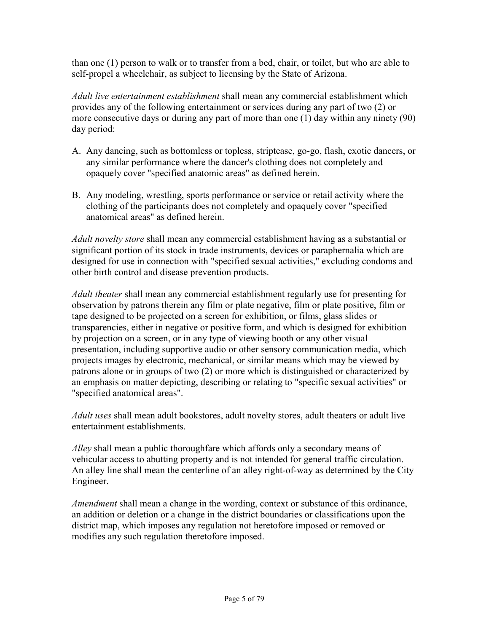than one (1) person to walk or to transfer from a bed, chair, or toilet, but who are able to self-propel a wheelchair, as subject to licensing by the State of Arizona.

*Adult live entertainment establishment* shall mean any commercial establishment which provides any of the following entertainment or services during any part of two (2) or more consecutive days or during any part of more than one (1) day within any ninety (90) day period:

- A. Any dancing, such as bottomless or topless, striptease, go-go, flash, exotic dancers, or any similar performance where the dancer's clothing does not completely and opaquely cover "specified anatomic areas" as defined herein.
- B. Any modeling, wrestling, sports performance or service or retail activity where the clothing of the participants does not completely and opaquely cover "specified anatomical areas" as defined herein.

*Adult novelty store* shall mean any commercial establishment having as a substantial or significant portion of its stock in trade instruments, devices or paraphernalia which are designed for use in connection with "specified sexual activities," excluding condoms and other birth control and disease prevention products.

*Adult theater* shall mean any commercial establishment regularly use for presenting for observation by patrons therein any film or plate negative, film or plate positive, film or tape designed to be projected on a screen for exhibition, or films, glass slides or transparencies, either in negative or positive form, and which is designed for exhibition by projection on a screen, or in any type of viewing booth or any other visual presentation, including supportive audio or other sensory communication media, which projects images by electronic, mechanical, or similar means which may be viewed by patrons alone or in groups of two (2) or more which is distinguished or characterized by an emphasis on matter depicting, describing or relating to "specific sexual activities" or "specified anatomical areas".

*Adult uses* shall mean adult bookstores, adult novelty stores, adult theaters or adult live entertainment establishments.

*Alley* shall mean a public thoroughfare which affords only a secondary means of vehicular access to abutting property and is not intended for general traffic circulation. An alley line shall mean the centerline of an alley right-of-way as determined by the City Engineer.

*Amendment* shall mean a change in the wording, context or substance of this ordinance, an addition or deletion or a change in the district boundaries or classifications upon the district map, which imposes any regulation not heretofore imposed or removed or modifies any such regulation theretofore imposed.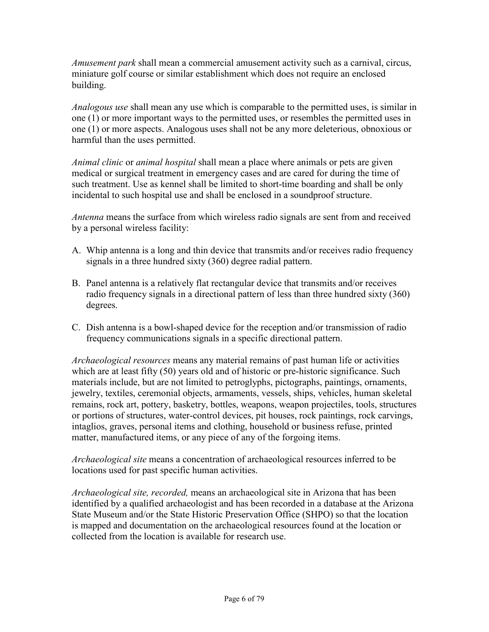*Amusement park* shall mean a commercial amusement activity such as a carnival, circus, miniature golf course or similar establishment which does not require an enclosed building.

*Analogous use* shall mean any use which is comparable to the permitted uses, is similar in one (1) or more important ways to the permitted uses, or resembles the permitted uses in one (1) or more aspects. Analogous uses shall not be any more deleterious, obnoxious or harmful than the uses permitted.

*Animal clinic* or *animal hospital* shall mean a place where animals or pets are given medical or surgical treatment in emergency cases and are cared for during the time of such treatment. Use as kennel shall be limited to short-time boarding and shall be only incidental to such hospital use and shall be enclosed in a soundproof structure.

*Antenna* means the surface from which wireless radio signals are sent from and received by a personal wireless facility:

- A. Whip antenna is a long and thin device that transmits and/or receives radio frequency signals in a three hundred sixty (360) degree radial pattern.
- B. Panel antenna is a relatively flat rectangular device that transmits and/or receives radio frequency signals in a directional pattern of less than three hundred sixty (360) degrees.
- C. Dish antenna is a bowl-shaped device for the reception and/or transmission of radio frequency communications signals in a specific directional pattern.

*Archaeological resources* means any material remains of past human life or activities which are at least fifty (50) years old and of historic or pre-historic significance. Such materials include, but are not limited to petroglyphs, pictographs, paintings, ornaments, jewelry, textiles, ceremonial objects, armaments, vessels, ships, vehicles, human skeletal remains, rock art, pottery, basketry, bottles, weapons, weapon projectiles, tools, structures or portions of structures, water-control devices, pit houses, rock paintings, rock carvings, intaglios, graves, personal items and clothing, household or business refuse, printed matter, manufactured items, or any piece of any of the forgoing items.

*Archaeological site* means a concentration of archaeological resources inferred to be locations used for past specific human activities.

*Archaeological site, recorded,* means an archaeological site in Arizona that has been identified by a qualified archaeologist and has been recorded in a database at the Arizona State Museum and/or the State Historic Preservation Office (SHPO) so that the location is mapped and documentation on the archaeological resources found at the location or collected from the location is available for research use.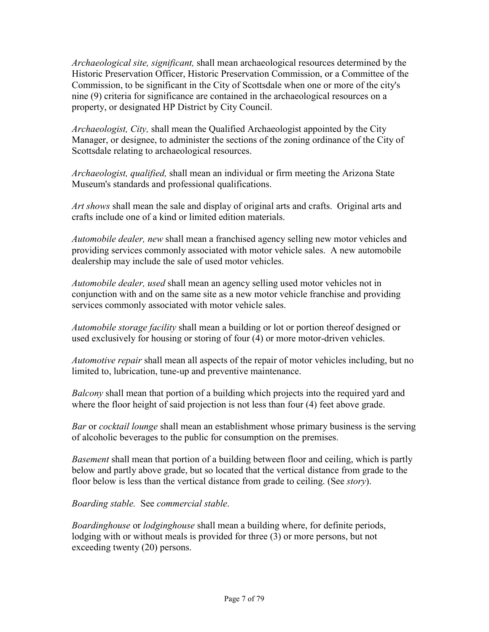*Archaeological site, significant,* shall mean archaeological resources determined by the Historic Preservation Officer, Historic Preservation Commission, or a Committee of the Commission, to be significant in the City of Scottsdale when one or more of the city's nine (9) criteria for significance are contained in the archaeological resources on a property, or designated HP District by City Council.

*Archaeologist, City,* shall mean the Qualified Archaeologist appointed by the City Manager, or designee, to administer the sections of the zoning ordinance of the City of Scottsdale relating to archaeological resources.

*Archaeologist, qualified,* shall mean an individual or firm meeting the Arizona State Museum's standards and professional qualifications.

*Art shows* shall mean the sale and display of original arts and crafts. Original arts and crafts include one of a kind or limited edition materials.

*Automobile dealer, new* shall mean a franchised agency selling new motor vehicles and providing services commonly associated with motor vehicle sales. A new automobile dealership may include the sale of used motor vehicles.

*Automobile dealer, used* shall mean an agency selling used motor vehicles not in conjunction with and on the same site as a new motor vehicle franchise and providing services commonly associated with motor vehicle sales.

*Automobile storage facility* shall mean a building or lot or portion thereof designed or used exclusively for housing or storing of four (4) or more motor-driven vehicles.

*Automotive repair* shall mean all aspects of the repair of motor vehicles including, but no limited to, lubrication, tune-up and preventive maintenance.

*Balcony* shall mean that portion of a building which projects into the required yard and where the floor height of said projection is not less than four (4) feet above grade.

*Bar* or *cocktail lounge* shall mean an establishment whose primary business is the serving of alcoholic beverages to the public for consumption on the premises.

*Basement* shall mean that portion of a building between floor and ceiling, which is partly below and partly above grade, but so located that the vertical distance from grade to the floor below is less than the vertical distance from grade to ceiling. (See *story*).

*Boarding stable.* See *commercial stable*.

*Boardinghouse* or *lodginghouse* shall mean a building where, for definite periods, lodging with or without meals is provided for three (3) or more persons, but not exceeding twenty (20) persons.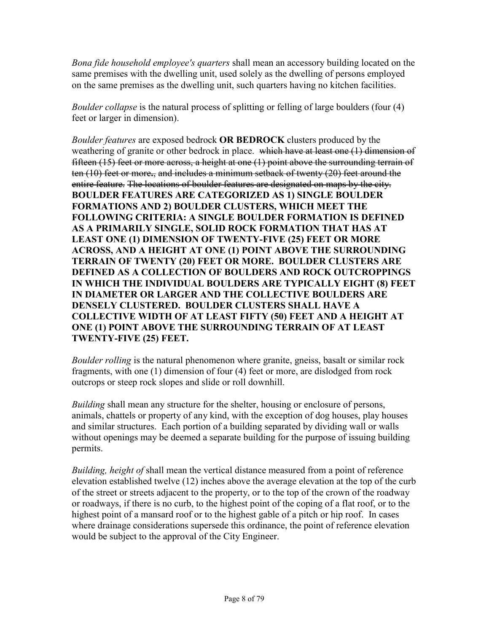*Bona fide household employee's quarters* shall mean an accessory building located on the same premises with the dwelling unit, used solely as the dwelling of persons employed on the same premises as the dwelling unit, such quarters having no kitchen facilities.

*Boulder collapse* is the natural process of splitting or felling of large boulders (four (4) feet or larger in dimension).

*Boulder features* are exposed bedrock **OR BEDROCK** clusters produced by the weathering of granite or other bedrock in place. which have at least one (1) dimension of fifteen (15) feet or more across, a height at one (1) point above the surrounding terrain of ten (10) feet or more**.**, and includes a minimum setback of twenty (20) feet around the entire feature. The locations of boulder features are designated on maps by the city. **BOULDER FEATURES ARE CATEGORIZED AS 1) SINGLE BOULDER FORMATIONS AND 2) BOULDER CLUSTERS, WHICH MEET THE FOLLOWING CRITERIA: A SINGLE BOULDER FORMATION IS DEFINED AS A PRIMARILY SINGLE, SOLID ROCK FORMATION THAT HAS AT LEAST ONE (1) DIMENSION OF TWENTY-FIVE (25) FEET OR MORE ACROSS, AND A HEIGHT AT ONE (1) POINT ABOVE THE SURROUNDING TERRAIN OF TWENTY (20) FEET OR MORE. BOULDER CLUSTERS ARE DEFINED AS A COLLECTION OF BOULDERS AND ROCK OUTCROPPINGS IN WHICH THE INDIVIDUAL BOULDERS ARE TYPICALLY EIGHT (8) FEET IN DIAMETER OR LARGER AND THE COLLECTIVE BOULDERS ARE DENSELY CLUSTERED. BOULDER CLUSTERS SHALL HAVE A COLLECTIVE WIDTH OF AT LEAST FIFTY (50) FEET AND A HEIGHT AT ONE (1) POINT ABOVE THE SURROUNDING TERRAIN OF AT LEAST TWENTY-FIVE (25) FEET.** 

*Boulder rolling* is the natural phenomenon where granite, gneiss, basalt or similar rock fragments, with one (1) dimension of four (4) feet or more, are dislodged from rock outcrops or steep rock slopes and slide or roll downhill.

*Building* shall mean any structure for the shelter, housing or enclosure of persons, animals, chattels or property of any kind, with the exception of dog houses, play houses and similar structures. Each portion of a building separated by dividing wall or walls without openings may be deemed a separate building for the purpose of issuing building permits.

*Building, height of* shall mean the vertical distance measured from a point of reference elevation established twelve (12) inches above the average elevation at the top of the curb of the street or streets adjacent to the property, or to the top of the crown of the roadway or roadways, if there is no curb, to the highest point of the coping of a flat roof, or to the highest point of a mansard roof or to the highest gable of a pitch or hip roof. In cases where drainage considerations supersede this ordinance, the point of reference elevation would be subject to the approval of the City Engineer.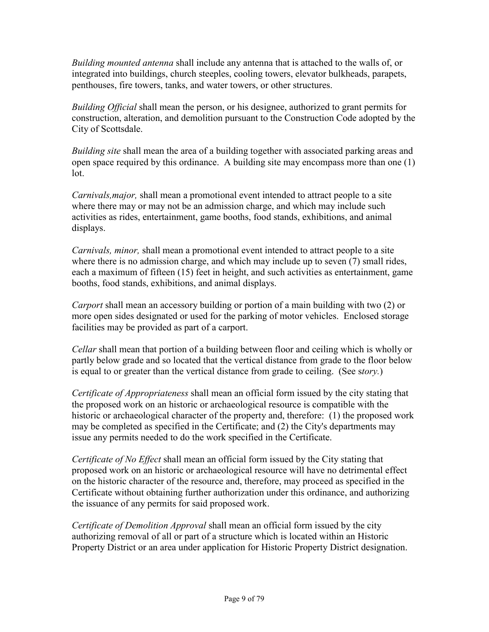*Building mounted antenna* shall include any antenna that is attached to the walls of, or integrated into buildings, church steeples, cooling towers, elevator bulkheads, parapets, penthouses, fire towers, tanks, and water towers, or other structures.

*Building Official* shall mean the person, or his designee, authorized to grant permits for construction, alteration, and demolition pursuant to the Construction Code adopted by the City of Scottsdale.

*Building site* shall mean the area of a building together with associated parking areas and open space required by this ordinance. A building site may encompass more than one (1) lot.

*Carnivals,major,* shall mean a promotional event intended to attract people to a site where there may or may not be an admission charge, and which may include such activities as rides, entertainment, game booths, food stands, exhibitions, and animal displays.

*Carnivals, minor,* shall mean a promotional event intended to attract people to a site where there is no admission charge, and which may include up to seven (7) small rides, each a maximum of fifteen (15) feet in height, and such activities as entertainment, game booths, food stands, exhibitions, and animal displays.

*Carport* shall mean an accessory building or portion of a main building with two (2) or more open sides designated or used for the parking of motor vehicles. Enclosed storage facilities may be provided as part of a carport.

*Cellar* shall mean that portion of a building between floor and ceiling which is wholly or partly below grade and so located that the vertical distance from grade to the floor below is equal to or greater than the vertical distance from grade to ceiling. (See s*tory.*)

*Certificate of Appropriateness* shall mean an official form issued by the city stating that the proposed work on an historic or archaeological resource is compatible with the historic or archaeological character of the property and, therefore: (1) the proposed work may be completed as specified in the Certificate; and (2) the City's departments may issue any permits needed to do the work specified in the Certificate.

*Certificate of No Effect* shall mean an official form issued by the City stating that proposed work on an historic or archaeological resource will have no detrimental effect on the historic character of the resource and, therefore, may proceed as specified in the Certificate without obtaining further authorization under this ordinance, and authorizing the issuance of any permits for said proposed work.

*Certificate of Demolition Approval* shall mean an official form issued by the city authorizing removal of all or part of a structure which is located within an Historic Property District or an area under application for Historic Property District designation.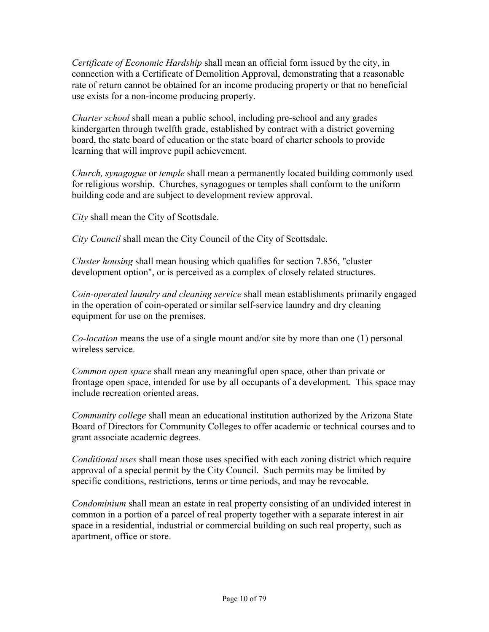*Certificate of Economic Hardship* shall mean an official form issued by the city, in connection with a Certificate of Demolition Approval, demonstrating that a reasonable rate of return cannot be obtained for an income producing property or that no beneficial use exists for a non-income producing property.

*Charter school* shall mean a public school, including pre-school and any grades kindergarten through twelfth grade, established by contract with a district governing board, the state board of education or the state board of charter schools to provide learning that will improve pupil achievement.

*Church, synagogue* or *temple* shall mean a permanently located building commonly used for religious worship. Churches, synagogues or temples shall conform to the uniform building code and are subject to development review approval.

*City* shall mean the City of Scottsdale.

*City Council* shall mean the City Council of the City of Scottsdale.

*Cluster housing* shall mean housing which qualifies for section 7.856, "cluster development option", or is perceived as a complex of closely related structures.

*Coin-operated laundry and cleaning service* shall mean establishments primarily engaged in the operation of coin-operated or similar self-service laundry and dry cleaning equipment for use on the premises.

*Co-location* means the use of a single mount and/or site by more than one (1) personal wireless service.

*Common open space* shall mean any meaningful open space, other than private or frontage open space, intended for use by all occupants of a development. This space may include recreation oriented areas.

*Community college* shall mean an educational institution authorized by the Arizona State Board of Directors for Community Colleges to offer academic or technical courses and to grant associate academic degrees.

*Conditional uses* shall mean those uses specified with each zoning district which require approval of a special permit by the City Council. Such permits may be limited by specific conditions, restrictions, terms or time periods, and may be revocable.

*Condominium* shall mean an estate in real property consisting of an undivided interest in common in a portion of a parcel of real property together with a separate interest in air space in a residential, industrial or commercial building on such real property, such as apartment, office or store.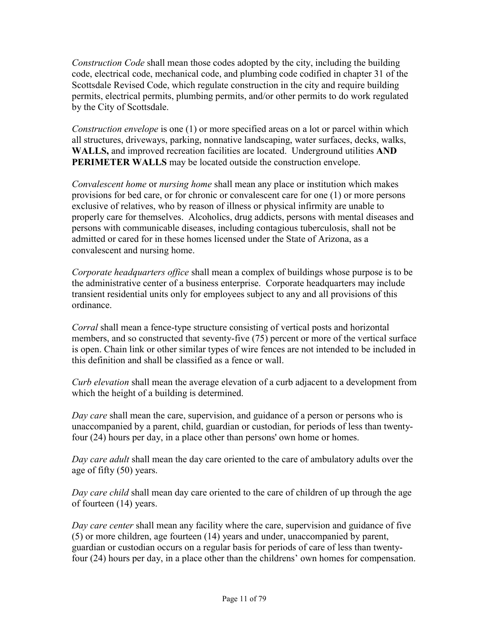*Construction Code* shall mean those codes adopted by the city, including the building code, electrical code, mechanical code, and plumbing code codified in chapter 31 of the Scottsdale Revised Code, which regulate construction in the city and require building permits, electrical permits, plumbing permits, and/or other permits to do work regulated by the City of Scottsdale.

*Construction envelope* is one (1) or more specified areas on a lot or parcel within which all structures, driveways, parking, nonnative landscaping, water surfaces, decks, walks, **WALLS,** and improved recreation facilities are located. Underground utilities **AND PERIMETER WALLS** may be located outside the construction envelope.

*Convalescent home* or *nursing home* shall mean any place or institution which makes provisions for bed care, or for chronic or convalescent care for one (1) or more persons exclusive of relatives, who by reason of illness or physical infirmity are unable to properly care for themselves. Alcoholics, drug addicts, persons with mental diseases and persons with communicable diseases, including contagious tuberculosis, shall not be admitted or cared for in these homes licensed under the State of Arizona, as a convalescent and nursing home.

*Corporate headquarters office* shall mean a complex of buildings whose purpose is to be the administrative center of a business enterprise. Corporate headquarters may include transient residential units only for employees subject to any and all provisions of this ordinance.

*Corral* shall mean a fence-type structure consisting of vertical posts and horizontal members, and so constructed that seventy-five (75) percent or more of the vertical surface is open. Chain link or other similar types of wire fences are not intended to be included in this definition and shall be classified as a fence or wall.

*Curb elevation* shall mean the average elevation of a curb adjacent to a development from which the height of a building is determined.

*Day care* shall mean the care, supervision, and guidance of a person or persons who is unaccompanied by a parent, child, guardian or custodian, for periods of less than twentyfour (24) hours per day, in a place other than persons' own home or homes.

*Day care adult* shall mean the day care oriented to the care of ambulatory adults over the age of fifty (50) years.

*Day care child* shall mean day care oriented to the care of children of up through the age of fourteen (14) years.

*Day care center* shall mean any facility where the care, supervision and guidance of five (5) or more children, age fourteen (14) years and under, unaccompanied by parent, guardian or custodian occurs on a regular basis for periods of care of less than twentyfour (24) hours per day, in a place other than the childrens' own homes for compensation.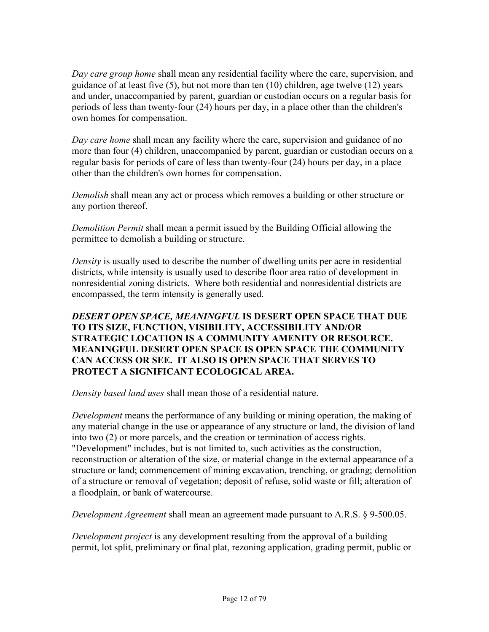*Day care group home* shall mean any residential facility where the care, supervision, and guidance of at least five (5), but not more than ten (10) children, age twelve (12) years and under, unaccompanied by parent, guardian or custodian occurs on a regular basis for periods of less than twenty-four (24) hours per day, in a place other than the children's own homes for compensation.

*Day care home* shall mean any facility where the care, supervision and guidance of no more than four (4) children, unaccompanied by parent, guardian or custodian occurs on a regular basis for periods of care of less than twenty-four (24) hours per day, in a place other than the children's own homes for compensation.

*Demolish* shall mean any act or process which removes a building or other structure or any portion thereof.

*Demolition Permit* shall mean a permit issued by the Building Official allowing the permittee to demolish a building or structure.

*Density* is usually used to describe the number of dwelling units per acre in residential districts, while intensity is usually used to describe floor area ratio of development in nonresidential zoning districts. Where both residential and nonresidential districts are encompassed, the term intensity is generally used.

### *DESERT OPEN SPACE, MEANINGFUL* **IS DESERT OPEN SPACE THAT DUE TO ITS SIZE, FUNCTION, VISIBILITY, ACCESSIBILITY AND/OR STRATEGIC LOCATION IS A COMMUNITY AMENITY OR RESOURCE. MEANINGFUL DESERT OPEN SPACE IS OPEN SPACE THE COMMUNITY CAN ACCESS OR SEE. IT ALSO IS OPEN SPACE THAT SERVES TO PROTECT A SIGNIFICANT ECOLOGICAL AREA.**

*Density based land uses* shall mean those of a residential nature.

*Development* means the performance of any building or mining operation, the making of any material change in the use or appearance of any structure or land, the division of land into two (2) or more parcels, and the creation or termination of access rights. "Development" includes, but is not limited to, such activities as the construction, reconstruction or alteration of the size, or material change in the external appearance of a structure or land; commencement of mining excavation, trenching, or grading; demolition of a structure or removal of vegetation; deposit of refuse, solid waste or fill; alteration of a floodplain, or bank of watercourse.

*Development Agreement* shall mean an agreement made pursuant to A.R.S. § 9-500.05.

*Development project* is any development resulting from the approval of a building permit, lot split, preliminary or final plat, rezoning application, grading permit, public or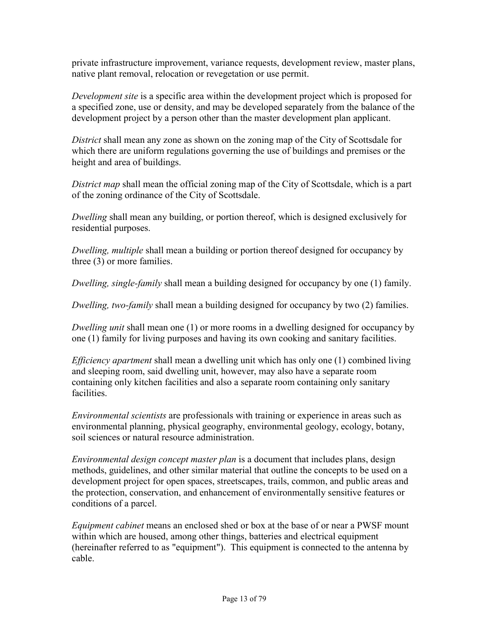private infrastructure improvement, variance requests, development review, master plans, native plant removal, relocation or revegetation or use permit.

*Development site* is a specific area within the development project which is proposed for a specified zone, use or density, and may be developed separately from the balance of the development project by a person other than the master development plan applicant.

*District* shall mean any zone as shown on the zoning map of the City of Scottsdale for which there are uniform regulations governing the use of buildings and premises or the height and area of buildings.

*District map* shall mean the official zoning map of the City of Scottsdale, which is a part of the zoning ordinance of the City of Scottsdale.

*Dwelling* shall mean any building, or portion thereof, which is designed exclusively for residential purposes.

*Dwelling, multiple* shall mean a building or portion thereof designed for occupancy by three (3) or more families.

*Dwelling, single-family* shall mean a building designed for occupancy by one (1) family.

*Dwelling, two-family* shall mean a building designed for occupancy by two (2) families.

*Dwelling unit* shall mean one (1) or more rooms in a dwelling designed for occupancy by one (1) family for living purposes and having its own cooking and sanitary facilities.

*Efficiency apartment* shall mean a dwelling unit which has only one (1) combined living and sleeping room, said dwelling unit, however, may also have a separate room containing only kitchen facilities and also a separate room containing only sanitary facilities.

*Environmental scientists* are professionals with training or experience in areas such as environmental planning, physical geography, environmental geology, ecology, botany, soil sciences or natural resource administration.

*Environmental design concept master plan* is a document that includes plans, design methods, guidelines, and other similar material that outline the concepts to be used on a development project for open spaces, streetscapes, trails, common, and public areas and the protection, conservation, and enhancement of environmentally sensitive features or conditions of a parcel.

*Equipment cabinet* means an enclosed shed or box at the base of or near a PWSF mount within which are housed, among other things, batteries and electrical equipment (hereinafter referred to as "equipment"). This equipment is connected to the antenna by cable.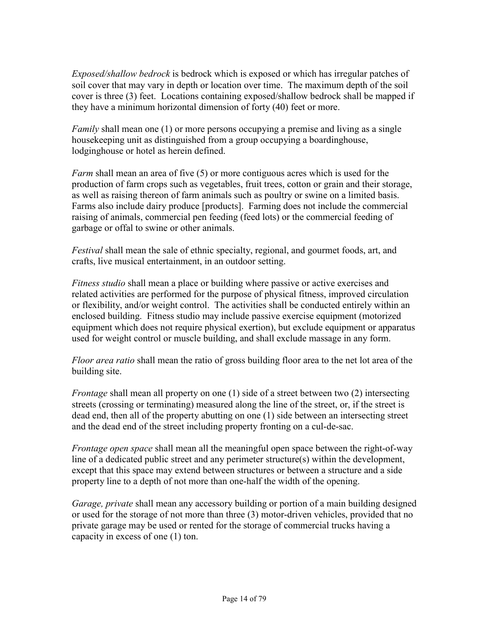*Exposed/shallow bedrock* is bedrock which is exposed or which has irregular patches of soil cover that may vary in depth or location over time. The maximum depth of the soil cover is three (3) feet. Locations containing exposed/shallow bedrock shall be mapped if they have a minimum horizontal dimension of forty (40) feet or more.

*Family* shall mean one (1) or more persons occupying a premise and living as a single housekeeping unit as distinguished from a group occupying a boardinghouse, lodginghouse or hotel as herein defined.

*Farm* shall mean an area of five (5) or more contiguous acres which is used for the production of farm crops such as vegetables, fruit trees, cotton or grain and their storage, as well as raising thereon of farm animals such as poultry or swine on a limited basis. Farms also include dairy produce [products]. Farming does not include the commercial raising of animals, commercial pen feeding (feed lots) or the commercial feeding of garbage or offal to swine or other animals.

*Festival* shall mean the sale of ethnic specialty, regional, and gourmet foods, art, and crafts, live musical entertainment, in an outdoor setting.

*Fitness studio* shall mean a place or building where passive or active exercises and related activities are performed for the purpose of physical fitness, improved circulation or flexibility, and/or weight control. The activities shall be conducted entirely within an enclosed building. Fitness studio may include passive exercise equipment (motorized equipment which does not require physical exertion), but exclude equipment or apparatus used for weight control or muscle building, and shall exclude massage in any form.

*Floor area ratio* shall mean the ratio of gross building floor area to the net lot area of the building site.

*Frontage* shall mean all property on one (1) side of a street between two (2) intersecting streets (crossing or terminating) measured along the line of the street, or, if the street is dead end, then all of the property abutting on one (1) side between an intersecting street and the dead end of the street including property fronting on a cul-de-sac.

*Frontage open space* shall mean all the meaningful open space between the right-of-way line of a dedicated public street and any perimeter structure(s) within the development, except that this space may extend between structures or between a structure and a side property line to a depth of not more than one-half the width of the opening.

*Garage, private* shall mean any accessory building or portion of a main building designed or used for the storage of not more than three (3) motor-driven vehicles, provided that no private garage may be used or rented for the storage of commercial trucks having a capacity in excess of one (1) ton.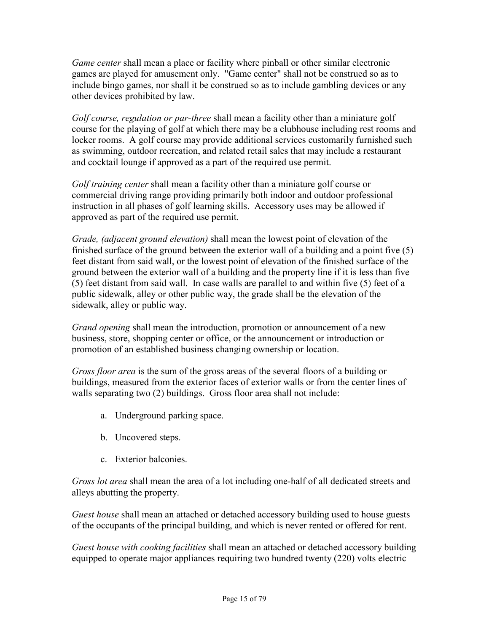*Game center* shall mean a place or facility where pinball or other similar electronic games are played for amusement only. "Game center" shall not be construed so as to include bingo games, nor shall it be construed so as to include gambling devices or any other devices prohibited by law.

*Golf course, regulation or par-three* shall mean a facility other than a miniature golf course for the playing of golf at which there may be a clubhouse including rest rooms and locker rooms. A golf course may provide additional services customarily furnished such as swimming, outdoor recreation, and related retail sales that may include a restaurant and cocktail lounge if approved as a part of the required use permit.

*Golf training center* shall mean a facility other than a miniature golf course or commercial driving range providing primarily both indoor and outdoor professional instruction in all phases of golf learning skills. Accessory uses may be allowed if approved as part of the required use permit.

*Grade, (adjacent ground elevation)* shall mean the lowest point of elevation of the finished surface of the ground between the exterior wall of a building and a point five (5) feet distant from said wall, or the lowest point of elevation of the finished surface of the ground between the exterior wall of a building and the property line if it is less than five (5) feet distant from said wall. In case walls are parallel to and within five (5) feet of a public sidewalk, alley or other public way, the grade shall be the elevation of the sidewalk, alley or public way.

*Grand opening* shall mean the introduction, promotion or announcement of a new business, store, shopping center or office, or the announcement or introduction or promotion of an established business changing ownership or location.

*Gross floor area* is the sum of the gross areas of the several floors of a building or buildings, measured from the exterior faces of exterior walls or from the center lines of walls separating two (2) buildings. Gross floor area shall not include:

- a. Underground parking space.
- b. Uncovered steps.
- c. Exterior balconies.

*Gross lot area* shall mean the area of a lot including one-half of all dedicated streets and alleys abutting the property.

*Guest house* shall mean an attached or detached accessory building used to house guests of the occupants of the principal building, and which is never rented or offered for rent.

*Guest house with cooking facilities* shall mean an attached or detached accessory building equipped to operate major appliances requiring two hundred twenty (220) volts electric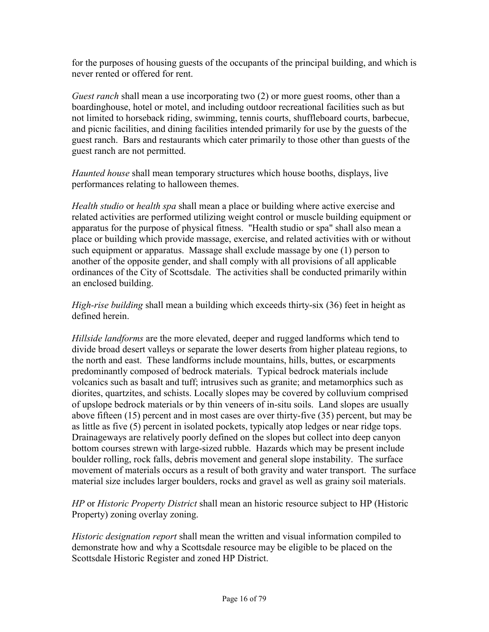for the purposes of housing guests of the occupants of the principal building, and which is never rented or offered for rent.

*Guest ranch* shall mean a use incorporating two (2) or more guest rooms, other than a boardinghouse, hotel or motel, and including outdoor recreational facilities such as but not limited to horseback riding, swimming, tennis courts, shuffleboard courts, barbecue, and picnic facilities, and dining facilities intended primarily for use by the guests of the guest ranch. Bars and restaurants which cater primarily to those other than guests of the guest ranch are not permitted.

*Haunted house* shall mean temporary structures which house booths, displays, live performances relating to halloween themes.

*Health studio* or *health spa* shall mean a place or building where active exercise and related activities are performed utilizing weight control or muscle building equipment or apparatus for the purpose of physical fitness. "Health studio or spa" shall also mean a place or building which provide massage, exercise, and related activities with or without such equipment or apparatus. Massage shall exclude massage by one (1) person to another of the opposite gender, and shall comply with all provisions of all applicable ordinances of the City of Scottsdale. The activities shall be conducted primarily within an enclosed building.

*High-rise building* shall mean a building which exceeds thirty-six (36) feet in height as defined herein.

*Hillside landforms* are the more elevated, deeper and rugged landforms which tend to divide broad desert valleys or separate the lower deserts from higher plateau regions, to the north and east. These landforms include mountains, hills, buttes, or escarpments predominantly composed of bedrock materials. Typical bedrock materials include volcanics such as basalt and tuff; intrusives such as granite; and metamorphics such as diorites, quartzites, and schists. Locally slopes may be covered by colluvium comprised of upslope bedrock materials or by thin veneers of in-situ soils. Land slopes are usually above fifteen (15) percent and in most cases are over thirty-five (35) percent, but may be as little as five (5) percent in isolated pockets, typically atop ledges or near ridge tops. Drainageways are relatively poorly defined on the slopes but collect into deep canyon bottom courses strewn with large-sized rubble. Hazards which may be present include boulder rolling, rock falls, debris movement and general slope instability. The surface movement of materials occurs as a result of both gravity and water transport. The surface material size includes larger boulders, rocks and gravel as well as grainy soil materials.

*HP* or *Historic Property District* shall mean an historic resource subject to HP (Historic Property) zoning overlay zoning.

*Historic designation report* shall mean the written and visual information compiled to demonstrate how and why a Scottsdale resource may be eligible to be placed on the Scottsdale Historic Register and zoned HP District.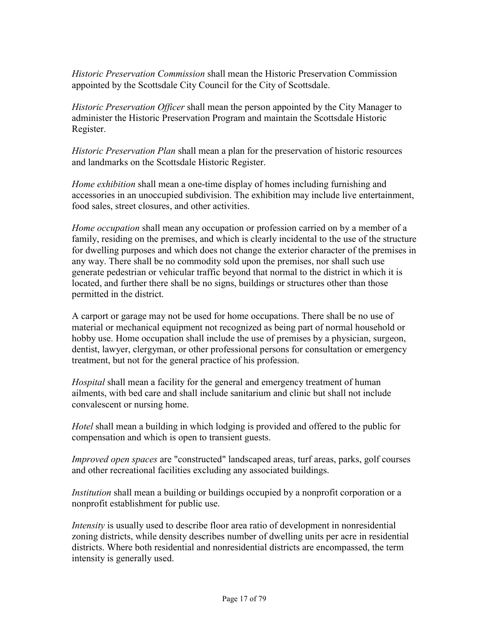*Historic Preservation Commission* shall mean the Historic Preservation Commission appointed by the Scottsdale City Council for the City of Scottsdale.

*Historic Preservation Officer* shall mean the person appointed by the City Manager to administer the Historic Preservation Program and maintain the Scottsdale Historic Register.

*Historic Preservation Plan* shall mean a plan for the preservation of historic resources and landmarks on the Scottsdale Historic Register.

*Home exhibition* shall mean a one-time display of homes including furnishing and accessories in an unoccupied subdivision. The exhibition may include live entertainment, food sales, street closures, and other activities.

*Home occupation* shall mean any occupation or profession carried on by a member of a family, residing on the premises, and which is clearly incidental to the use of the structure for dwelling purposes and which does not change the exterior character of the premises in any way. There shall be no commodity sold upon the premises, nor shall such use generate pedestrian or vehicular traffic beyond that normal to the district in which it is located, and further there shall be no signs, buildings or structures other than those permitted in the district.

A carport or garage may not be used for home occupations. There shall be no use of material or mechanical equipment not recognized as being part of normal household or hobby use. Home occupation shall include the use of premises by a physician, surgeon, dentist, lawyer, clergyman, or other professional persons for consultation or emergency treatment, but not for the general practice of his profession.

*Hospital* shall mean a facility for the general and emergency treatment of human ailments, with bed care and shall include sanitarium and clinic but shall not include convalescent or nursing home.

*Hotel* shall mean a building in which lodging is provided and offered to the public for compensation and which is open to transient guests.

*Improved open spaces* are "constructed" landscaped areas, turf areas, parks, golf courses and other recreational facilities excluding any associated buildings.

*Institution* shall mean a building or buildings occupied by a nonprofit corporation or a nonprofit establishment for public use.

*Intensity* is usually used to describe floor area ratio of development in nonresidential zoning districts, while density describes number of dwelling units per acre in residential districts. Where both residential and nonresidential districts are encompassed, the term intensity is generally used.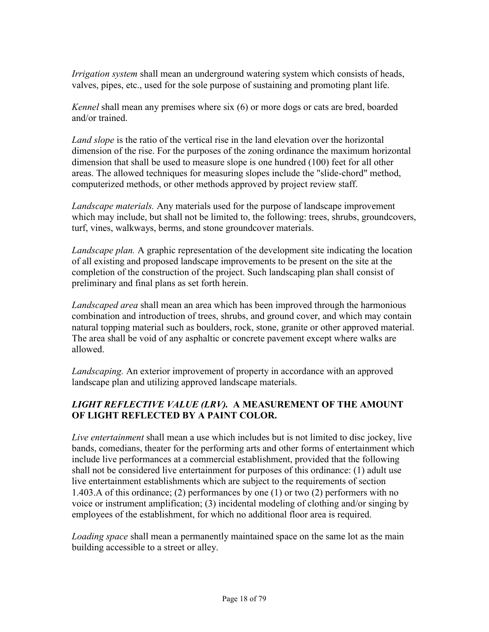*Irrigation system* shall mean an underground watering system which consists of heads, valves, pipes, etc., used for the sole purpose of sustaining and promoting plant life.

*Kennel* shall mean any premises where six (6) or more dogs or cats are bred, boarded and/or trained.

*Land slope* is the ratio of the vertical rise in the land elevation over the horizontal dimension of the rise. For the purposes of the zoning ordinance the maximum horizontal dimension that shall be used to measure slope is one hundred (100) feet for all other areas. The allowed techniques for measuring slopes include the "slide-chord" method, computerized methods, or other methods approved by project review staff.

*Landscape materials.* Any materials used for the purpose of landscape improvement which may include, but shall not be limited to, the following: trees, shrubs, groundcovers, turf, vines, walkways, berms, and stone groundcover materials.

*Landscape plan.* A graphic representation of the development site indicating the location of all existing and proposed landscape improvements to be present on the site at the completion of the construction of the project. Such landscaping plan shall consist of preliminary and final plans as set forth herein.

*Landscaped area* shall mean an area which has been improved through the harmonious combination and introduction of trees, shrubs, and ground cover, and which may contain natural topping material such as boulders, rock, stone, granite or other approved material. The area shall be void of any asphaltic or concrete pavement except where walks are allowed.

*Landscaping.* An exterior improvement of property in accordance with an approved landscape plan and utilizing approved landscape materials.

# *LIGHT REFLECTIVE VALUE (LRV).* **A MEASUREMENT OF THE AMOUNT OF LIGHT REFLECTED BY A PAINT COLOR.**

*Live entertainment* shall mean a use which includes but is not limited to disc jockey, live bands, comedians, theater for the performing arts and other forms of entertainment which include live performances at a commercial establishment, provided that the following shall not be considered live entertainment for purposes of this ordinance: (1) adult use live entertainment establishments which are subject to the requirements of section 1.403.A of this ordinance; (2) performances by one (1) or two (2) performers with no voice or instrument amplification; (3) incidental modeling of clothing and/or singing by employees of the establishment, for which no additional floor area is required.

*Loading space* shall mean a permanently maintained space on the same lot as the main building accessible to a street or alley.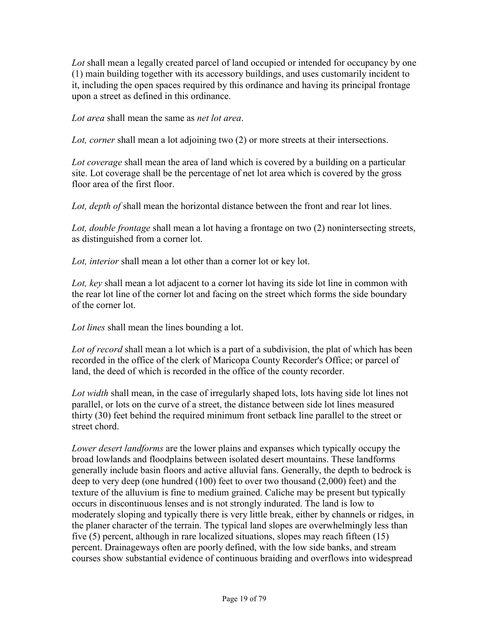*Lot* shall mean a legally created parcel of land occupied or intended for occupancy by one (1) main building together with its accessory buildings, and uses customarily incident to it, including the open spaces required by this ordinance and having its principal frontage upon a street as defined in this ordinance.

*Lot area* shall mean the same as *net lot area*.

*Lot, corner* shall mean a lot adjoining two (2) or more streets at their intersections.

*Lot coverage* shall mean the area of land which is covered by a building on a particular site. Lot coverage shall be the percentage of net lot area which is covered by the gross floor area of the first floor.

*Lot, depth of shall mean the horizontal distance between the front and rear lot lines.* 

*Lot, double frontage* shall mean a lot having a frontage on two (2) nonintersecting streets, as distinguished from a corner lot.

*Lot, interior* shall mean a lot other than a corner lot or key lot.

*Lot, key* shall mean a lot adjacent to a corner lot having its side lot line in common with the rear lot line of the corner lot and facing on the street which forms the side boundary of the corner lot.

*Lot lines* shall mean the lines bounding a lot.

*Lot of record* shall mean a lot which is a part of a subdivision, the plat of which has been recorded in the office of the clerk of Maricopa County Recorder's Office; or parcel of land, the deed of which is recorded in the office of the county recorder.

*Lot width* shall mean, in the case of irregularly shaped lots, lots having side lot lines not parallel, or lots on the curve of a street, the distance between side lot lines measured thirty (30) feet behind the required minimum front setback line parallel to the street or street chord.

*Lower desert landforms* are the lower plains and expanses which typically occupy the broad lowlands and floodplains between isolated desert mountains. These landforms generally include basin floors and active alluvial fans. Generally, the depth to bedrock is deep to very deep (one hundred (100) feet to over two thousand (2,000) feet) and the texture of the alluvium is fine to medium grained. Caliche may be present but typically occurs in discontinuous lenses and is not strongly indurated. The land is low to moderately sloping and typically there is very little break, either by channels or ridges, in the planer character of the terrain. The typical land slopes are overwhelmingly less than five (5) percent, although in rare localized situations, slopes may reach fifteen (15) percent. Drainageways often are poorly defined, with the low side banks, and stream courses show substantial evidence of continuous braiding and overflows into widespread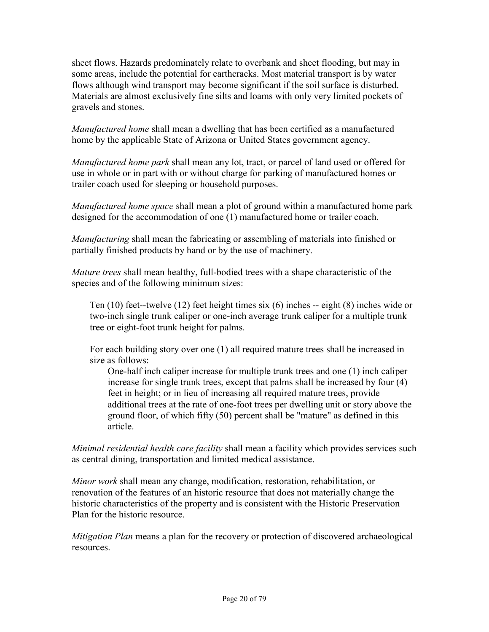sheet flows. Hazards predominately relate to overbank and sheet flooding, but may in some areas, include the potential for earthcracks. Most material transport is by water flows although wind transport may become significant if the soil surface is disturbed. Materials are almost exclusively fine silts and loams with only very limited pockets of gravels and stones.

*Manufactured home* shall mean a dwelling that has been certified as a manufactured home by the applicable State of Arizona or United States government agency.

*Manufactured home park* shall mean any lot, tract, or parcel of land used or offered for use in whole or in part with or without charge for parking of manufactured homes or trailer coach used for sleeping or household purposes.

*Manufactured home space* shall mean a plot of ground within a manufactured home park designed for the accommodation of one (1) manufactured home or trailer coach.

*Manufacturing* shall mean the fabricating or assembling of materials into finished or partially finished products by hand or by the use of machinery.

*Mature trees* shall mean healthy, full-bodied trees with a shape characteristic of the species and of the following minimum sizes:

 Ten (10) feet--twelve (12) feet height times six (6) inches -- eight (8) inches wide or two-inch single trunk caliper or one-inch average trunk caliper for a multiple trunk tree or eight-foot trunk height for palms.

 For each building story over one (1) all required mature trees shall be increased in size as follows:

 One-half inch caliper increase for multiple trunk trees and one (1) inch caliper increase for single trunk trees, except that palms shall be increased by four (4) feet in height; or in lieu of increasing all required mature trees, provide additional trees at the rate of one-foot trees per dwelling unit or story above the ground floor, of which fifty (50) percent shall be "mature" as defined in this article.

*Minimal residential health care facility* shall mean a facility which provides services such as central dining, transportation and limited medical assistance.

*Minor work* shall mean any change, modification, restoration, rehabilitation, or renovation of the features of an historic resource that does not materially change the historic characteristics of the property and is consistent with the Historic Preservation Plan for the historic resource.

*Mitigation Plan* means a plan for the recovery or protection of discovered archaeological resources.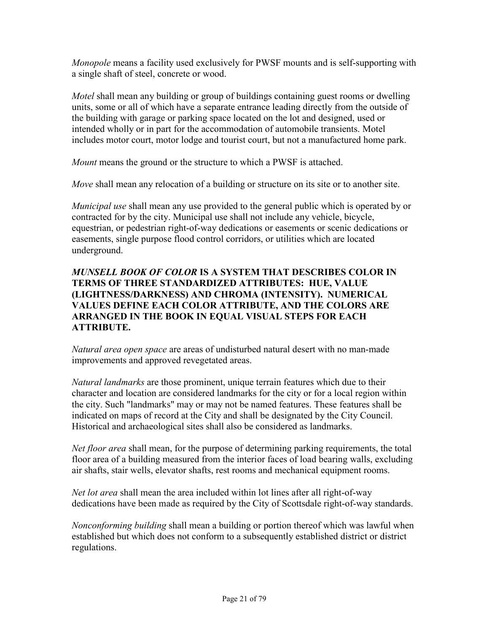*Monopole* means a facility used exclusively for PWSF mounts and is self-supporting with a single shaft of steel, concrete or wood.

*Motel* shall mean any building or group of buildings containing guest rooms or dwelling units, some or all of which have a separate entrance leading directly from the outside of the building with garage or parking space located on the lot and designed, used or intended wholly or in part for the accommodation of automobile transients. Motel includes motor court, motor lodge and tourist court, but not a manufactured home park.

*Mount* means the ground or the structure to which a PWSF is attached.

*Move* shall mean any relocation of a building or structure on its site or to another site.

*Municipal use* shall mean any use provided to the general public which is operated by or contracted for by the city. Municipal use shall not include any vehicle, bicycle, equestrian, or pedestrian right-of-way dedications or easements or scenic dedications or easements, single purpose flood control corridors, or utilities which are located underground.

### *MUNSELL BOOK OF COLOR* **IS A SYSTEM THAT DESCRIBES COLOR IN TERMS OF THREE STANDARDIZED ATTRIBUTES: HUE, VALUE (LIGHTNESS/DARKNESS) AND CHROMA (INTENSITY). NUMERICAL VALUES DEFINE EACH COLOR ATTRIBUTE, AND THE COLORS ARE ARRANGED IN THE BOOK IN EQUAL VISUAL STEPS FOR EACH ATTRIBUTE.**

*Natural area open space* are areas of undisturbed natural desert with no man-made improvements and approved revegetated areas.

*Natural landmarks* are those prominent, unique terrain features which due to their character and location are considered landmarks for the city or for a local region within the city. Such "landmarks" may or may not be named features. These features shall be indicated on maps of record at the City and shall be designated by the City Council. Historical and archaeological sites shall also be considered as landmarks.

*Net floor area* shall mean, for the purpose of determining parking requirements, the total floor area of a building measured from the interior faces of load bearing walls, excluding air shafts, stair wells, elevator shafts, rest rooms and mechanical equipment rooms.

*Net lot area* shall mean the area included within lot lines after all right-of-way dedications have been made as required by the City of Scottsdale right-of-way standards.

*Nonconforming building* shall mean a building or portion thereof which was lawful when established but which does not conform to a subsequently established district or district regulations.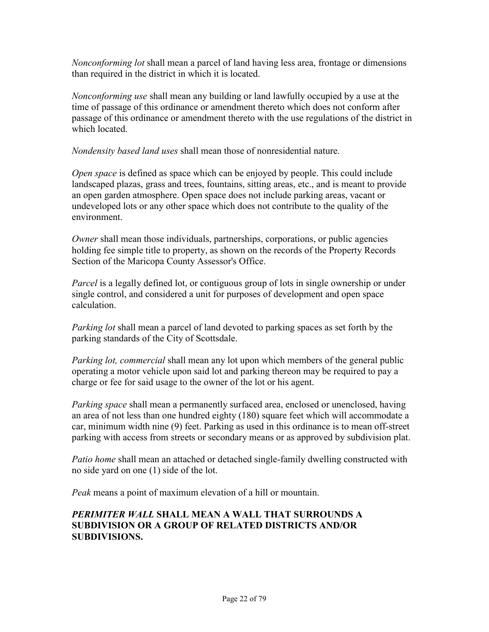*Nonconforming lot* shall mean a parcel of land having less area, frontage or dimensions than required in the district in which it is located.

*Nonconforming use* shall mean any building or land lawfully occupied by a use at the time of passage of this ordinance or amendment thereto which does not conform after passage of this ordinance or amendment thereto with the use regulations of the district in which located

*Nondensity based land uses* shall mean those of nonresidential nature.

*Open space* is defined as space which can be enjoyed by people. This could include landscaped plazas, grass and trees, fountains, sitting areas, etc., and is meant to provide an open garden atmosphere. Open space does not include parking areas, vacant or undeveloped lots or any other space which does not contribute to the quality of the environment.

*Owner* shall mean those individuals, partnerships, corporations, or public agencies holding fee simple title to property, as shown on the records of the Property Records Section of the Maricopa County Assessor's Office.

*Parcel* is a legally defined lot, or contiguous group of lots in single ownership or under single control, and considered a unit for purposes of development and open space calculation.

*Parking lot* shall mean a parcel of land devoted to parking spaces as set forth by the parking standards of the City of Scottsdale.

*Parking lot, commercial* shall mean any lot upon which members of the general public operating a motor vehicle upon said lot and parking thereon may be required to pay a charge or fee for said usage to the owner of the lot or his agent.

*Parking space* shall mean a permanently surfaced area, enclosed or unenclosed, having an area of not less than one hundred eighty (180) square feet which will accommodate a car, minimum width nine (9) feet. Parking as used in this ordinance is to mean off-street parking with access from streets or secondary means or as approved by subdivision plat.

*Patio home* shall mean an attached or detached single-family dwelling constructed with no side yard on one (1) side of the lot.

*Peak* means a point of maximum elevation of a hill or mountain.

### *PERIMITER WALL* **SHALL MEAN A WALL THAT SURROUNDS A SUBDIVISION OR A GROUP OF RELATED DISTRICTS AND/OR SUBDIVISIONS.**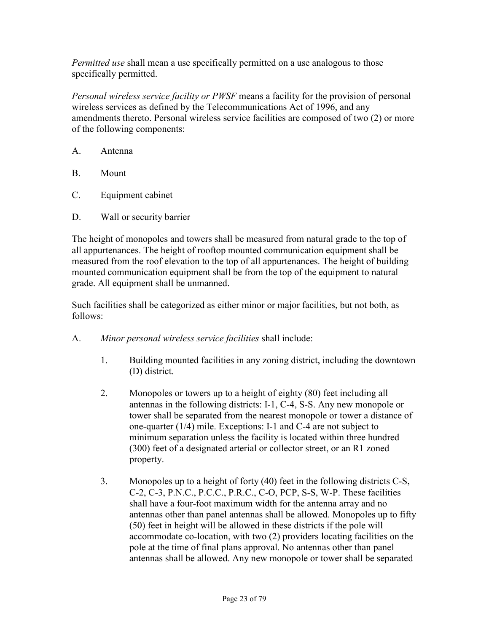*Permitted use* shall mean a use specifically permitted on a use analogous to those specifically permitted.

*Personal wireless service facility or PWSF* means a facility for the provision of personal wireless services as defined by the Telecommunications Act of 1996, and any amendments thereto. Personal wireless service facilities are composed of two (2) or more of the following components:

- A. Antenna
- B. Mount
- C. Equipment cabinet
- D. Wall or security barrier

The height of monopoles and towers shall be measured from natural grade to the top of all appurtenances. The height of rooftop mounted communication equipment shall be measured from the roof elevation to the top of all appurtenances. The height of building mounted communication equipment shall be from the top of the equipment to natural grade. All equipment shall be unmanned.

Such facilities shall be categorized as either minor or major facilities, but not both, as follows:

- A. *Minor personal wireless service facilities* shall include:
	- 1. Building mounted facilities in any zoning district, including the downtown (D) district.
	- 2. Monopoles or towers up to a height of eighty (80) feet including all antennas in the following districts: I-1, C-4, S-S. Any new monopole or tower shall be separated from the nearest monopole or tower a distance of one-quarter (1/4) mile. Exceptions: I-1 and C-4 are not subject to minimum separation unless the facility is located within three hundred (300) feet of a designated arterial or collector street, or an R1 zoned property.
	- 3. Monopoles up to a height of forty (40) feet in the following districts C-S, C-2, C-3, P.N.C., P.C.C., P.R.C., C-O, PCP, S-S, W-P. These facilities shall have a four-foot maximum width for the antenna array and no antennas other than panel antennas shall be allowed. Monopoles up to fifty (50) feet in height will be allowed in these districts if the pole will accommodate co-location, with two (2) providers locating facilities on the pole at the time of final plans approval. No antennas other than panel antennas shall be allowed. Any new monopole or tower shall be separated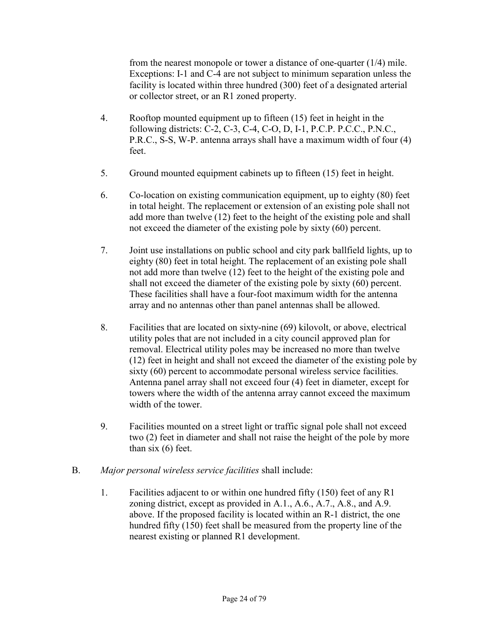from the nearest monopole or tower a distance of one-quarter (1/4) mile. Exceptions: I-1 and C-4 are not subject to minimum separation unless the facility is located within three hundred (300) feet of a designated arterial or collector street, or an R1 zoned property.

- 4. Rooftop mounted equipment up to fifteen (15) feet in height in the following districts: C-2, C-3, C-4, C-O, D, I-1, P.C.P. P.C.C., P.N.C., P.R.C., S-S, W-P. antenna arrays shall have a maximum width of four (4) feet.
- 5. Ground mounted equipment cabinets up to fifteen (15) feet in height.
- 6. Co-location on existing communication equipment, up to eighty (80) feet in total height. The replacement or extension of an existing pole shall not add more than twelve (12) feet to the height of the existing pole and shall not exceed the diameter of the existing pole by sixty (60) percent.
- 7. Joint use installations on public school and city park ballfield lights, up to eighty (80) feet in total height. The replacement of an existing pole shall not add more than twelve (12) feet to the height of the existing pole and shall not exceed the diameter of the existing pole by sixty (60) percent. These facilities shall have a four-foot maximum width for the antenna array and no antennas other than panel antennas shall be allowed.
- 8. Facilities that are located on sixty-nine (69) kilovolt, or above, electrical utility poles that are not included in a city council approved plan for removal. Electrical utility poles may be increased no more than twelve (12) feet in height and shall not exceed the diameter of the existing pole by sixty (60) percent to accommodate personal wireless service facilities. Antenna panel array shall not exceed four (4) feet in diameter, except for towers where the width of the antenna array cannot exceed the maximum width of the tower.
- 9. Facilities mounted on a street light or traffic signal pole shall not exceed two (2) feet in diameter and shall not raise the height of the pole by more than six (6) feet.
- B. *Major personal wireless service facilities* shall include:
	- 1. Facilities adjacent to or within one hundred fifty (150) feet of any R1 zoning district, except as provided in A.1., A.6., A.7., A.8., and A.9. above. If the proposed facility is located within an R-1 district, the one hundred fifty (150) feet shall be measured from the property line of the nearest existing or planned R1 development.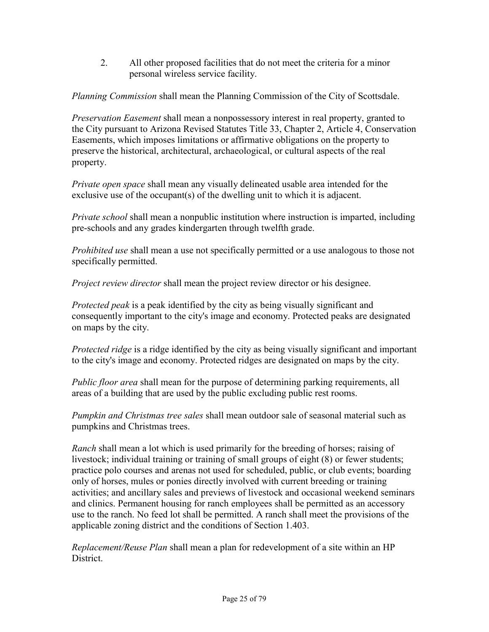2. All other proposed facilities that do not meet the criteria for a minor personal wireless service facility.

*Planning Commission* shall mean the Planning Commission of the City of Scottsdale.

*Preservation Easement* shall mean a nonpossessory interest in real property, granted to the City pursuant to Arizona Revised Statutes Title 33, Chapter 2, Article 4, Conservation Easements, which imposes limitations or affirmative obligations on the property to preserve the historical, architectural, archaeological, or cultural aspects of the real property.

*Private open space* shall mean any visually delineated usable area intended for the exclusive use of the occupant(s) of the dwelling unit to which it is adjacent.

*Private school* shall mean a nonpublic institution where instruction is imparted, including pre-schools and any grades kindergarten through twelfth grade.

*Prohibited use* shall mean a use not specifically permitted or a use analogous to those not specifically permitted.

*Project review director* shall mean the project review director or his designee.

*Protected peak* is a peak identified by the city as being visually significant and consequently important to the city's image and economy. Protected peaks are designated on maps by the city.

*Protected ridge* is a ridge identified by the city as being visually significant and important to the city's image and economy. Protected ridges are designated on maps by the city.

*Public floor area* shall mean for the purpose of determining parking requirements, all areas of a building that are used by the public excluding public rest rooms.

*Pumpkin and Christmas tree sales* shall mean outdoor sale of seasonal material such as pumpkins and Christmas trees.

*Ranch* shall mean a lot which is used primarily for the breeding of horses; raising of livestock; individual training or training of small groups of eight (8) or fewer students; practice polo courses and arenas not used for scheduled, public, or club events; boarding only of horses, mules or ponies directly involved with current breeding or training activities; and ancillary sales and previews of livestock and occasional weekend seminars and clinics. Permanent housing for ranch employees shall be permitted as an accessory use to the ranch. No feed lot shall be permitted. A ranch shall meet the provisions of the applicable zoning district and the conditions of Section 1.403.

*Replacement/Reuse Plan* shall mean a plan for redevelopment of a site within an HP District.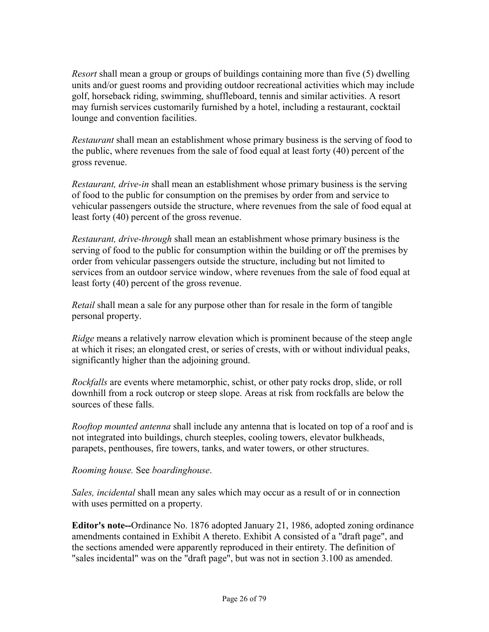*Resort* shall mean a group or groups of buildings containing more than five (5) dwelling units and/or guest rooms and providing outdoor recreational activities which may include golf, horseback riding, swimming, shuffleboard, tennis and similar activities. A resort may furnish services customarily furnished by a hotel, including a restaurant, cocktail lounge and convention facilities.

*Restaurant* shall mean an establishment whose primary business is the serving of food to the public, where revenues from the sale of food equal at least forty (40) percent of the gross revenue.

*Restaurant, drive-in* shall mean an establishment whose primary business is the serving of food to the public for consumption on the premises by order from and service to vehicular passengers outside the structure, where revenues from the sale of food equal at least forty (40) percent of the gross revenue.

*Restaurant, drive-through* shall mean an establishment whose primary business is the serving of food to the public for consumption within the building or off the premises by order from vehicular passengers outside the structure, including but not limited to services from an outdoor service window, where revenues from the sale of food equal at least forty (40) percent of the gross revenue.

*Retail* shall mean a sale for any purpose other than for resale in the form of tangible personal property.

*Ridge* means a relatively narrow elevation which is prominent because of the steep angle at which it rises; an elongated crest, or series of crests, with or without individual peaks, significantly higher than the adjoining ground.

*Rockfalls* are events where metamorphic, schist, or other paty rocks drop, slide, or roll downhill from a rock outcrop or steep slope. Areas at risk from rockfalls are below the sources of these falls.

*Rooftop mounted antenna* shall include any antenna that is located on top of a roof and is not integrated into buildings, church steeples, cooling towers, elevator bulkheads, parapets, penthouses, fire towers, tanks, and water towers, or other structures.

#### *Rooming house.* See *boardinghouse*.

*Sales, incidental* shall mean any sales which may occur as a result of or in connection with uses permitted on a property.

**Editor's note--**Ordinance No. 1876 adopted January 21, 1986, adopted zoning ordinance amendments contained in Exhibit A thereto. Exhibit A consisted of a "draft page", and the sections amended were apparently reproduced in their entirety. The definition of "sales incidental" was on the "draft page", but was not in section 3.100 as amended.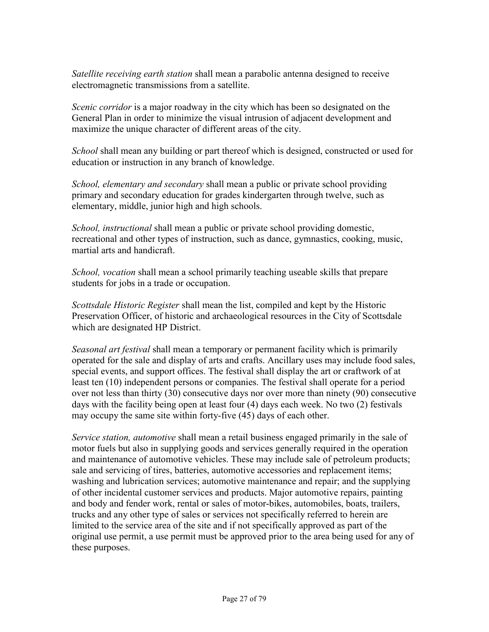*Satellite receiving earth station* shall mean a parabolic antenna designed to receive electromagnetic transmissions from a satellite.

*Scenic corridor* is a major roadway in the city which has been so designated on the General Plan in order to minimize the visual intrusion of adjacent development and maximize the unique character of different areas of the city.

*School* shall mean any building or part thereof which is designed, constructed or used for education or instruction in any branch of knowledge.

*School, elementary and secondary* shall mean a public or private school providing primary and secondary education for grades kindergarten through twelve, such as elementary, middle, junior high and high schools.

*School, instructional* shall mean a public or private school providing domestic, recreational and other types of instruction, such as dance, gymnastics, cooking, music, martial arts and handicraft.

*School, vocation* shall mean a school primarily teaching useable skills that prepare students for jobs in a trade or occupation.

*Scottsdale Historic Register* shall mean the list, compiled and kept by the Historic Preservation Officer, of historic and archaeological resources in the City of Scottsdale which are designated HP District.

*Seasonal art festival* shall mean a temporary or permanent facility which is primarily operated for the sale and display of arts and crafts. Ancillary uses may include food sales, special events, and support offices. The festival shall display the art or craftwork of at least ten (10) independent persons or companies. The festival shall operate for a period over not less than thirty (30) consecutive days nor over more than ninety (90) consecutive days with the facility being open at least four (4) days each week. No two (2) festivals may occupy the same site within forty-five (45) days of each other.

*Service station, automotive* shall mean a retail business engaged primarily in the sale of motor fuels but also in supplying goods and services generally required in the operation and maintenance of automotive vehicles. These may include sale of petroleum products; sale and servicing of tires, batteries, automotive accessories and replacement items; washing and lubrication services; automotive maintenance and repair; and the supplying of other incidental customer services and products. Major automotive repairs, painting and body and fender work, rental or sales of motor-bikes, automobiles, boats, trailers, trucks and any other type of sales or services not specifically referred to herein are limited to the service area of the site and if not specifically approved as part of the original use permit, a use permit must be approved prior to the area being used for any of these purposes.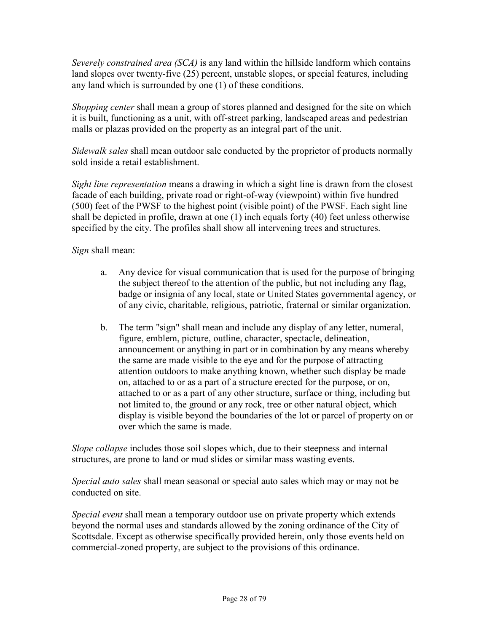*Severely constrained area (SCA)* is any land within the hillside landform which contains land slopes over twenty-five (25) percent, unstable slopes, or special features, including any land which is surrounded by one (1) of these conditions.

*Shopping center* shall mean a group of stores planned and designed for the site on which it is built, functioning as a unit, with off-street parking, landscaped areas and pedestrian malls or plazas provided on the property as an integral part of the unit.

*Sidewalk sales* shall mean outdoor sale conducted by the proprietor of products normally sold inside a retail establishment.

*Sight line representation* means a drawing in which a sight line is drawn from the closest facade of each building, private road or right-of-way (viewpoint) within five hundred (500) feet of the PWSF to the highest point (visible point) of the PWSF. Each sight line shall be depicted in profile, drawn at one (1) inch equals forty (40) feet unless otherwise specified by the city. The profiles shall show all intervening trees and structures.

*Sign* shall mean:

- a. Any device for visual communication that is used for the purpose of bringing the subject thereof to the attention of the public, but not including any flag, badge or insignia of any local, state or United States governmental agency, or of any civic, charitable, religious, patriotic, fraternal or similar organization.
- b. The term "sign" shall mean and include any display of any letter, numeral, figure, emblem, picture, outline, character, spectacle, delineation, announcement or anything in part or in combination by any means whereby the same are made visible to the eye and for the purpose of attracting attention outdoors to make anything known, whether such display be made on, attached to or as a part of a structure erected for the purpose, or on, attached to or as a part of any other structure, surface or thing, including but not limited to, the ground or any rock, tree or other natural object, which display is visible beyond the boundaries of the lot or parcel of property on or over which the same is made.

*Slope collapse* includes those soil slopes which, due to their steepness and internal structures, are prone to land or mud slides or similar mass wasting events.

*Special auto sales* shall mean seasonal or special auto sales which may or may not be conducted on site.

*Special event* shall mean a temporary outdoor use on private property which extends beyond the normal uses and standards allowed by the zoning ordinance of the City of Scottsdale. Except as otherwise specifically provided herein, only those events held on commercial-zoned property, are subject to the provisions of this ordinance.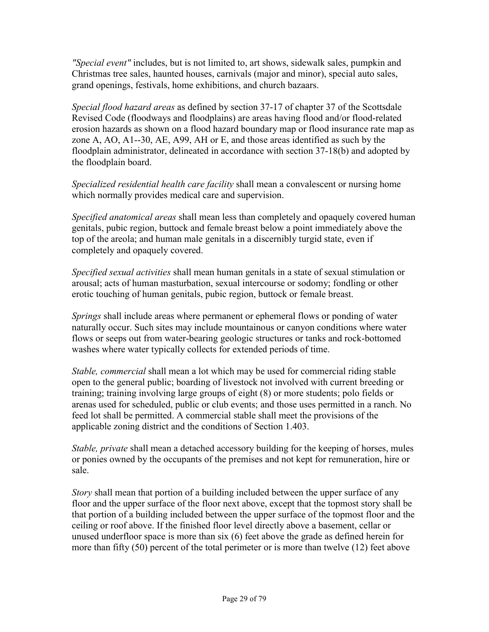*"Special event"* includes, but is not limited to, art shows, sidewalk sales, pumpkin and Christmas tree sales, haunted houses, carnivals (major and minor), special auto sales, grand openings, festivals, home exhibitions, and church bazaars.

*Special flood hazard areas* as defined by section 37-17 of chapter 37 of the Scottsdale Revised Code (floodways and floodplains) are areas having flood and/or flood-related erosion hazards as shown on a flood hazard boundary map or flood insurance rate map as zone A, AO, A1--30, AE, A99, AH or E, and those areas identified as such by the floodplain administrator, delineated in accordance with section 37-18(b) and adopted by the floodplain board.

*Specialized residential health care facility* shall mean a convalescent or nursing home which normally provides medical care and supervision.

*Specified anatomical areas* shall mean less than completely and opaquely covered human genitals, pubic region, buttock and female breast below a point immediately above the top of the areola; and human male genitals in a discernibly turgid state, even if completely and opaquely covered.

*Specified sexual activities* shall mean human genitals in a state of sexual stimulation or arousal; acts of human masturbation, sexual intercourse or sodomy; fondling or other erotic touching of human genitals, pubic region, buttock or female breast.

*Springs* shall include areas where permanent or ephemeral flows or ponding of water naturally occur. Such sites may include mountainous or canyon conditions where water flows or seeps out from water-bearing geologic structures or tanks and rock-bottomed washes where water typically collects for extended periods of time.

*Stable, commercial* shall mean a lot which may be used for commercial riding stable open to the general public; boarding of livestock not involved with current breeding or training; training involving large groups of eight (8) or more students; polo fields or arenas used for scheduled, public or club events; and those uses permitted in a ranch. No feed lot shall be permitted. A commercial stable shall meet the provisions of the applicable zoning district and the conditions of Section 1.403.

*Stable, private* shall mean a detached accessory building for the keeping of horses, mules or ponies owned by the occupants of the premises and not kept for remuneration, hire or sale.

*Story* shall mean that portion of a building included between the upper surface of any floor and the upper surface of the floor next above, except that the topmost story shall be that portion of a building included between the upper surface of the topmost floor and the ceiling or roof above. If the finished floor level directly above a basement, cellar or unused underfloor space is more than six (6) feet above the grade as defined herein for more than fifty (50) percent of the total perimeter or is more than twelve (12) feet above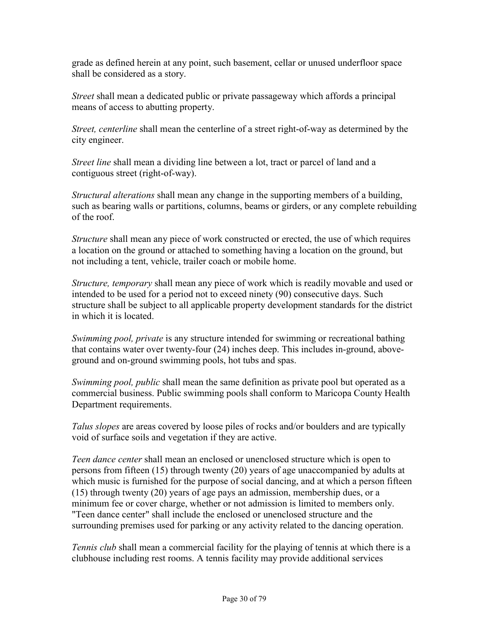grade as defined herein at any point, such basement, cellar or unused underfloor space shall be considered as a story.

*Street* shall mean a dedicated public or private passageway which affords a principal means of access to abutting property.

*Street, centerline* shall mean the centerline of a street right-of-way as determined by the city engineer.

*Street line* shall mean a dividing line between a lot, tract or parcel of land and a contiguous street (right-of-way).

*Structural alterations* shall mean any change in the supporting members of a building, such as bearing walls or partitions, columns, beams or girders, or any complete rebuilding of the roof.

*Structure* shall mean any piece of work constructed or erected, the use of which requires a location on the ground or attached to something having a location on the ground, but not including a tent, vehicle, trailer coach or mobile home.

*Structure, temporary* shall mean any piece of work which is readily movable and used or intended to be used for a period not to exceed ninety (90) consecutive days. Such structure shall be subject to all applicable property development standards for the district in which it is located.

*Swimming pool, private* is any structure intended for swimming or recreational bathing that contains water over twenty-four (24) inches deep. This includes in-ground, aboveground and on-ground swimming pools, hot tubs and spas.

*Swimming pool, public* shall mean the same definition as private pool but operated as a commercial business. Public swimming pools shall conform to Maricopa County Health Department requirements.

*Talus slopes* are areas covered by loose piles of rocks and/or boulders and are typically void of surface soils and vegetation if they are active.

*Teen dance center* shall mean an enclosed or unenclosed structure which is open to persons from fifteen (15) through twenty (20) years of age unaccompanied by adults at which music is furnished for the purpose of social dancing, and at which a person fifteen (15) through twenty (20) years of age pays an admission, membership dues, or a minimum fee or cover charge, whether or not admission is limited to members only. "Teen dance center" shall include the enclosed or unenclosed structure and the surrounding premises used for parking or any activity related to the dancing operation.

*Tennis club* shall mean a commercial facility for the playing of tennis at which there is a clubhouse including rest rooms. A tennis facility may provide additional services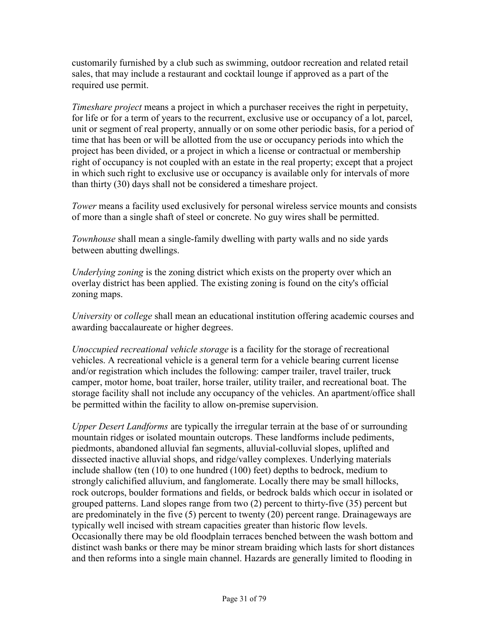customarily furnished by a club such as swimming, outdoor recreation and related retail sales, that may include a restaurant and cocktail lounge if approved as a part of the required use permit.

*Timeshare project* means a project in which a purchaser receives the right in perpetuity, for life or for a term of years to the recurrent, exclusive use or occupancy of a lot, parcel, unit or segment of real property, annually or on some other periodic basis, for a period of time that has been or will be allotted from the use or occupancy periods into which the project has been divided, or a project in which a license or contractual or membership right of occupancy is not coupled with an estate in the real property; except that a project in which such right to exclusive use or occupancy is available only for intervals of more than thirty (30) days shall not be considered a timeshare project.

*Tower* means a facility used exclusively for personal wireless service mounts and consists of more than a single shaft of steel or concrete. No guy wires shall be permitted.

*Townhouse* shall mean a single-family dwelling with party walls and no side yards between abutting dwellings.

*Underlying zoning* is the zoning district which exists on the property over which an overlay district has been applied. The existing zoning is found on the city's official zoning maps.

*University* or *college* shall mean an educational institution offering academic courses and awarding baccalaureate or higher degrees.

*Unoccupied recreational vehicle storage* is a facility for the storage of recreational vehicles. A recreational vehicle is a general term for a vehicle bearing current license and/or registration which includes the following: camper trailer, travel trailer, truck camper, motor home, boat trailer, horse trailer, utility trailer, and recreational boat. The storage facility shall not include any occupancy of the vehicles. An apartment/office shall be permitted within the facility to allow on-premise supervision.

*Upper Desert Landforms* are typically the irregular terrain at the base of or surrounding mountain ridges or isolated mountain outcrops. These landforms include pediments, piedmonts, abandoned alluvial fan segments, alluvial-colluvial slopes, uplifted and dissected inactive alluvial shops, and ridge/valley complexes. Underlying materials include shallow (ten (10) to one hundred (100) feet) depths to bedrock, medium to strongly calichified alluvium, and fanglomerate. Locally there may be small hillocks, rock outcrops, boulder formations and fields, or bedrock balds which occur in isolated or grouped patterns. Land slopes range from two (2) percent to thirty-five (35) percent but are predominately in the five (5) percent to twenty (20) percent range. Drainageways are typically well incised with stream capacities greater than historic flow levels. Occasionally there may be old floodplain terraces benched between the wash bottom and distinct wash banks or there may be minor stream braiding which lasts for short distances and then reforms into a single main channel. Hazards are generally limited to flooding in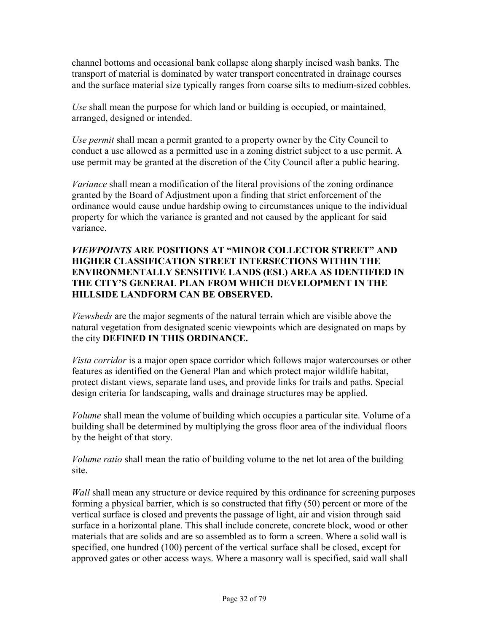channel bottoms and occasional bank collapse along sharply incised wash banks. The transport of material is dominated by water transport concentrated in drainage courses and the surface material size typically ranges from coarse silts to medium-sized cobbles.

*Use* shall mean the purpose for which land or building is occupied, or maintained, arranged, designed or intended.

*Use permit* shall mean a permit granted to a property owner by the City Council to conduct a use allowed as a permitted use in a zoning district subject to a use permit. A use permit may be granted at the discretion of the City Council after a public hearing.

*Variance* shall mean a modification of the literal provisions of the zoning ordinance granted by the Board of Adjustment upon a finding that strict enforcement of the ordinance would cause undue hardship owing to circumstances unique to the individual property for which the variance is granted and not caused by the applicant for said variance.

### *VIEWPOINTS* **ARE POSITIONS AT "MINOR COLLECTOR STREET" AND HIGHER CLASSIFICATION STREET INTERSECTIONS WITHIN THE ENVIRONMENTALLY SENSITIVE LANDS (ESL) AREA AS IDENTIFIED IN THE CITY'S GENERAL PLAN FROM WHICH DEVELOPMENT IN THE HILLSIDE LANDFORM CAN BE OBSERVED.**

*Viewsheds* are the major segments of the natural terrain which are visible above the natural vegetation from designated scenic viewpoints which are designated on maps by the city **DEFINED IN THIS ORDINANCE.**

*Vista corridor* is a major open space corridor which follows major watercourses or other features as identified on the General Plan and which protect major wildlife habitat, protect distant views, separate land uses, and provide links for trails and paths. Special design criteria for landscaping, walls and drainage structures may be applied.

*Volume* shall mean the volume of building which occupies a particular site. Volume of a building shall be determined by multiplying the gross floor area of the individual floors by the height of that story.

*Volume ratio* shall mean the ratio of building volume to the net lot area of the building site.

*Wall* shall mean any structure or device required by this ordinance for screening purposes forming a physical barrier, which is so constructed that fifty (50) percent or more of the vertical surface is closed and prevents the passage of light, air and vision through said surface in a horizontal plane. This shall include concrete, concrete block, wood or other materials that are solids and are so assembled as to form a screen. Where a solid wall is specified, one hundred (100) percent of the vertical surface shall be closed, except for approved gates or other access ways. Where a masonry wall is specified, said wall shall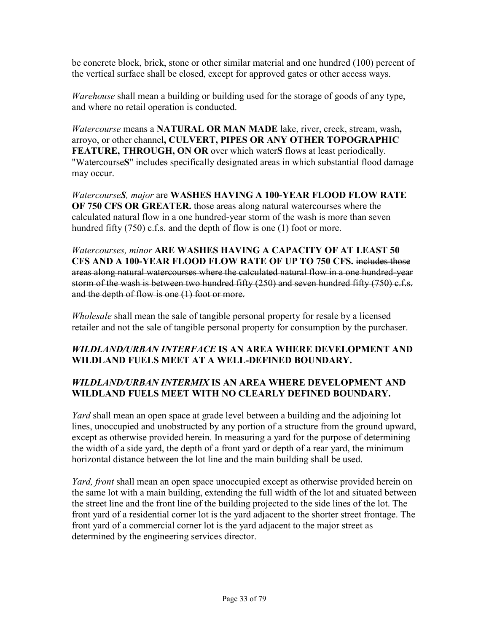be concrete block, brick, stone or other similar material and one hundred (100) percent of the vertical surface shall be closed, except for approved gates or other access ways.

*Warehouse* shall mean a building or building used for the storage of goods of any type, and where no retail operation is conducted.

*Watercourse* means a **NATURAL OR MAN MADE** lake, river, creek, stream, wash**,** arroyo, or other channel**, CULVERT, PIPES OR ANY OTHER TOPOGRAPHIC FEATURE, THROUGH, ON OR** over which water**S** flows at least periodically. "Watercourse**S**" includes specifically designated areas in which substantial flood damage may occur.

*WatercourseS, major* are **WASHES HAVING A 100-YEAR FLOOD FLOW RATE OF 750 CFS OR GREATER.** those areas along natural watercourses where the calculated natural flow in a one hundred-year storm of the wash is more than seven hundred fifty (750) c.f.s. and the depth of flow is one (1) foot or more.

*Watercourses, minor* **ARE WASHES HAVING A CAPACITY OF AT LEAST 50 CFS AND A 100-YEAR FLOOD FLOW RATE OF UP TO 750 CFS.** includes those areas along natural watercourses where the calculated natural flow in a one hundred-year storm of the wash is between two hundred fifty (250) and seven hundred fifty (750) c.f.s. and the depth of flow is one (1) foot or more.

*Wholesale* shall mean the sale of tangible personal property for resale by a licensed retailer and not the sale of tangible personal property for consumption by the purchaser.

## *WILDLAND/URBAN INTERFACE* **IS AN AREA WHERE DEVELOPMENT AND WILDLAND FUELS MEET AT A WELL-DEFINED BOUNDARY.**

## *WILDLAND/URBAN INTERMIX* **IS AN AREA WHERE DEVELOPMENT AND WILDLAND FUELS MEET WITH NO CLEARLY DEFINED BOUNDARY.**

*Yard* shall mean an open space at grade level between a building and the adjoining lot lines, unoccupied and unobstructed by any portion of a structure from the ground upward, except as otherwise provided herein. In measuring a yard for the purpose of determining the width of a side yard, the depth of a front yard or depth of a rear yard, the minimum horizontal distance between the lot line and the main building shall be used.

*Yard, front* shall mean an open space unoccupied except as otherwise provided herein on the same lot with a main building, extending the full width of the lot and situated between the street line and the front line of the building projected to the side lines of the lot. The front yard of a residential corner lot is the yard adjacent to the shorter street frontage. The front yard of a commercial corner lot is the yard adjacent to the major street as determined by the engineering services director.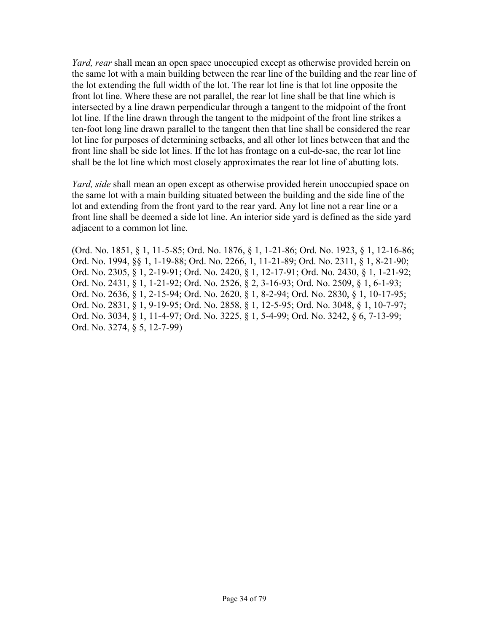*Yard, rear* shall mean an open space unoccupied except as otherwise provided herein on the same lot with a main building between the rear line of the building and the rear line of the lot extending the full width of the lot. The rear lot line is that lot line opposite the front lot line. Where these are not parallel, the rear lot line shall be that line which is intersected by a line drawn perpendicular through a tangent to the midpoint of the front lot line. If the line drawn through the tangent to the midpoint of the front line strikes a ten-foot long line drawn parallel to the tangent then that line shall be considered the rear lot line for purposes of determining setbacks, and all other lot lines between that and the front line shall be side lot lines. If the lot has frontage on a cul-de-sac, the rear lot line shall be the lot line which most closely approximates the rear lot line of abutting lots.

*Yard, side* shall mean an open except as otherwise provided herein unoccupied space on the same lot with a main building situated between the building and the side line of the lot and extending from the front yard to the rear yard. Any lot line not a rear line or a front line shall be deemed a side lot line. An interior side yard is defined as the side yard adjacent to a common lot line.

(Ord. No. 1851, § 1, 11-5-85; Ord. No. 1876, § 1, 1-21-86; Ord. No. 1923, § 1, 12-16-86; Ord. No. 1994, §§ 1, 1-19-88; Ord. No. 2266, 1, 11-21-89; Ord. No. 2311, § 1, 8-21-90; Ord. No. 2305, § 1, 2-19-91; Ord. No. 2420, § 1, 12-17-91; Ord. No. 2430, § 1, 1-21-92; Ord. No. 2431, § 1, 1-21-92; Ord. No. 2526, § 2, 3-16-93; Ord. No. 2509, § 1, 6-1-93; Ord. No. 2636, § 1, 2-15-94; Ord. No. 2620, § 1, 8-2-94; Ord. No. 2830, § 1, 10-17-95; Ord. No. 2831, § 1, 9-19-95; Ord. No. 2858, § 1, 12-5-95; Ord. No. 3048, § 1, 10-7-97; Ord. No. 3034, § 1, 11-4-97; Ord. No. 3225, § 1, 5-4-99; Ord. No. 3242, § 6, 7-13-99; Ord. No. 3274, § 5, 12-7-99)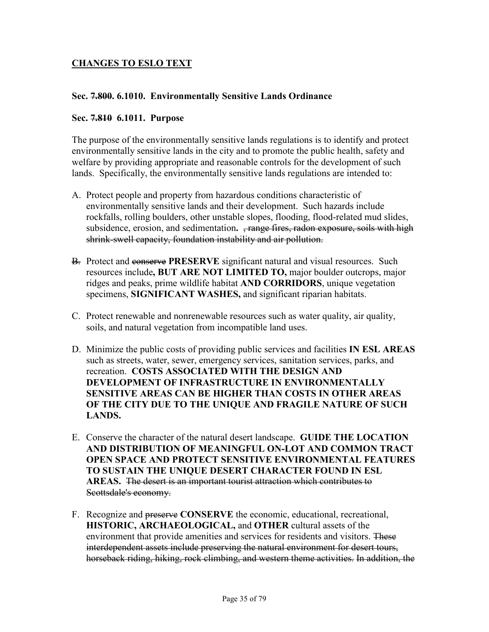## **CHANGES TO ESLO TEXT**

#### **Sec. 7.800. 6.1010. Environmentally Sensitive Lands Ordinance**

#### **Sec. 7.810 6.1011. Purpose**

The purpose of the environmentally sensitive lands regulations is to identify and protect environmentally sensitive lands in the city and to promote the public health, safety and welfare by providing appropriate and reasonable controls for the development of such lands. Specifically, the environmentally sensitive lands regulations are intended to:

- A. Protect people and property from hazardous conditions characteristic of environmentally sensitive lands and their development. Such hazards include rockfalls, rolling boulders, other unstable slopes, flooding, flood-related mud slides, subsidence, erosion, and sedimentation. <del>, range fires, radon exposure, soils with high</del> shrink-swell capacity, foundation instability and air pollution.
- B. Protect and conserve **PRESERVE** significant natural and visual resources. Such resources include**, BUT ARE NOT LIMITED TO,** major boulder outcrops, major ridges and peaks, prime wildlife habitat **AND CORRIDORS**, unique vegetation specimens, **SIGNIFICANT WASHES,** and significant riparian habitats.
- C. Protect renewable and nonrenewable resources such as water quality, air quality, soils, and natural vegetation from incompatible land uses.
- D. Minimize the public costs of providing public services and facilities **IN ESL AREAS** such as streets, water, sewer, emergency services, sanitation services, parks, and recreation. **COSTS ASSOCIATED WITH THE DESIGN AND DEVELOPMENT OF INFRASTRUCTURE IN ENVIRONMENTALLY SENSITIVE AREAS CAN BE HIGHER THAN COSTS IN OTHER AREAS OF THE CITY DUE TO THE UNIQUE AND FRAGILE NATURE OF SUCH LANDS.**
- E. Conserve the character of the natural desert landscape. **GUIDE THE LOCATION AND DISTRIBUTION OF MEANINGFUL ON-LOT AND COMMON TRACT OPEN SPACE AND PROTECT SENSITIVE ENVIRONMENTAL FEATURES TO SUSTAIN THE UNIQUE DESERT CHARACTER FOUND IN ESL AREAS.** The desert is an important tourist attraction which contributes to Scottsdale's economy.
- F. Recognize and preserve **CONSERVE** the economic, educational, recreational, **HISTORIC, ARCHAEOLOGICAL,** and **OTHER** cultural assets of the environment that provide amenities and services for residents and visitors. These interdependent assets include preserving the natural environment for desert tours, horseback riding, hiking, rock climbing, and western theme activities. In addition, the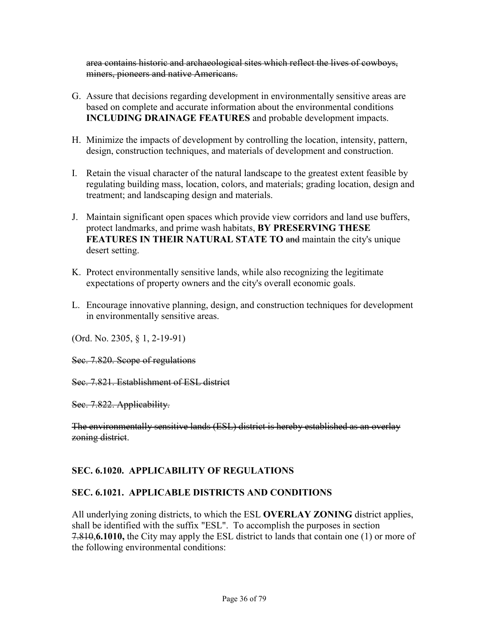area contains historic and archaeological sites which reflect the lives of cowboys, miners, pioneers and native Americans.

- G. Assure that decisions regarding development in environmentally sensitive areas are based on complete and accurate information about the environmental conditions **INCLUDING DRAINAGE FEATURES** and probable development impacts.
- H. Minimize the impacts of development by controlling the location, intensity, pattern, design, construction techniques, and materials of development and construction.
- I. Retain the visual character of the natural landscape to the greatest extent feasible by regulating building mass, location, colors, and materials; grading location, design and treatment; and landscaping design and materials.
- J. Maintain significant open spaces which provide view corridors and land use buffers, protect landmarks, and prime wash habitats, **BY PRESERVING THESE FEATURES IN THEIR NATURAL STATE TO and maintain the city's unique** desert setting.
- K. Protect environmentally sensitive lands, while also recognizing the legitimate expectations of property owners and the city's overall economic goals.
- L. Encourage innovative planning, design, and construction techniques for development in environmentally sensitive areas.

(Ord. No. 2305, § 1, 2-19-91)

Sec. 7.820. Scope of regulations

Sec. 7.821. Establishment of ESL district

Sec. 7.822. Applicability.

The environmentally sensitive lands (ESL) district is hereby established as an overlay zoning district.

## **SEC. 6.1020. APPLICABILITY OF REGULATIONS**

### **SEC. 6.1021. APPLICABLE DISTRICTS AND CONDITIONS**

All underlying zoning districts, to which the ESL **OVERLAY ZONING** district applies, shall be identified with the suffix "ESL". To accomplish the purposes in section 7.810,**6.1010,** the City may apply the ESL district to lands that contain one (1) or more of the following environmental conditions: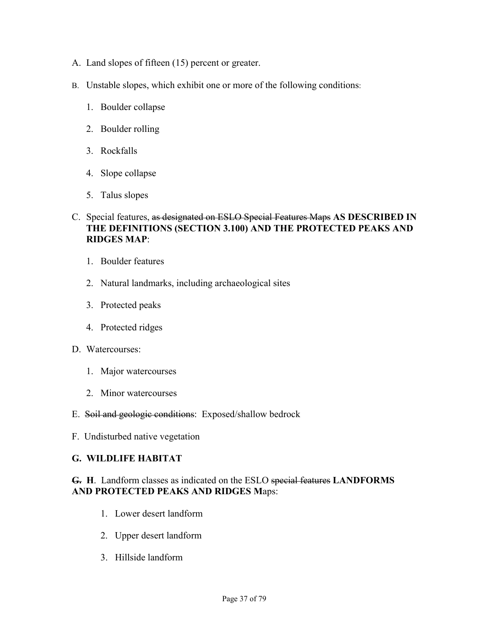- A. Land slopes of fifteen (15) percent or greater.
- B. Unstable slopes, which exhibit one or more of the following conditions:
	- 1. Boulder collapse
	- 2. Boulder rolling
	- 3. Rockfalls
	- 4. Slope collapse
	- 5. Talus slopes
- C. Special features, as designated on ESLO Special Features Maps **AS DESCRIBED IN THE DEFINITIONS (SECTION 3.100) AND THE PROTECTED PEAKS AND RIDGES MAP**:
	- 1. Boulder features
	- 2. Natural landmarks, including archaeological sites
	- 3. Protected peaks
	- 4. Protected ridges
- D. Watercourses:
	- 1. Major watercourses
	- 2. Minor watercourses
- E. Soil and geologic conditions: Exposed/shallow bedrock
- F. Undisturbed native vegetation

#### **G. WILDLIFE HABITAT**

### **G. H**. Landform classes as indicated on the ESLO special features **LANDFORMS AND PROTECTED PEAKS AND RIDGES M**aps:

- 1. Lower desert landform
- 2. Upper desert landform
- 3. Hillside landform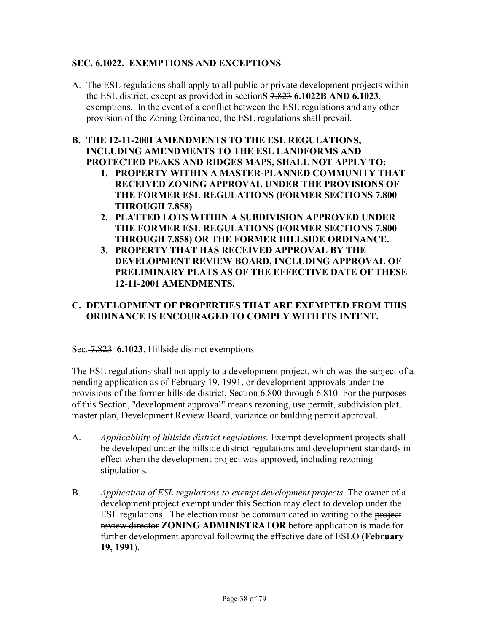### **SEC. 6.1022. EXEMPTIONS AND EXCEPTIONS**

A. The ESL regulations shall apply to all public or private development projects within the ESL district, except as provided in section**S** 7.823 **6.1022B AND 6.1023**, exemptions. In the event of a conflict between the ESL regulations and any other provision of the Zoning Ordinance, the ESL regulations shall prevail.

### **B. THE 12-11-2001 AMENDMENTS TO THE ESL REGULATIONS, INCLUDING AMENDMENTS TO THE ESL LANDFORMS AND PROTECTED PEAKS AND RIDGES MAPS, SHALL NOT APPLY TO:**

- **1. PROPERTY WITHIN A MASTER-PLANNED COMMUNITY THAT RECEIVED ZONING APPROVAL UNDER THE PROVISIONS OF THE FORMER ESL REGULATIONS (FORMER SECTIONS 7.800 THROUGH 7.858)**
- **2. PLATTED LOTS WITHIN A SUBDIVISION APPROVED UNDER THE FORMER ESL REGULATIONS (FORMER SECTIONS 7.800 THROUGH 7.858) OR THE FORMER HILLSIDE ORDINANCE.**
- **3. PROPERTY THAT HAS RECEIVED APPROVAL BY THE DEVELOPMENT REVIEW BOARD, INCLUDING APPROVAL OF PRELIMINARY PLATS AS OF THE EFFECTIVE DATE OF THESE 12-11-2001 AMENDMENTS.**

# **C. DEVELOPMENT OF PROPERTIES THAT ARE EXEMPTED FROM THIS ORDINANCE IS ENCOURAGED TO COMPLY WITH ITS INTENT.**

Sec. 7.823 **6.1023**. Hillside district exemptions

The ESL regulations shall not apply to a development project, which was the subject of a pending application as of February 19, 1991, or development approvals under the provisions of the former hillside district, Section 6.800 through 6.810. For the purposes of this Section, "development approval" means rezoning, use permit, subdivision plat, master plan, Development Review Board, variance or building permit approval.

- A. *Applicability of hillside district regulations.* Exempt development projects shall be developed under the hillside district regulations and development standards in effect when the development project was approved, including rezoning stipulations.
- B. *Application of ESL regulations to exempt development projects.* The owner of a development project exempt under this Section may elect to develop under the ESL regulations. The election must be communicated in writing to the project review director **ZONING ADMINISTRATOR** before application is made for further development approval following the effective date of ESLO **(February 19, 1991**).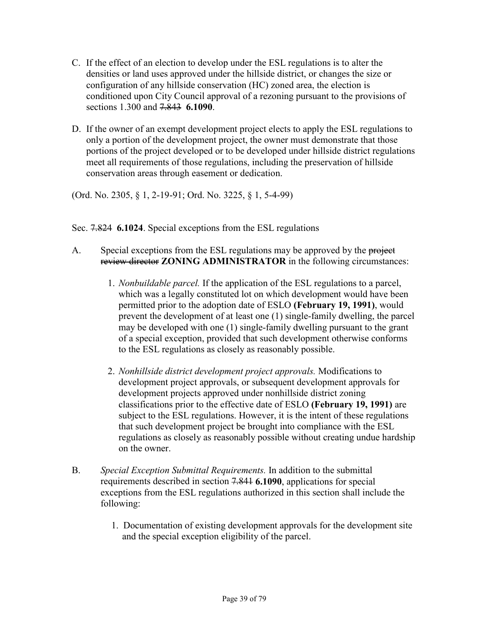- C. If the effect of an election to develop under the ESL regulations is to alter the densities or land uses approved under the hillside district, or changes the size or configuration of any hillside conservation (HC) zoned area, the election is conditioned upon City Council approval of a rezoning pursuant to the provisions of sections 1.300 and 7.843 **6.1090**.
- D. If the owner of an exempt development project elects to apply the ESL regulations to only a portion of the development project, the owner must demonstrate that those portions of the project developed or to be developed under hillside district regulations meet all requirements of those regulations, including the preservation of hillside conservation areas through easement or dedication.

(Ord. No. 2305, § 1, 2-19-91; Ord. No. 3225, § 1, 5-4-99)

Sec. 7.824 **6.1024**. Special exceptions from the ESL regulations

- A. Special exceptions from the ESL regulations may be approved by the project review director **ZONING ADMINISTRATOR** in the following circumstances:
	- 1. *Nonbuildable parcel.* If the application of the ESL regulations to a parcel, which was a legally constituted lot on which development would have been permitted prior to the adoption date of ESLO **(February 19, 1991)**, would prevent the development of at least one (1) single-family dwelling, the parcel may be developed with one (1) single-family dwelling pursuant to the grant of a special exception, provided that such development otherwise conforms to the ESL regulations as closely as reasonably possible.
	- 2. *Nonhillside district development project approvals.* Modifications to development project approvals, or subsequent development approvals for development projects approved under nonhillside district zoning classifications prior to the effective date of ESLO **(February 19, 1991)** are subject to the ESL regulations. However, it is the intent of these regulations that such development project be brought into compliance with the ESL regulations as closely as reasonably possible without creating undue hardship on the owner.
- B. *Special Exception Submittal Requirements.* In addition to the submittal requirements described in section 7.841 **6.1090**, applications for special exceptions from the ESL regulations authorized in this section shall include the following:
	- 1. Documentation of existing development approvals for the development site and the special exception eligibility of the parcel.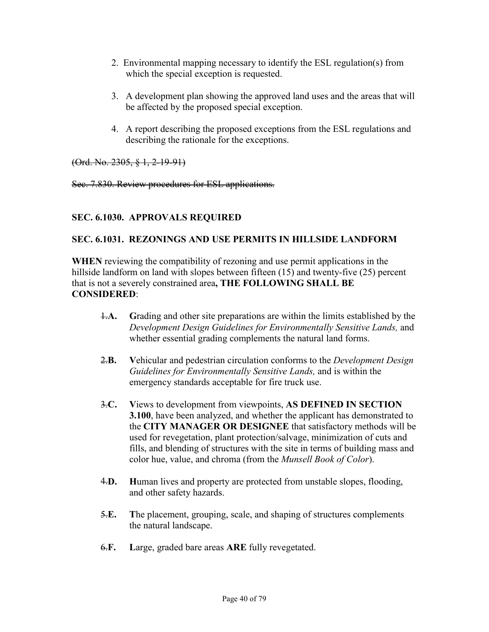- 2. Environmental mapping necessary to identify the ESL regulation(s) from which the special exception is requested.
- 3. A development plan showing the approved land uses and the areas that will be affected by the proposed special exception.
- 4. A report describing the proposed exceptions from the ESL regulations and describing the rationale for the exceptions.

(Ord. No. 2305, § 1, 2-19-91)

Sec. 7.830. Review procedures for ESL applications.

## **SEC. 6.1030. APPROVALS REQUIRED**

### **SEC. 6.1031. REZONINGS AND USE PERMITS IN HILLSIDE LANDFORM**

**WHEN** reviewing the compatibility of rezoning and use permit applications in the hillside landform on land with slopes between fifteen (15) and twenty-five (25) percent that is not a severely constrained area**, THE FOLLOWING SHALL BE CONSIDERED**:

- 1.**A. G**rading and other site preparations are within the limits established by the *Development Design Guidelines for Environmentally Sensitive Lands,* and whether essential grading complements the natural land forms.
- 2.**B. V**ehicular and pedestrian circulation conforms to the *Development Design Guidelines for Environmentally Sensitive Lands,* and is within the emergency standards acceptable for fire truck use.
- 3.**C. V**iews to development from viewpoints, **AS DEFINED IN SECTION 3.100**, have been analyzed, and whether the applicant has demonstrated to the **CITY MANAGER OR DESIGNEE** that satisfactory methods will be used for revegetation, plant protection/salvage, minimization of cuts and fills, and blending of structures with the site in terms of building mass and color hue, value, and chroma (from the *Munsell Book of Color*).
- 4.**D. H**uman lives and property are protected from unstable slopes, flooding, and other safety hazards.
- 5.**E. T**he placement, grouping, scale, and shaping of structures complements the natural landscape.
- 6.**F. L**arge, graded bare areas **ARE** fully revegetated.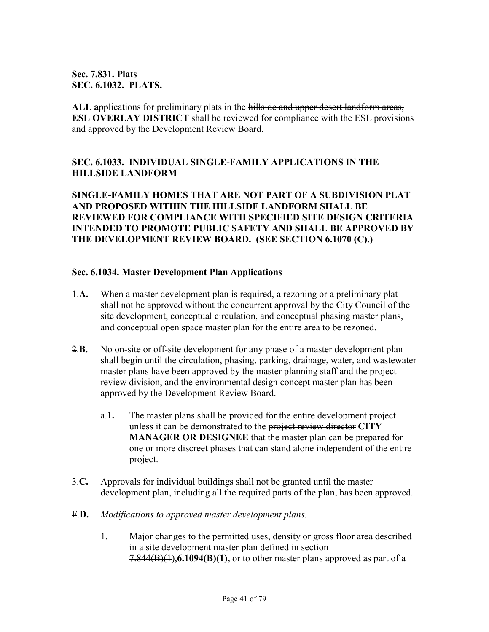### **Sec. 7.831. Plats SEC. 6.1032. PLATS.**

**ALL a**pplications for preliminary plats in the hillside and upper desert landform areas, **ESL OVERLAY DISTRICT** shall be reviewed for compliance with the ESL provisions and approved by the Development Review Board.

# **SEC. 6.1033. INDIVIDUAL SINGLE-FAMILY APPLICATIONS IN THE HILLSIDE LANDFORM**

**SINGLE-FAMILY HOMES THAT ARE NOT PART OF A SUBDIVISION PLAT AND PROPOSED WITHIN THE HILLSIDE LANDFORM SHALL BE REVIEWED FOR COMPLIANCE WITH SPECIFIED SITE DESIGN CRITERIA INTENDED TO PROMOTE PUBLIC SAFETY AND SHALL BE APPROVED BY THE DEVELOPMENT REVIEW BOARD. (SEE SECTION 6.1070 (C).)** 

#### **Sec. 6.1034. Master Development Plan Applications**

- 1.**A.** When a master development plan is required, a rezoning or a preliminary plat shall not be approved without the concurrent approval by the City Council of the site development, conceptual circulation, and conceptual phasing master plans, and conceptual open space master plan for the entire area to be rezoned.
- 2.**B.** No on-site or off-site development for any phase of a master development plan shall begin until the circulation, phasing, parking, drainage, water, and wastewater master plans have been approved by the master planning staff and the project review division, and the environmental design concept master plan has been approved by the Development Review Board.
	- a.**1.** The master plans shall be provided for the entire development project unless it can be demonstrated to the project review director **CITY MANAGER OR DESIGNEE** that the master plan can be prepared for one or more discreet phases that can stand alone independent of the entire project.
- 3.**C.** Approvals for individual buildings shall not be granted until the master development plan, including all the required parts of the plan, has been approved.
- F.**D.** *Modifications to approved master development plans.*
	- 1. Major changes to the permitted uses, density or gross floor area described in a site development master plan defined in section 7.844(B)(1),**6.1094(B)(1),** or to other master plans approved as part of a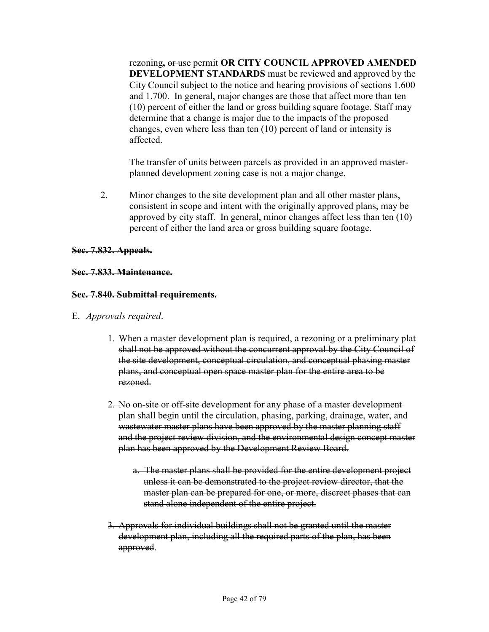rezoning**,** or use permit **OR CITY COUNCIL APPROVED AMENDED DEVELOPMENT STANDARDS** must be reviewed and approved by the City Council subject to the notice and hearing provisions of sections 1.600 and 1.700. In general, major changes are those that affect more than ten (10) percent of either the land or gross building square footage. Staff may determine that a change is major due to the impacts of the proposed changes, even where less than ten (10) percent of land or intensity is affected.

 The transfer of units between parcels as provided in an approved masterplanned development zoning case is not a major change.

2. Minor changes to the site development plan and all other master plans, consistent in scope and intent with the originally approved plans, may be approved by city staff. In general, minor changes affect less than ten (10) percent of either the land area or gross building square footage.

#### **Sec. 7.832. Appeals.**

#### **Sec. 7.833. Maintenance.**

#### **Sec. 7.840. Submittal requirements.**

#### E. *Approvals required*.

- 1. When a master development plan is required, a rezoning or a preliminary plat shall not be approved without the concurrent approval by the City Council of the site development, conceptual circulation, and conceptual phasing master plans, and conceptual open space master plan for the entire area to be rezoned.
- 2. No on-site or off-site development for any phase of a master development plan shall begin until the circulation, phasing, parking, drainage, water, and wastewater master plans have been approved by the master planning staff and the project review division, and the environmental design concept master plan has been approved by the Development Review Board.
	- a. The master plans shall be provided for the entire development project unless it can be demonstrated to the project review director, that the master plan can be prepared for one, or more, discreet phases that can stand alone independent of the entire project.
- 3. Approvals for individual buildings shall not be granted until the master development plan, including all the required parts of the plan, has been approved.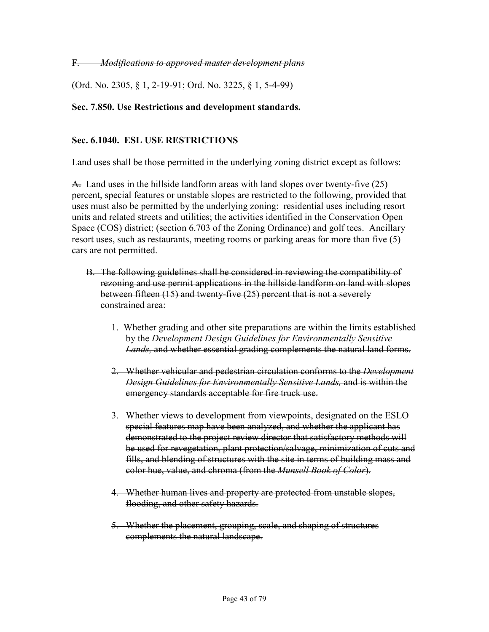F. *Modifications to approved master development plans*

(Ord. No. 2305, § 1, 2-19-91; Ord. No. 3225, § 1, 5-4-99)

#### **Sec. 7.850. Use Restrictions and development standards.**

### **Sec. 6.1040. ESL USE RESTRICTIONS**

Land uses shall be those permitted in the underlying zoning district except as follows:

A. Land uses in the hillside landform areas with land slopes over twenty-five (25) percent, special features or unstable slopes are restricted to the following, provided that uses must also be permitted by the underlying zoning: residential uses including resort units and related streets and utilities; the activities identified in the Conservation Open Space (COS) district; (section 6.703 of the Zoning Ordinance) and golf tees. Ancillary resort uses, such as restaurants, meeting rooms or parking areas for more than five (5) cars are not permitted.

- B. The following guidelines shall be considered in reviewing the compatibility of rezoning and use permit applications in the hillside landform on land with slopes between fifteen (15) and twenty-five (25) percent that is not a severely constrained area:
	- 1. Whether grading and other site preparations are within the limits established by the *Development Design Guidelines for Environmentally Sensitive Lands,* and whether essential grading complements the natural land forms.
	- 2. Whether vehicular and pedestrian circulation conforms to the *Development Design Guidelines for Environmentally Sensitive Lands,* and is within the emergency standards acceptable for fire truck use.
	- 3. Whether views to development from viewpoints, designated on the ESLO special features map have been analyzed, and whether the applicant has demonstrated to the project review director that satisfactory methods will be used for revegetation, plant protection/salvage, minimization of cuts and fills, and blending of structures with the site in terms of building mass and color hue, value, and chroma (from the *Munsell Book of Color*).
	- 4. Whether human lives and property are protected from unstable slopes, flooding, and other safety hazards.
	- 5. Whether the placement, grouping, scale, and shaping of structures complements the natural landscape.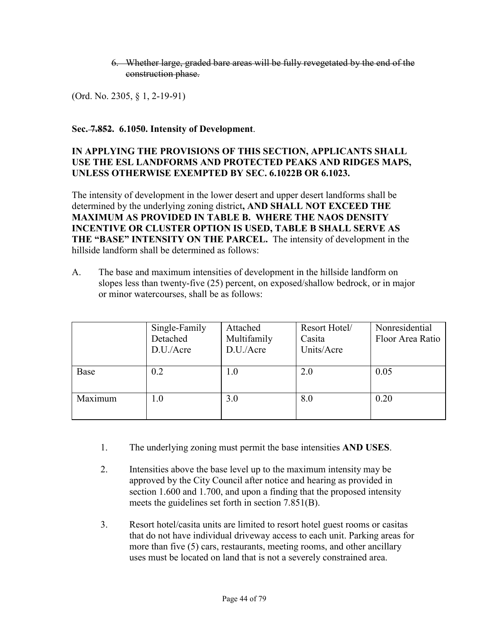### 6. Whether large, graded bare areas will be fully revegetated by the end of the construction phase.

(Ord. No. 2305, § 1, 2-19-91)

### **Sec. 7.852. 6.1050. Intensity of Development**.

### **IN APPLYING THE PROVISIONS OF THIS SECTION, APPLICANTS SHALL USE THE ESL LANDFORMS AND PROTECTED PEAKS AND RIDGES MAPS, UNLESS OTHERWISE EXEMPTED BY SEC. 6.1022B OR 6.1023.**

The intensity of development in the lower desert and upper desert landforms shall be determined by the underlying zoning district**, AND SHALL NOT EXCEED THE MAXIMUM AS PROVIDED IN TABLE B. WHERE THE NAOS DENSITY INCENTIVE OR CLUSTER OPTION IS USED, TABLE B SHALL SERVE AS THE "BASE" INTENSITY ON THE PARCEL.** The intensity of development in the hillside landform shall be determined as follows:

A. The base and maximum intensities of development in the hillside landform on slopes less than twenty-five (25) percent, on exposed/shallow bedrock, or in major or minor watercourses, shall be as follows:

|         | Single-Family<br>Detached<br>D.U./Acre | Attached<br>Multifamily<br>D.U./Acre | Resort Hotel/<br>Casita<br>Units/Acre | Nonresidential<br>Floor Area Ratio |
|---------|----------------------------------------|--------------------------------------|---------------------------------------|------------------------------------|
| Base    | 0.2                                    | $1.0\,$                              | 2.0                                   | 0.05                               |
| Maximum | 1.0                                    | 3.0                                  | 8.0                                   | 0.20                               |

- 1. The underlying zoning must permit the base intensities **AND USES**.
- 2. Intensities above the base level up to the maximum intensity may be approved by the City Council after notice and hearing as provided in section 1.600 and 1.700, and upon a finding that the proposed intensity meets the guidelines set forth in section 7.851(B).
- 3. Resort hotel/casita units are limited to resort hotel guest rooms or casitas that do not have individual driveway access to each unit. Parking areas for more than five (5) cars, restaurants, meeting rooms, and other ancillary uses must be located on land that is not a severely constrained area.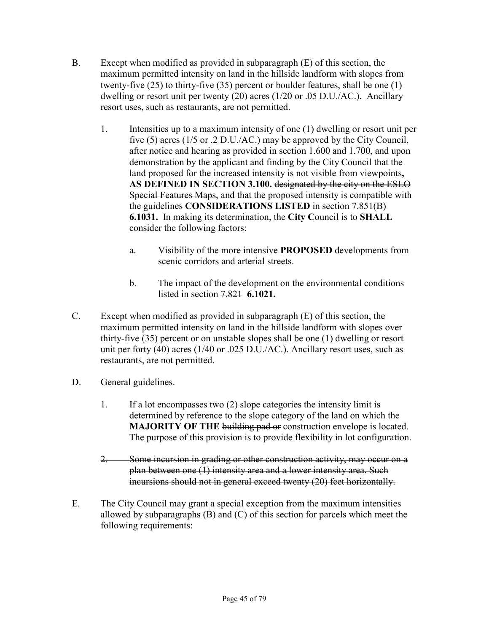- B. Except when modified as provided in subparagraph (E) of this section, the maximum permitted intensity on land in the hillside landform with slopes from twenty-five (25) to thirty-five (35) percent or boulder features, shall be one (1) dwelling or resort unit per twenty (20) acres (1/20 or .05 D.U./AC.). Ancillary resort uses, such as restaurants, are not permitted.
	- 1. Intensities up to a maximum intensity of one (1) dwelling or resort unit per five (5) acres (1/5 or .2 D.U./AC.) may be approved by the City Council, after notice and hearing as provided in section 1.600 and 1.700, and upon demonstration by the applicant and finding by the City Council that the land proposed for the increased intensity is not visible from viewpoints**, AS DEFINED IN SECTION 3.100.** designated by the city on the ESLO Special Features Maps, and that the proposed intensity is compatible with the guidelines **CONSIDERATIONS LISTED** in section 7.851(B) **6.1031.** In making its determination, the **City C**ouncil is to **SHALL**  consider the following factors:
		- a. Visibility of the more intensive **PROPOSED** developments from scenic corridors and arterial streets.
		- b. The impact of the development on the environmental conditions listed in section 7.821 **6.1021.**
- C. Except when modified as provided in subparagraph (E) of this section, the maximum permitted intensity on land in the hillside landform with slopes over thirty-five (35) percent or on unstable slopes shall be one (1) dwelling or resort unit per forty (40) acres (1/40 or .025 D.U./AC.). Ancillary resort uses, such as restaurants, are not permitted.
- D. General guidelines.
	- 1. If a lot encompasses two (2) slope categories the intensity limit is determined by reference to the slope category of the land on which the **MAJORITY OF THE building pad or construction envelope is located.** The purpose of this provision is to provide flexibility in lot configuration.
	- 2. Some incursion in grading or other construction activity, may occur on a plan between one (1) intensity area and a lower intensity area. Such incursions should not in general exceed twenty (20) feet horizontally.
- E. The City Council may grant a special exception from the maximum intensities allowed by subparagraphs (B) and (C) of this section for parcels which meet the following requirements: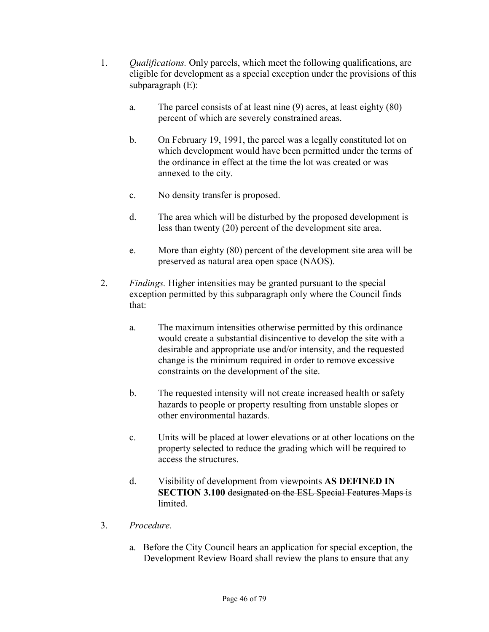- 1. *Qualifications.* Only parcels, which meet the following qualifications, are eligible for development as a special exception under the provisions of this subparagraph (E):
	- a. The parcel consists of at least nine (9) acres, at least eighty (80) percent of which are severely constrained areas.
	- b. On February 19, 1991, the parcel was a legally constituted lot on which development would have been permitted under the terms of the ordinance in effect at the time the lot was created or was annexed to the city.
	- c. No density transfer is proposed.
	- d. The area which will be disturbed by the proposed development is less than twenty (20) percent of the development site area.
	- e. More than eighty (80) percent of the development site area will be preserved as natural area open space (NAOS).
- 2. *Findings.* Higher intensities may be granted pursuant to the special exception permitted by this subparagraph only where the Council finds that:
	- a. The maximum intensities otherwise permitted by this ordinance would create a substantial disincentive to develop the site with a desirable and appropriate use and/or intensity, and the requested change is the minimum required in order to remove excessive constraints on the development of the site.
	- b. The requested intensity will not create increased health or safety hazards to people or property resulting from unstable slopes or other environmental hazards.
	- c. Units will be placed at lower elevations or at other locations on the property selected to reduce the grading which will be required to access the structures.
	- d. Visibility of development from viewpoints **AS DEFINED IN SECTION 3.100 designated on the ESL Special Features Maps is limited**
- 3. *Procedure.*
	- a. Before the City Council hears an application for special exception, the Development Review Board shall review the plans to ensure that any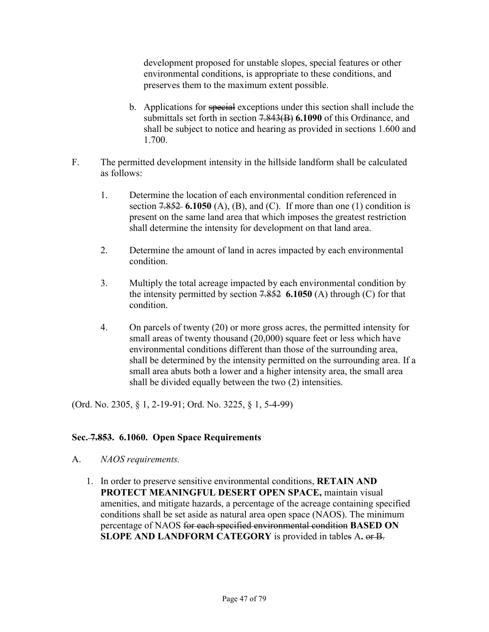development proposed for unstable slopes, special features or other environmental conditions, is appropriate to these conditions, and preserves them to the maximum extent possible.

- b. Applications for special exceptions under this section shall include the submittals set forth in section 7.843(B) **6.1090** of this Ordinance, and shall be subject to notice and hearing as provided in sections 1.600 and 1.700.
- F. The permitted development intensity in the hillside landform shall be calculated as follows:
	- 1. Determine the location of each environmental condition referenced in section 7.852 **6.1050** (A), (B), and (C). If more than one (1) condition is present on the same land area that which imposes the greatest restriction shall determine the intensity for development on that land area.
	- 2. Determine the amount of land in acres impacted by each environmental condition.
	- 3. Multiply the total acreage impacted by each environmental condition by the intensity permitted by section 7.852 **6.1050** (A) through (C) for that condition.
	- 4. On parcels of twenty (20) or more gross acres, the permitted intensity for small areas of twenty thousand (20,000) square feet or less which have environmental conditions different than those of the surrounding area, shall be determined by the intensity permitted on the surrounding area. If a small area abuts both a lower and a higher intensity area, the small area shall be divided equally between the two (2) intensities.

(Ord. No. 2305, § 1, 2-19-91; Ord. No. 3225, § 1, 5-4-99)

### **Sec. 7.853. 6.1060. Open Space Requirements**

- A. *NAOS requirements.*
	- 1. In order to preserve sensitive environmental conditions, **RETAIN AND PROTECT MEANINGFUL DESERT OPEN SPACE,** maintain visual amenities, and mitigate hazards, a percentage of the acreage containing specified conditions shall be set aside as natural area open space (NAOS). The minimum percentage of NAOS for each specified environmental condition **BASED ON SLOPE AND LANDFORM CATEGORY** is provided in tables A**.** or B.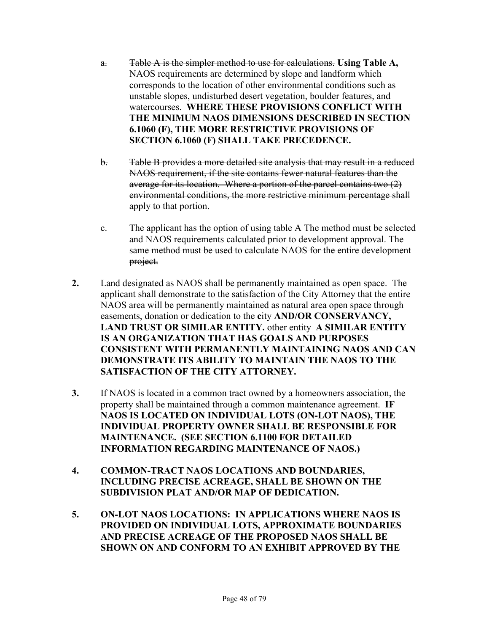- a. Table A is the simpler method to use for calculations. **Using Table A,**  NAOS requirements are determined by slope and landform which corresponds to the location of other environmental conditions such as unstable slopes, undisturbed desert vegetation, boulder features, and watercourses. **WHERE THESE PROVISIONS CONFLICT WITH THE MINIMUM NAOS DIMENSIONS DESCRIBED IN SECTION 6.1060 (F), THE MORE RESTRICTIVE PROVISIONS OF SECTION 6.1060 (F) SHALL TAKE PRECEDENCE.**
- b. Table B provides a more detailed site analysis that may result in a reduced NAOS requirement, if the site contains fewer natural features than the average for its location.Where a portion of the parcel contains two (2) environmental conditions, the more restrictive minimum percentage shall apply to that portion.
- c. The applicant has the option of using table A The method must be selected and NAOS requirements calculated prior to development approval. The same method must be used to calculate NAOS for the entire development project.
- **2.** Land designated as NAOS shall be permanently maintained as open space. The applicant shall demonstrate to the satisfaction of the City Attorney that the entire NAOS area will be permanently maintained as natural area open space through easements, donation or dedication to the **c**ity **AND/OR CONSERVANCY, LAND TRUST OR SIMILAR ENTITY.** other entity **A SIMILAR ENTITY IS AN ORGANIZATION THAT HAS GOALS AND PURPOSES CONSISTENT WITH PERMANENTLY MAINTAINING NAOS AND CAN DEMONSTRATE ITS ABILITY TO MAINTAIN THE NAOS TO THE SATISFACTION OF THE CITY ATTORNEY.**
- **3.** If NAOS is located in a common tract owned by a homeowners association, the property shall be maintained through a common maintenance agreement. **IF NAOS IS LOCATED ON INDIVIDUAL LOTS (ON-LOT NAOS), THE INDIVIDUAL PROPERTY OWNER SHALL BE RESPONSIBLE FOR MAINTENANCE. (SEE SECTION 6.1100 FOR DETAILED INFORMATION REGARDING MAINTENANCE OF NAOS.)**
- **4. COMMON-TRACT NAOS LOCATIONS AND BOUNDARIES, INCLUDING PRECISE ACREAGE, SHALL BE SHOWN ON THE SUBDIVISION PLAT AND/OR MAP OF DEDICATION.**
- **5. ON-LOT NAOS LOCATIONS: IN APPLICATIONS WHERE NAOS IS PROVIDED ON INDIVIDUAL LOTS, APPROXIMATE BOUNDARIES AND PRECISE ACREAGE OF THE PROPOSED NAOS SHALL BE SHOWN ON AND CONFORM TO AN EXHIBIT APPROVED BY THE**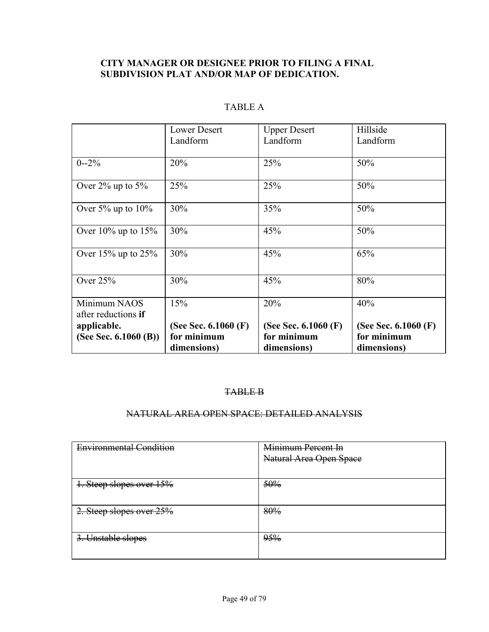# **CITY MANAGER OR DESIGNEE PRIOR TO FILING A FINAL SUBDIVISION PLAT AND/OR MAP OF DEDICATION.**

|                                     | <b>Lower Desert</b><br>Landform | <b>Upper Desert</b><br>Landform | Hillside<br>Landform   |
|-------------------------------------|---------------------------------|---------------------------------|------------------------|
| $0 - 2\%$                           | 20%                             | 25%                             | 50%                    |
| Over $2\%$ up to $5\%$              | 25%                             | 25%                             | 50%                    |
| Over $5\%$ up to $10\%$             | 30%                             | 35%                             | 50%                    |
| Over $10\%$ up to $15\%$            | 30%                             | 45%                             | 50%                    |
| Over $15\%$ up to $25\%$            | 30%                             | 45%                             | 65%                    |
| Over $25%$                          | 30%                             | 45%                             | 80%                    |
| Minimum NAOS<br>after reductions if | 15%                             | 20%                             | 40%                    |
| applicable.                         | (See Sec. $6.1060$ (F)          | (See Sec. $6.1060$ (F)          | (See Sec. $6.1060$ (F) |
| (See Sec. 6.1060 (B))               | for minimum                     | for minimum                     | for minimum            |
|                                     | dimensions)                     | dimensions)                     | dimensions)            |

# TABLE A

#### TABLE B

#### NATURAL AREA OPEN SPACE: DETAILED ANALYSIS

| <b>Environmental Condition</b> | Minimum Percent In      |
|--------------------------------|-------------------------|
|                                | Natural Area Open Space |
|                                |                         |
| 1. Steep slopes over $15%$     | 50%                     |
|                                |                         |
| 2. Steep slopes over 25%       | 80%                     |
|                                |                         |
| 3. Unstable slopes             | 95%                     |
|                                |                         |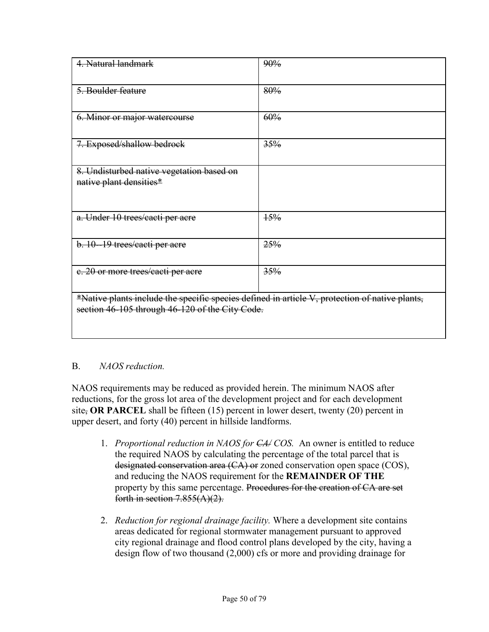| 4. Natural landmark                                                                                                                               | 90% |  |
|---------------------------------------------------------------------------------------------------------------------------------------------------|-----|--|
| 5. Boulder feature                                                                                                                                | 80% |  |
| 6. Minor or major watercourse                                                                                                                     | 60% |  |
| 7. Exposed/shallow bedrock                                                                                                                        | 35% |  |
| 8. Undisturbed native vegetation based on<br>native plant densities*                                                                              |     |  |
| a. Under 10 trees/cacti per acre                                                                                                                  | 15% |  |
| b. 10-19 trees/eacti per acre                                                                                                                     | 25% |  |
| e. 20 or more trees/eacti per acre                                                                                                                | 35% |  |
| *Native plants include the specific species defined in article V, protection of native plants,<br>section 46-105 through 46-120 of the City Code. |     |  |

# B. *NAOS reduction.*

NAOS requirements may be reduced as provided herein. The minimum NAOS after reductions, for the gross lot area of the development project and for each development site, **OR PARCEL** shall be fifteen (15) percent in lower desert, twenty (20) percent in upper desert, and forty (40) percent in hillside landforms.

- 1. *Proportional reduction in NAOS for CA/ COS.* An owner is entitled to reduce the required NAOS by calculating the percentage of the total parcel that is designated conservation area (CA) or zoned conservation open space (COS), and reducing the NAOS requirement for the **REMAINDER OF THE**  property by this same percentage. Procedures for the creation of CA are set forth in section  $7.855(A)(2)$ .
- 2. *Reduction for regional drainage facility.* Where a development site contains areas dedicated for regional stormwater management pursuant to approved city regional drainage and flood control plans developed by the city, having a design flow of two thousand (2,000) cfs or more and providing drainage for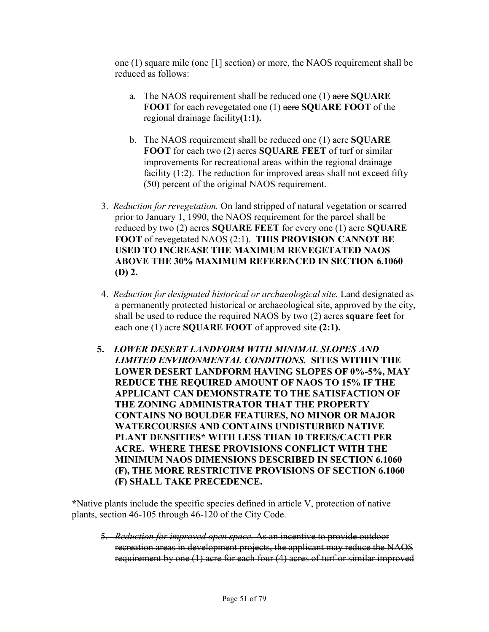one (1) square mile (one [1] section) or more, the NAOS requirement shall be reduced as follows:

- a. The NAOS requirement shall be reduced one (1) acre **SQUARE FOOT** for each revegetated one (1) acre **SQUARE FOOT** of the regional drainage facility**(1:1).**
- b. The NAOS requirement shall be reduced one (1) acre **SQUARE FOOT** for each two (2) acres **SQUARE FEET** of turf or similar improvements for recreational areas within the regional drainage facility  $(1:2)$ . The reduction for improved areas shall not exceed fifty (50) percent of the original NAOS requirement.
- 3. *Reduction for revegetation.* On land stripped of natural vegetation or scarred prior to January 1, 1990, the NAOS requirement for the parcel shall be reduced by two (2) acres **SQUARE FEET** for every one (1) acre **SQUARE FOOT** of revegetated NAOS (2:1). **THIS PROVISION CANNOT BE USED TO INCREASE THE MAXIMUM REVEGETATED NAOS ABOVE THE 30% MAXIMUM REFERENCED IN SECTION 6.1060 (D) 2.**
- 4. *Reduction for designated historical or archaeological site.* Land designated as a permanently protected historical or archaeological site, approved by the city, shall be used to reduce the required NAOS by two (2) acres **square feet** for each one (1) acre **SQUARE FOOT** of approved site **(2:1).**
- **5.** *LOWER DESERT LANDFORM WITH MINIMAL SLOPES AND LIMITED ENVIRONMENTAL CONDITIONS.* **SITES WITHIN THE LOWER DESERT LANDFORM HAVING SLOPES OF 0%-5%, MAY REDUCE THE REQUIRED AMOUNT OF NAOS TO 15% IF THE APPLICANT CAN DEMONSTRATE TO THE SATISFACTION OF THE ZONING ADMINISTRATOR THAT THE PROPERTY CONTAINS NO BOULDER FEATURES, NO MINOR OR MAJOR WATERCOURSES AND CONTAINS UNDISTURBED NATIVE PLANT DENSITIES\* WITH LESS THAN 10 TREES/CACTI PER ACRE. WHERE THESE PROVISIONS CONFLICT WITH THE MINIMUM NAOS DIMENSIONS DESCRIBED IN SECTION 6.1060 (F), THE MORE RESTRICTIVE PROVISIONS OF SECTION 6.1060 (F) SHALL TAKE PRECEDENCE.**

**\***Native plants include the specific species defined in article V, protection of native plants, section 46-105 through 46-120 of the City Code.

 5. *Reduction for improved open space.* As an incentive to provide outdoor recreation areas in development projects, the applicant may reduce the NAOS requirement by one (1) acre for each four (4) acres of turf or similar improved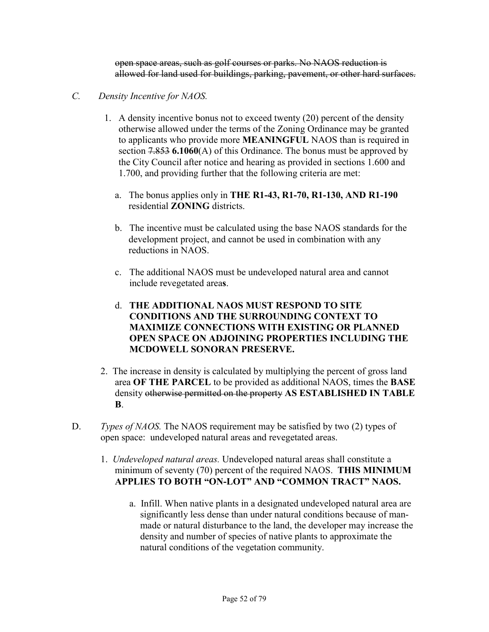open space areas, such as golf courses or parks. No NAOS reduction is allowed for land used for buildings, parking, pavement, or other hard surfaces.

- *C. Density Incentive for NAOS.* 
	- 1. A density incentive bonus not to exceed twenty (20) percent of the density otherwise allowed under the terms of the Zoning Ordinance may be granted to applicants who provide more **MEANINGFUL** NAOS than is required in section 7.853 **6.1060**(A) of this Ordinance. The bonus must be approved by the City Council after notice and hearing as provided in sections 1.600 and 1.700, and providing further that the following criteria are met:
		- a. The bonus applies only in **THE R1-43, R1-70, R1-130, AND R1-190**  residential **ZONING** districts.
		- b. The incentive must be calculated using the base NAOS standards for the development project, and cannot be used in combination with any reductions in NAOS.
		- c. The additional NAOS must be undeveloped natural area and cannot include revegetated area**s**.
		- d. **THE ADDITIONAL NAOS MUST RESPOND TO SITE CONDITIONS AND THE SURROUNDING CONTEXT TO MAXIMIZE CONNECTIONS WITH EXISTING OR PLANNED OPEN SPACE ON ADJOINING PROPERTIES INCLUDING THE MCDOWELL SONORAN PRESERVE.**
	- 2. The increase in density is calculated by multiplying the percent of gross land area **OF THE PARCEL** to be provided as additional NAOS, times the **BASE**  density otherwise permitted on the property **AS ESTABLISHED IN TABLE B**.
- D. *Types of NAOS*. The NAOS requirement may be satisfied by two (2) types of open space: undeveloped natural areas and revegetated areas.
	- 1. *Undeveloped natural areas.* Undeveloped natural areas shall constitute a minimum of seventy (70) percent of the required NAOS. **THIS MINIMUM APPLIES TO BOTH "ON-LOT" AND "COMMON TRACT" NAOS.** 
		- a. Infill. When native plants in a designated undeveloped natural area are significantly less dense than under natural conditions because of manmade or natural disturbance to the land, the developer may increase the density and number of species of native plants to approximate the natural conditions of the vegetation community.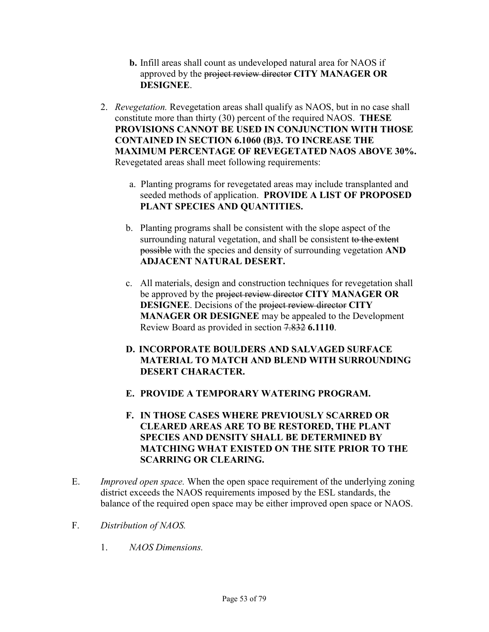- **b.** Infill areas shall count as undeveloped natural area for NAOS if approved by the project review director **CITY MANAGER OR DESIGNEE**.
- 2. *Revegetation.* Revegetation areas shall qualify as NAOS, but in no case shall constitute more than thirty (30) percent of the required NAOS. **THESE PROVISIONS CANNOT BE USED IN CONJUNCTION WITH THOSE CONTAINED IN SECTION 6.1060 (B)3. TO INCREASE THE MAXIMUM PERCENTAGE OF REVEGETATED NAOS ABOVE 30%.**  Revegetated areas shall meet following requirements:
	- a. Planting programs for revegetated areas may include transplanted and seeded methods of application. **PROVIDE A LIST OF PROPOSED PLANT SPECIES AND QUANTITIES.**
	- b. Planting programs shall be consistent with the slope aspect of the surrounding natural vegetation, and shall be consistent to the extent possible with the species and density of surrounding vegetation **AND ADJACENT NATURAL DESERT.**
	- c. All materials, design and construction techniques for revegetation shall be approved by the project review director **CITY MANAGER OR DESIGNEE**. Decisions of the project review director **CITY MANAGER OR DESIGNEE** may be appealed to the Development Review Board as provided in section 7.832 **6.1110**.
	- **D. INCORPORATE BOULDERS AND SALVAGED SURFACE MATERIAL TO MATCH AND BLEND WITH SURROUNDING DESERT CHARACTER.**
	- **E. PROVIDE A TEMPORARY WATERING PROGRAM.**
	- **F. IN THOSE CASES WHERE PREVIOUSLY SCARRED OR CLEARED AREAS ARE TO BE RESTORED, THE PLANT SPECIES AND DENSITY SHALL BE DETERMINED BY MATCHING WHAT EXISTED ON THE SITE PRIOR TO THE SCARRING OR CLEARING.**
- E. *Improved open space.* When the open space requirement of the underlying zoning district exceeds the NAOS requirements imposed by the ESL standards, the balance of the required open space may be either improved open space or NAOS.
- F. *Distribution of NAOS.*
	- 1. *NAOS Dimensions.*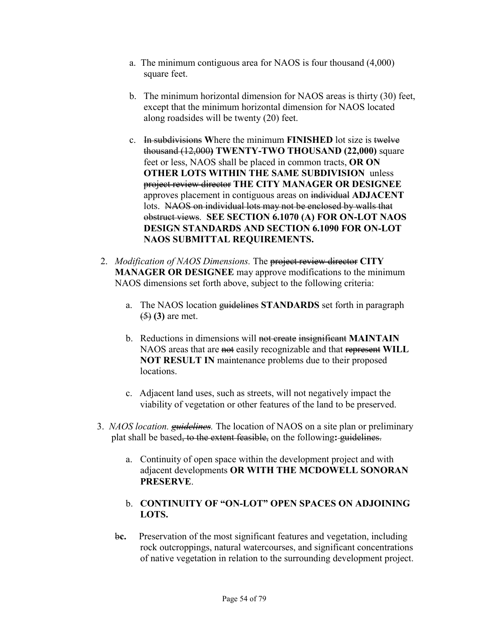- a. The minimum contiguous area for NAOS is four thousand (4,000) square feet.
- b. The minimum horizontal dimension for NAOS areas is thirty (30) feet, except that the minimum horizontal dimension for NAOS located along roadsides will be twenty (20) feet.
- c. In subdivisions **W**here the minimum **FINISHED** lot size is twelve thousand (12,000**) TWENTY-TWO THOUSAND (22,000)** square feet or less, NAOS shall be placed in common tracts, **OR ON OTHER LOTS WITHIN THE SAME SUBDIVISION** unless project review director **THE CITY MANAGER OR DESIGNEE**  approves placement in contiguous areas on individual **ADJACENT** lots.NAOS on individual lots may not be enclosed by walls that obstruct views. **SEE SECTION 6.1070 (A) FOR ON-LOT NAOS DESIGN STANDARDS AND SECTION 6.1090 FOR ON-LOT NAOS SUBMITTAL REQUIREMENTS.**
- 2. *Modification of NAOS Dimensions.* The project review director **CITY MANAGER OR DESIGNEE** may approve modifications to the minimum NAOS dimensions set forth above, subject to the following criteria:
	- a. The NAOS location guidelines **STANDARDS** set forth in paragraph (5) **(3)** are met.
	- b. Reductions in dimensions will not create insignificant **MAINTAIN**  NAOS areas that are not easily recognizable and that represent **WILL NOT RESULT IN** maintenance problems due to their proposed locations.
	- c. Adjacent land uses, such as streets, will not negatively impact the viability of vegetation or other features of the land to be preserved.
- 3. *NAOS location. guidelines.* The location of NAOS on a site plan or preliminary plat shall be based, to the extent feasible, on the following**:** guidelines.
	- a. Continuity of open space within the development project and with adjacent developments **OR WITH THE MCDOWELL SONORAN PRESERVE**.
	- b. **CONTINUITY OF "ON-LOT" OPEN SPACES ON ADJOINING LOTS.**
	- b**c.** Preservation of the most significant features and vegetation, including rock outcroppings, natural watercourses, and significant concentrations of native vegetation in relation to the surrounding development project.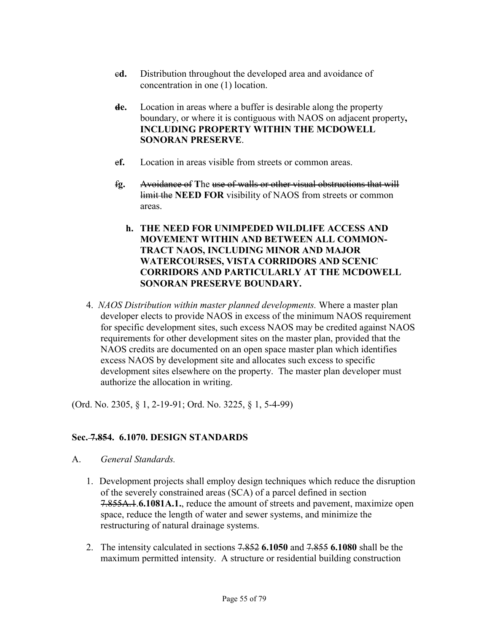- c**d.** Distribution throughout the developed area and avoidance of concentration in one (1) location.
- **de.** Location in areas where a buffer is desirable along the property boundary, or where it is contiguous with NAOS on adjacent property**, INCLUDING PROPERTY WITHIN THE MCDOWELL SONORAN PRESERVE**.
- e**f.** Location in areas visible from streets or common areas.
- f**g.** Avoidance of **T**he use of walls or other visual obstructions that will limit the **NEED FOR** visibility of NAOS from streets or common areas.
	- **h. THE NEED FOR UNIMPEDED WILDLIFE ACCESS AND MOVEMENT WITHIN AND BETWEEN ALL COMMON-TRACT NAOS, INCLUDING MINOR AND MAJOR WATERCOURSES, VISTA CORRIDORS AND SCENIC CORRIDORS AND PARTICULARLY AT THE MCDOWELL SONORAN PRESERVE BOUNDARY.**
- 4. *NAOS Distribution within master planned developments.* Where a master plan developer elects to provide NAOS in excess of the minimum NAOS requirement for specific development sites, such excess NAOS may be credited against NAOS requirements for other development sites on the master plan, provided that the NAOS credits are documented on an open space master plan which identifies excess NAOS by development site and allocates such excess to specific development sites elsewhere on the property. The master plan developer must authorize the allocation in writing.

(Ord. No. 2305, § 1, 2-19-91; Ord. No. 3225, § 1, 5-4-99)

# **Sec. 7.854. 6.1070. DESIGN STANDARDS**

- A. *General Standards.*
	- 1. Development projects shall employ design techniques which reduce the disruption of the severely constrained areas (SCA) of a parcel defined in section 7.855A.1.**6.1081A.1.**, reduce the amount of streets and pavement, maximize open space, reduce the length of water and sewer systems, and minimize the restructuring of natural drainage systems.
	- 2. The intensity calculated in sections 7.852 **6.1050** and 7.855 **6.1080** shall be the maximum permitted intensity. A structure or residential building construction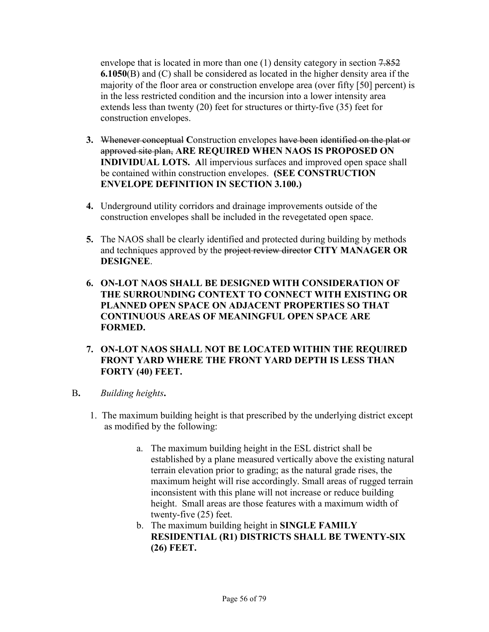envelope that is located in more than one (1) density category in section 7.852 **6.1050**(B) and (C) shall be considered as located in the higher density area if the majority of the floor area or construction envelope area (over fifty [50] percent) is in the less restricted condition and the incursion into a lower intensity area extends less than twenty (20) feet for structures or thirty-five (35) feet for construction envelopes.

- **3.** Whenever conceptual **C**onstruction envelopes have been identified on the plat or approved site plan, **ARE REQUIRED WHEN NAOS IS PROPOSED ON INDIVIDUAL LOTS. A**ll impervious surfaces and improved open space shall be contained within construction envelopes. **(SEE CONSTRUCTION ENVELOPE DEFINITION IN SECTION 3.100.)**
- **4.** Underground utility corridors and drainage improvements outside of the construction envelopes shall be included in the revegetated open space.
- **5.** The NAOS shall be clearly identified and protected during building by methods and techniques approved by the project review director **CITY MANAGER OR DESIGNEE**.
- **6. ON-LOT NAOS SHALL BE DESIGNED WITH CONSIDERATION OF THE SURROUNDING CONTEXT TO CONNECT WITH EXISTING OR PLANNED OPEN SPACE ON ADJACENT PROPERTIES SO THAT CONTINUOUS AREAS OF MEANINGFUL OPEN SPACE ARE FORMED.**
- **7. ON-LOT NAOS SHALL NOT BE LOCATED WITHIN THE REQUIRED FRONT YARD WHERE THE FRONT YARD DEPTH IS LESS THAN FORTY (40) FEET.**
- B**.** *Building heights***.** 
	- 1. The maximum building height is that prescribed by the underlying district except as modified by the following:
		- a. The maximum building height in the ESL district shall be established by a plane measured vertically above the existing natural terrain elevation prior to grading; as the natural grade rises, the maximum height will rise accordingly. Small areas of rugged terrain inconsistent with this plane will not increase or reduce building height. Small areas are those features with a maximum width of twenty-five (25) feet.
		- b. The maximum building height in **SINGLE FAMILY RESIDENTIAL (R1) DISTRICTS SHALL BE TWENTY-SIX (26) FEET.**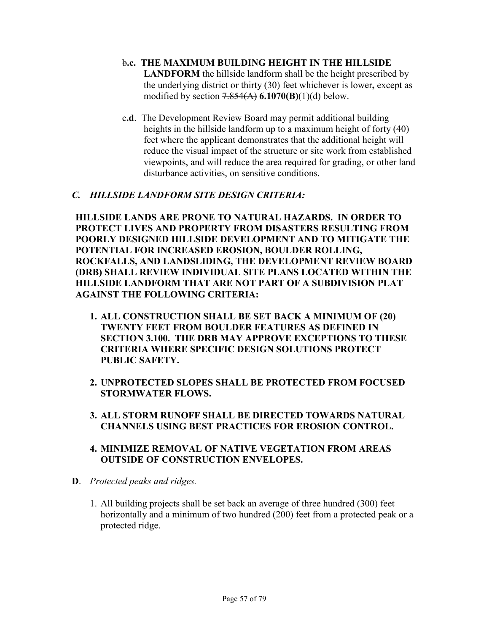### b**.c. THE MAXIMUM BUILDING HEIGHT IN THE HILLSIDE**

**LANDFORM** the hillside landform shall be the height prescribed by the underlying district or thirty (30) feet whichever is lower**,** except as modified by section 7.854(A) **6.1070(B)**(1)(d) below.

c**.d**. The Development Review Board may permit additional building heights in the hillside landform up to a maximum height of forty (40) feet where the applicant demonstrates that the additional height will reduce the visual impact of the structure or site work from established viewpoints, and will reduce the area required for grading, or other land disturbance activities, on sensitive conditions.

### *C. HILLSIDE LANDFORM SITE DESIGN CRITERIA:*

**HILLSIDE LANDS ARE PRONE TO NATURAL HAZARDS. IN ORDER TO PROTECT LIVES AND PROPERTY FROM DISASTERS RESULTING FROM POORLY DESIGNED HILLSIDE DEVELOPMENT AND TO MITIGATE THE POTENTIAL FOR INCREASED EROSION, BOULDER ROLLING, ROCKFALLS, AND LANDSLIDING, THE DEVELOPMENT REVIEW BOARD (DRB) SHALL REVIEW INDIVIDUAL SITE PLANS LOCATED WITHIN THE HILLSIDE LANDFORM THAT ARE NOT PART OF A SUBDIVISION PLAT AGAINST THE FOLLOWING CRITERIA:** 

- **1. ALL CONSTRUCTION SHALL BE SET BACK A MINIMUM OF (20) TWENTY FEET FROM BOULDER FEATURES AS DEFINED IN SECTION 3.100. THE DRB MAY APPROVE EXCEPTIONS TO THESE CRITERIA WHERE SPECIFIC DESIGN SOLUTIONS PROTECT PUBLIC SAFETY.**
- **2. UNPROTECTED SLOPES SHALL BE PROTECTED FROM FOCUSED STORMWATER FLOWS.**
- **3. ALL STORM RUNOFF SHALL BE DIRECTED TOWARDS NATURAL CHANNELS USING BEST PRACTICES FOR EROSION CONTROL.**
- **4. MINIMIZE REMOVAL OF NATIVE VEGETATION FROM AREAS OUTSIDE OF CONSTRUCTION ENVELOPES.**
- **D**. *Protected peaks and ridges.*
	- 1. All building projects shall be set back an average of three hundred (300) feet horizontally and a minimum of two hundred (200) feet from a protected peak or a protected ridge.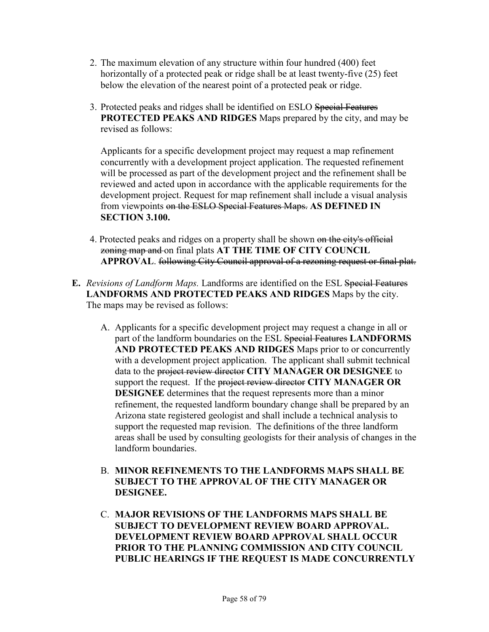- 2. The maximum elevation of any structure within four hundred (400) feet horizontally of a protected peak or ridge shall be at least twenty-five (25) feet below the elevation of the nearest point of a protected peak or ridge.
- 3. Protected peaks and ridges shall be identified on ESLO Special Features **PROTECTED PEAKS AND RIDGES** Maps prepared by the city, and may be revised as follows:

Applicants for a specific development project may request a map refinement concurrently with a development project application. The requested refinement will be processed as part of the development project and the refinement shall be reviewed and acted upon in accordance with the applicable requirements for the development project. Request for map refinement shall include a visual analysis from viewpoints on the ESLO Special Features Maps. **AS DEFINED IN SECTION 3.100.** 

- 4. Protected peaks and ridges on a property shall be shown on the city's official zoning map and on final plats **AT THE TIME OF CITY COUNCIL APPROVAL**. following City Council approval of a rezoning request or final plat.
- **E.** *Revisions of Landform Maps.* Landforms are identified on the ESL Special Features **LANDFORMS AND PROTECTED PEAKS AND RIDGES** Maps by the city. The maps may be revised as follows:
	- A. Applicants for a specific development project may request a change in all or part of the landform boundaries on the ESL Special Features **LANDFORMS AND PROTECTED PEAKS AND RIDGES** Maps prior to or concurrently with a development project application. The applicant shall submit technical data to the project review director **CITY MANAGER OR DESIGNEE** to support the request. If the project review director **CITY MANAGER OR DESIGNEE** determines that the request represents more than a minor refinement, the requested landform boundary change shall be prepared by an Arizona state registered geologist and shall include a technical analysis to support the requested map revision. The definitions of the three landform areas shall be used by consulting geologists for their analysis of changes in the landform boundaries.
	- B. **MINOR REFINEMENTS TO THE LANDFORMS MAPS SHALL BE SUBJECT TO THE APPROVAL OF THE CITY MANAGER OR DESIGNEE.**
	- C. **MAJOR REVISIONS OF THE LANDFORMS MAPS SHALL BE SUBJECT TO DEVELOPMENT REVIEW BOARD APPROVAL. DEVELOPMENT REVIEW BOARD APPROVAL SHALL OCCUR PRIOR TO THE PLANNING COMMISSION AND CITY COUNCIL PUBLIC HEARINGS IF THE REQUEST IS MADE CONCURRENTLY**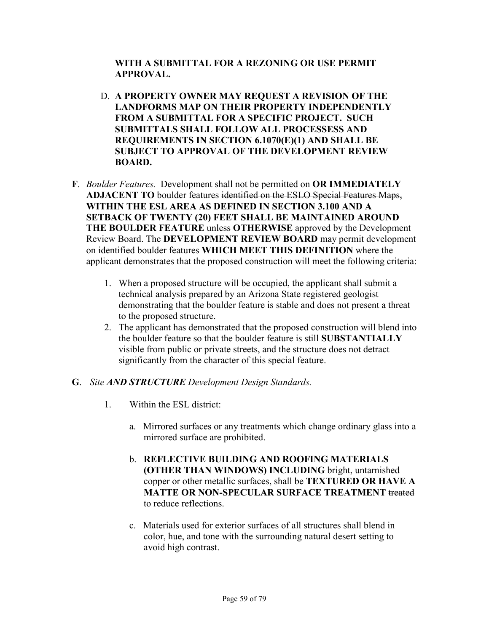### **WITH A SUBMITTAL FOR A REZONING OR USE PERMIT APPROVAL.**

- D. **A PROPERTY OWNER MAY REQUEST A REVISION OF THE LANDFORMS MAP ON THEIR PROPERTY INDEPENDENTLY FROM A SUBMITTAL FOR A SPECIFIC PROJECT. SUCH SUBMITTALS SHALL FOLLOW ALL PROCESSESS AND REQUIREMENTS IN SECTION 6.1070(E)(1) AND SHALL BE SUBJECT TO APPROVAL OF THE DEVELOPMENT REVIEW BOARD.**
- **F**. *Boulder Features.* Development shall not be permitted on **OR IMMEDIATELY ADJACENT TO** boulder features identified on the ESLO Special Features Maps, **WITHIN THE ESL AREA AS DEFINED IN SECTION 3.100 AND A SETBACK OF TWENTY (20) FEET SHALL BE MAINTAINED AROUND THE BOULDER FEATURE** unless **OTHERWISE** approved by the Development Review Board. The **DEVELOPMENT REVIEW BOARD** may permit development on identified boulder features **WHICH MEET THIS DEFINITION** where the applicant demonstrates that the proposed construction will meet the following criteria:
	- 1. When a proposed structure will be occupied, the applicant shall submit a technical analysis prepared by an Arizona State registered geologist demonstrating that the boulder feature is stable and does not present a threat to the proposed structure.
	- 2. The applicant has demonstrated that the proposed construction will blend into the boulder feature so that the boulder feature is still **SUBSTANTIALLY**  visible from public or private streets, and the structure does not detract significantly from the character of this special feature.

### **G**. *Site AND STRUCTURE Development Design Standards.*

- 1. Within the ESL district:
	- a. Mirrored surfaces or any treatments which change ordinary glass into a mirrored surface are prohibited.
	- b. **REFLECTIVE BUILDING AND ROOFING MATERIALS (OTHER THAN WINDOWS) INCLUDING** bright, untarnished copper or other metallic surfaces, shall be **TEXTURED OR HAVE A MATTE OR NON-SPECULAR SURFACE TREATMENT** treated to reduce reflections.
	- c. Materials used for exterior surfaces of all structures shall blend in color, hue, and tone with the surrounding natural desert setting to avoid high contrast.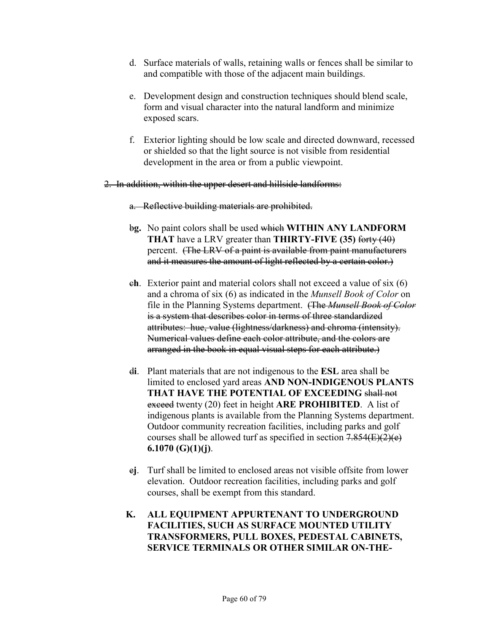- d. Surface materials of walls, retaining walls or fences shall be similar to and compatible with those of the adjacent main buildings.
- e. Development design and construction techniques should blend scale, form and visual character into the natural landform and minimize exposed scars.
- f. Exterior lighting should be low scale and directed downward, recessed or shielded so that the light source is not visible from residential development in the area or from a public viewpoint.
- 2. In addition, within the upper desert and hillside landforms:
	- a. Reflective building materials are prohibited.
	- b**g.** No paint colors shall be used which **WITHIN ANY LANDFORM THAT** have a LRV greater than **THIRTY-FIVE (35)** forty (40) percent. (The LRV of a paint is available from paint manufacturers and it measures the amount of light reflected by a certain color.)
	- c**h**. Exterior paint and material colors shall not exceed a value of six (6) and a chroma of six (6) as indicated in the *Munsell Book of Color* on file in the Planning Systems department. (The *Munsell Book of Color* is a system that describes color in terms of three standardized attributes: hue, value (lightness/darkness) and chroma (intensity). Numerical values define each color attribute, and the colors are arranged in the book in equal visual steps for each attribute.)
	- d**i**. Plant materials that are not indigenous to the **ESL** area shall be limited to enclosed yard areas **AND NON-INDIGENOUS PLANTS THAT HAVE THE POTENTIAL OF EXCEEDING** shall not exceed twenty (20) feet in height **ARE PROHIBITED**. A list of indigenous plants is available from the Planning Systems department. Outdoor community recreation facilities, including parks and golf courses shall be allowed turf as specified in section  $7.854(E)(2)(e)$ **6.1070 (G)(1)(j)**.
	- e**j**. Turf shall be limited to enclosed areas not visible offsite from lower elevation. Outdoor recreation facilities, including parks and golf courses, shall be exempt from this standard.
	- **K. ALL EQUIPMENT APPURTENANT TO UNDERGROUND FACILITIES, SUCH AS SURFACE MOUNTED UTILITY TRANSFORMERS, PULL BOXES, PEDESTAL CABINETS, SERVICE TERMINALS OR OTHER SIMILAR ON-THE-**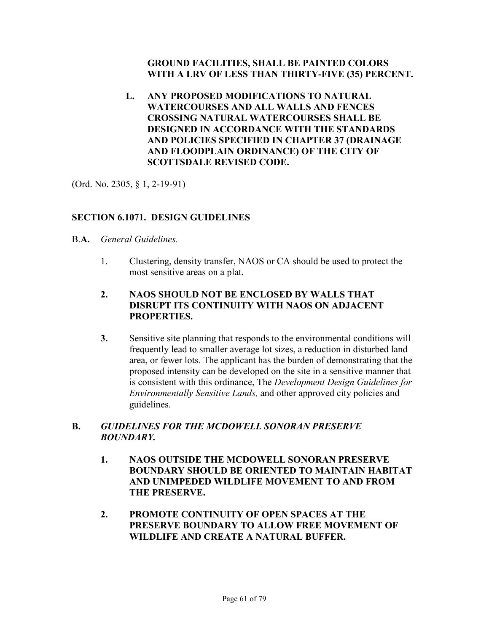### **GROUND FACILITIES, SHALL BE PAINTED COLORS WITH A LRV OF LESS THAN THIRTY-FIVE (35) PERCENT.**

**L. ANY PROPOSED MODIFICATIONS TO NATURAL WATERCOURSES AND ALL WALLS AND FENCES CROSSING NATURAL WATERCOURSES SHALL BE DESIGNED IN ACCORDANCE WITH THE STANDARDS AND POLICIES SPECIFIED IN CHAPTER 37 (DRAINAGE AND FLOODPLAIN ORDINANCE) OF THE CITY OF SCOTTSDALE REVISED CODE.** 

(Ord. No. 2305, § 1, 2-19-91)

## **SECTION 6.1071. DESIGN GUIDELINES**

- B.**A.** *General Guidelines.*
	- 1. Clustering, density transfer, NAOS or CA should be used to protect the most sensitive areas on a plat.
	- **2. NAOS SHOULD NOT BE ENCLOSED BY WALLS THAT DISRUPT ITS CONTINUITY WITH NAOS ON ADJACENT PROPERTIES.**
	- **3.** Sensitive site planning that responds to the environmental conditions will frequently lead to smaller average lot sizes, a reduction in disturbed land area, or fewer lots. The applicant has the burden of demonstrating that the proposed intensity can be developed on the site in a sensitive manner that is consistent with this ordinance, The *Development Design Guidelines for Environmentally Sensitive Lands,* and other approved city policies and guidelines.

### **B.** *GUIDELINES FOR THE MCDOWELL SONORAN PRESERVE BOUNDARY.*

- **1. NAOS OUTSIDE THE MCDOWELL SONORAN PRESERVE BOUNDARY SHOULD BE ORIENTED TO MAINTAIN HABITAT AND UNIMPEDED WILDLIFE MOVEMENT TO AND FROM THE PRESERVE.**
- **2. PROMOTE CONTINUITY OF OPEN SPACES AT THE PRESERVE BOUNDARY TO ALLOW FREE MOVEMENT OF WILDLIFE AND CREATE A NATURAL BUFFER.**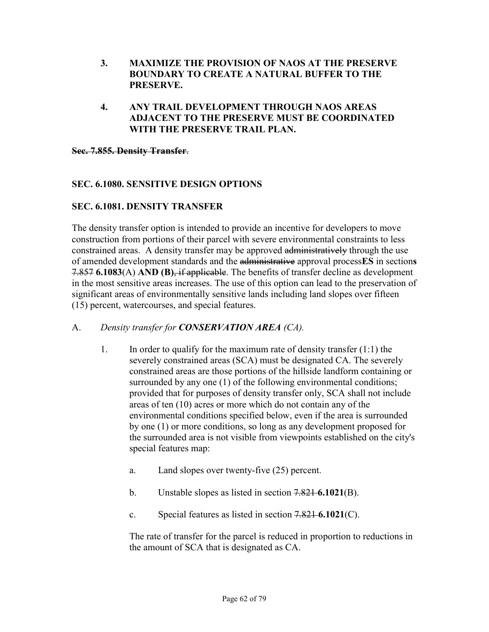- **3. MAXIMIZE THE PROVISION OF NAOS AT THE PRESERVE BOUNDARY TO CREATE A NATURAL BUFFER TO THE PRESERVE.**
- **4. ANY TRAIL DEVELOPMENT THROUGH NAOS AREAS ADJACENT TO THE PRESERVE MUST BE COORDINATED WITH THE PRESERVE TRAIL PLAN.**

**Sec. 7.855. Density Transfer**.

## **SEC. 6.1080. SENSITIVE DESIGN OPTIONS**

## **SEC. 6.1081. DENSITY TRANSFER**

The density transfer option is intended to provide an incentive for developers to move construction from portions of their parcel with severe environmental constraints to less constrained areas. A density transfer may be approved administratively through the use of amended development standards and the administrative approval process**ES** in section**s** 7.857 **6.1083**(A) **AND (B)**, if applicable. The benefits of transfer decline as development in the most sensitive areas increases. The use of this option can lead to the preservation of significant areas of environmentally sensitive lands including land slopes over fifteen (15) percent, watercourses, and special features.

### A. *Density transfer for CONSERVATION AREA (CA).*

- 1. In order to qualify for the maximum rate of density transfer (1:1) the severely constrained areas (SCA) must be designated CA. The severely constrained areas are those portions of the hillside landform containing or surrounded by any one (1) of the following environmental conditions; provided that for purposes of density transfer only, SCA shall not include areas of ten (10) acres or more which do not contain any of the environmental conditions specified below, even if the area is surrounded by one (1) or more conditions, so long as any development proposed for the surrounded area is not visible from viewpoints established on the city's special features map:
	- a. Land slopes over twenty-five (25) percent.
	- b. Unstable slopes as listed in section 7.821 **6.1021**(B).
	- c. Special features as listed in section 7.821 **6.1021**(C).

 The rate of transfer for the parcel is reduced in proportion to reductions in the amount of SCA that is designated as CA.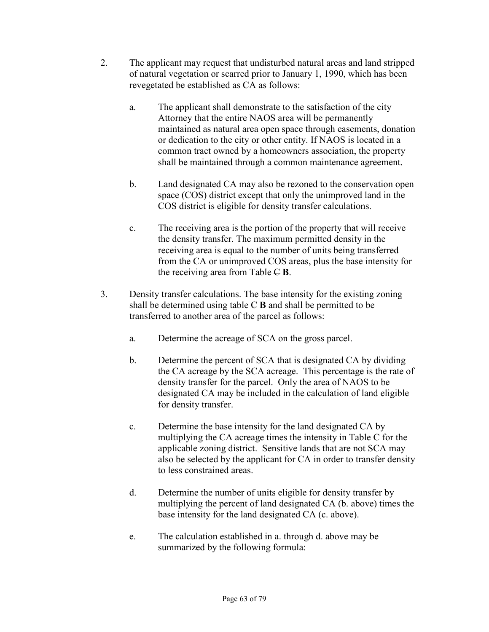- 2. The applicant may request that undisturbed natural areas and land stripped of natural vegetation or scarred prior to January 1, 1990, which has been revegetated be established as CA as follows:
	- a. The applicant shall demonstrate to the satisfaction of the city Attorney that the entire NAOS area will be permanently maintained as natural area open space through easements, donation or dedication to the city or other entity. If NAOS is located in a common tract owned by a homeowners association, the property shall be maintained through a common maintenance agreement.
	- b. Land designated CA may also be rezoned to the conservation open space (COS) district except that only the unimproved land in the COS district is eligible for density transfer calculations.
	- c. The receiving area is the portion of the property that will receive the density transfer. The maximum permitted density in the receiving area is equal to the number of units being transferred from the CA or unimproved COS areas, plus the base intensity for the receiving area from Table  $\in$  **B**.
- 3. Density transfer calculations. The base intensity for the existing zoning shall be determined using table C **B** and shall be permitted to be transferred to another area of the parcel as follows:
	- a. Determine the acreage of SCA on the gross parcel.
	- b. Determine the percent of SCA that is designated CA by dividing the CA acreage by the SCA acreage. This percentage is the rate of density transfer for the parcel. Only the area of NAOS to be designated CA may be included in the calculation of land eligible for density transfer.
	- c. Determine the base intensity for the land designated CA by multiplying the CA acreage times the intensity in Table C for the applicable zoning district. Sensitive lands that are not SCA may also be selected by the applicant for CA in order to transfer density to less constrained areas.
	- d. Determine the number of units eligible for density transfer by multiplying the percent of land designated CA (b. above) times the base intensity for the land designated CA (c. above).
	- e. The calculation established in a. through d. above may be summarized by the following formula: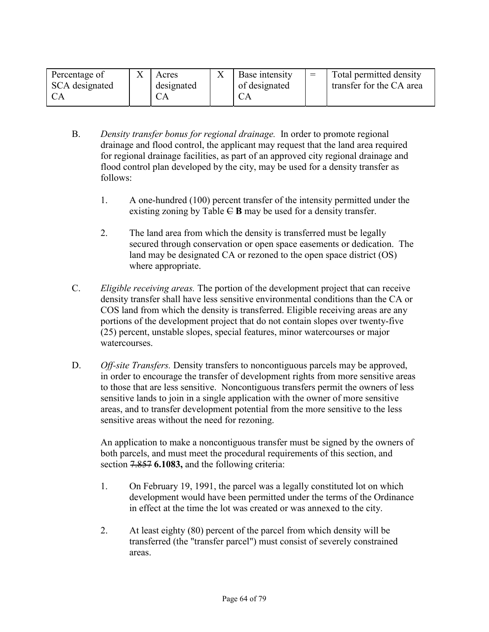| Percentage of  | Acres      | Base intensity | Total permitted density  |
|----------------|------------|----------------|--------------------------|
| SCA designated | designated | of designated  | transfer for the CA area |
|                |            |                |                          |

- B. *Density transfer bonus for regional drainage.* In order to promote regional drainage and flood control, the applicant may request that the land area required for regional drainage facilities, as part of an approved city regional drainage and flood control plan developed by the city, may be used for a density transfer as follows:
	- 1. A one-hundred (100) percent transfer of the intensity permitted under the existing zoning by Table  $\in$  **B** may be used for a density transfer.
	- 2. The land area from which the density is transferred must be legally secured through conservation or open space easements or dedication. The land may be designated CA or rezoned to the open space district (OS) where appropriate.
- C. *Eligible receiving areas.* The portion of the development project that can receive density transfer shall have less sensitive environmental conditions than the CA or COS land from which the density is transferred. Eligible receiving areas are any portions of the development project that do not contain slopes over twenty-five (25) percent, unstable slopes, special features, minor watercourses or major watercourses.
- D. *Off-site Transfers.* Density transfers to noncontiguous parcels may be approved, in order to encourage the transfer of development rights from more sensitive areas to those that are less sensitive. Noncontiguous transfers permit the owners of less sensitive lands to join in a single application with the owner of more sensitive areas, and to transfer development potential from the more sensitive to the less sensitive areas without the need for rezoning.

 An application to make a noncontiguous transfer must be signed by the owners of both parcels, and must meet the procedural requirements of this section, and section 7.857 **6.1083,** and the following criteria:

- 1. On February 19, 1991, the parcel was a legally constituted lot on which development would have been permitted under the terms of the Ordinance in effect at the time the lot was created or was annexed to the city.
- 2. At least eighty (80) percent of the parcel from which density will be transferred (the "transfer parcel") must consist of severely constrained areas.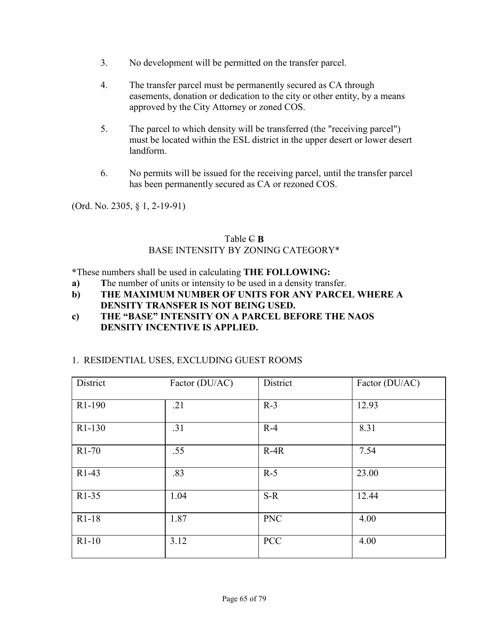- 3. No development will be permitted on the transfer parcel.
- 4. The transfer parcel must be permanently secured as CA through easements, donation or dedication to the city or other entity, by a means approved by the City Attorney or zoned COS.
- 5. The parcel to which density will be transferred (the "receiving parcel") must be located within the ESL district in the upper desert or lower desert landform.
- 6. No permits will be issued for the receiving parcel, until the transfer parcel has been permanently secured as CA or rezoned COS.

(Ord. No. 2305, § 1, 2-19-91)

### Table  $\in$  **B** BASE INTENSITY BY ZONING CATEGORY\*

**\***These numbers shall be used in calculating **THE FOLLOWING:** 

- **a) T**he number of units or intensity to be used in a density transfer.
- **b) THE MAXIMUM NUMBER OF UNITS FOR ANY PARCEL WHERE A DENSITY TRANSFER IS NOT BEING USED.**
- **c) THE "BASE" INTENSITY ON A PARCEL BEFORE THE NAOS DENSITY INCENTIVE IS APPLIED.**

### 1. RESIDENTIAL USES, EXCLUDING GUEST ROOMS

| District            | Factor (DU/AC) | District   | Factor (DU/AC) |
|---------------------|----------------|------------|----------------|
| R <sub>1</sub> -190 | .21            | $R-3$      | 12.93          |
| R <sub>1</sub> -130 | .31            | $R-4$      | 8.31           |
| $R1-70$             | .55            | $R-4R$     | 7.54           |
| $R1-43$             | .83            | $R-5$      | 23.00          |
| R1-35               | 1.04           | $S-R$      | 12.44          |
| $R1-18$             | 1.87           | <b>PNC</b> | 4.00           |
| $R1-10$             | 3.12           | <b>PCC</b> | 4.00           |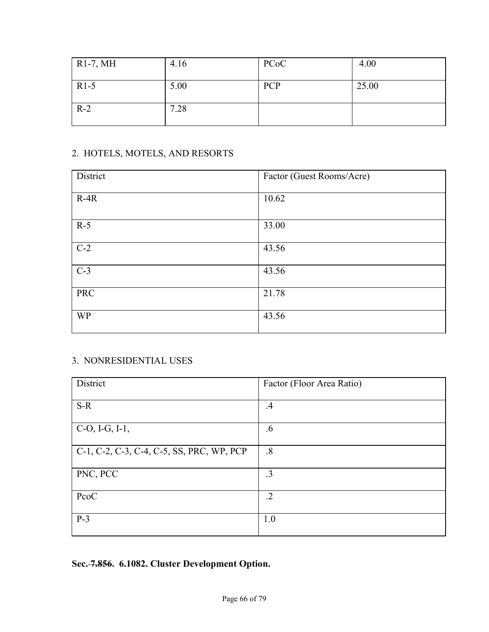| $R1-7, MH$ | 4.16 | PC <sub>o</sub> C | 4.00  |
|------------|------|-------------------|-------|
| $R1-5$     | 5.00 | <b>PCP</b>        | 25.00 |
| $R-2$      | 7.28 |                   |       |

# 2. HOTELS, MOTELS, AND RESORTS

| District   | Factor (Guest Rooms/Acre) |
|------------|---------------------------|
| $R-4R$     | 10.62                     |
| $R-5$      | 33.00                     |
| $C-2$      | 43.56                     |
| $C-3$      | 43.56                     |
| <b>PRC</b> | 21.78                     |
| <b>WP</b>  | 43.56                     |

# 3. NONRESIDENTIAL USES

| District                                  | Factor (Floor Area Ratio) |
|-------------------------------------------|---------------------------|
|                                           |                           |
| $S-R$                                     | $.4\,$                    |
| $C-O, I-G, I-1,$                          | .6                        |
| C-1, C-2, C-3, C-4, C-5, SS, PRC, WP, PCP | .8                        |
| PNC, PCC                                  | $\cdot$ 3                 |
| PcoC                                      | $\cdot$ .2                |
| $P-3$                                     | 1.0                       |

**Sec. 7.856. 6.1082. Cluster Development Option.**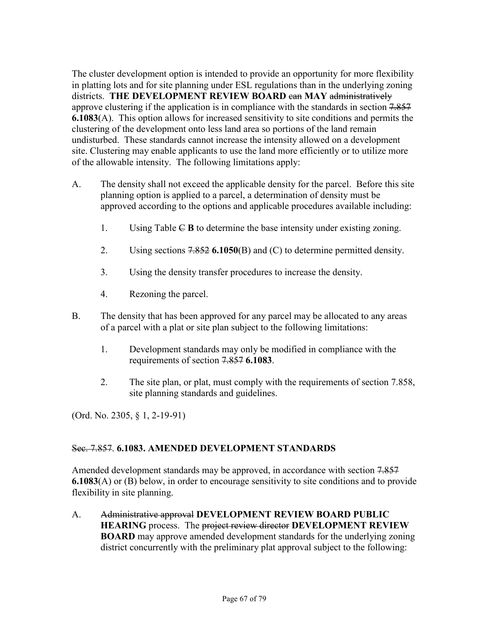The cluster development option is intended to provide an opportunity for more flexibility in platting lots and for site planning under ESL regulations than in the underlying zoning districts. **THE DEVELOPMENT REVIEW BOARD** can **MAY** administratively approve clustering if the application is in compliance with the standards in section 7.857 **6.1083**(A). This option allows for increased sensitivity to site conditions and permits the clustering of the development onto less land area so portions of the land remain undisturbed. These standards cannot increase the intensity allowed on a development site. Clustering may enable applicants to use the land more efficiently or to utilize more of the allowable intensity. The following limitations apply:

- A. The density shall not exceed the applicable density for the parcel. Before this site planning option is applied to a parcel, a determination of density must be approved according to the options and applicable procedures available including:
	- 1. Using Table C **B** to determine the base intensity under existing zoning.
	- 2. Using sections 7.852 **6.1050**(B) and (C) to determine permitted density.
	- 3. Using the density transfer procedures to increase the density.
	- 4. Rezoning the parcel.
- B. The density that has been approved for any parcel may be allocated to any areas of a parcel with a plat or site plan subject to the following limitations:
	- 1. Development standards may only be modified in compliance with the requirements of section 7.857 **6.1083**.
	- 2. The site plan, or plat, must comply with the requirements of section 7.858, site planning standards and guidelines.

(Ord. No. 2305, § 1, 2-19-91)

### Sec. 7.857. **6.1083. AMENDED DEVELOPMENT STANDARDS**

Amended development standards may be approved, in accordance with section 7.857 **6.1083**(A) or (B) below, in order to encourage sensitivity to site conditions and to provide flexibility in site planning.

A. Administrative approval **DEVELOPMENT REVIEW BOARD PUBLIC HEARING** process. The project review director **DEVELOPMENT REVIEW BOARD** may approve amended development standards for the underlying zoning district concurrently with the preliminary plat approval subject to the following: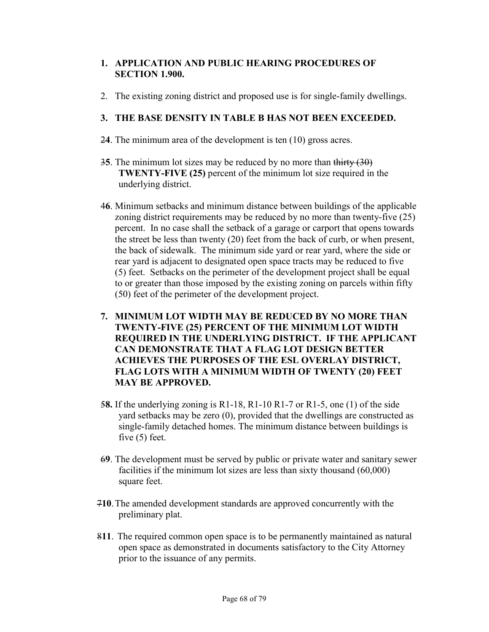### **1. APPLICATION AND PUBLIC HEARING PROCEDURES OF SECTION 1.900.**

2. The existing zoning district and proposed use is for single-family dwellings.

### **3. THE BASE DENSITY IN TABLE B HAS NOT BEEN EXCEEDED.**

- 2**4**. The minimum area of the development is ten (10) gross acres.
- 3**5**. The minimum lot sizes may be reduced by no more than thirty (30) **TWENTY-FIVE (25)** percent of the minimum lot size required in the underlying district.
- 4**6**. Minimum setbacks and minimum distance between buildings of the applicable zoning district requirements may be reduced by no more than twenty-five (25) percent. In no case shall the setback of a garage or carport that opens towards the street be less than twenty (20) feet from the back of curb, or when present, the back of sidewalk. The minimum side yard or rear yard, where the side or rear yard is adjacent to designated open space tracts may be reduced to five (5) feet. Setbacks on the perimeter of the development project shall be equal to or greater than those imposed by the existing zoning on parcels within fifty (50) feet of the perimeter of the development project.
- **7. MINIMUM LOT WIDTH MAY BE REDUCED BY NO MORE THAN TWENTY-FIVE (25) PERCENT OF THE MINIMUM LOT WIDTH REQUIRED IN THE UNDERLYING DISTRICT. IF THE APPLICANT CAN DEMONSTRATE THAT A FLAG LOT DESIGN BETTER ACHIEVES THE PURPOSES OF THE ESL OVERLAY DISTRICT, FLAG LOTS WITH A MINIMUM WIDTH OF TWENTY (20) FEET MAY BE APPROVED.**
- 5**8.** If the underlying zoning is R1-18, R1-10 R1-7 or R1-5, one (1) of the side yard setbacks may be zero (0), provided that the dwellings are constructed as single-family detached homes. The minimum distance between buildings is five (5) feet.
- 6**9**. The development must be served by public or private water and sanitary sewer facilities if the minimum lot sizes are less than sixty thousand (60,000) square feet.
- 7**10**. The amended development standards are approved concurrently with the preliminary plat.
- 8**11**. The required common open space is to be permanently maintained as natural open space as demonstrated in documents satisfactory to the City Attorney prior to the issuance of any permits.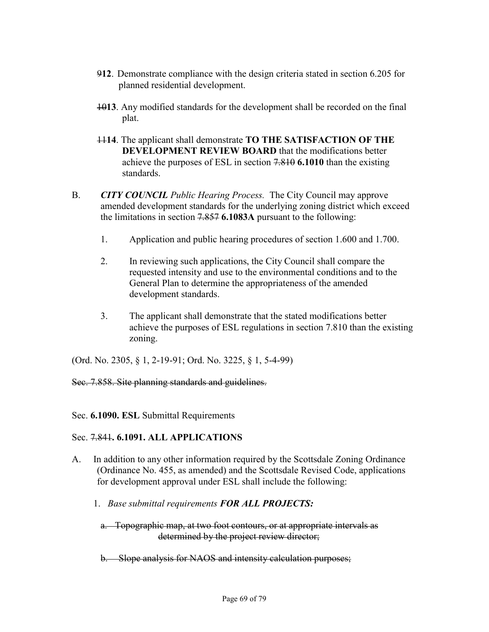- 9**12**. Demonstrate compliance with the design criteria stated in section 6.205 for planned residential development.
- 10**13**. Any modified standards for the development shall be recorded on the final plat.
- 11**14**. The applicant shall demonstrate **TO THE SATISFACTION OF THE DEVELOPMENT REVIEW BOARD** that the modifications better achieve the purposes of ESL in section 7.810 **6.1010** than the existing standards.
- B. *CITY COUNCIL Public Hearing Process.* The City Council may approve amended development standards for the underlying zoning district which exceed the limitations in section 7.857 **6.1083A** pursuant to the following:
	- 1. Application and public hearing procedures of section 1.600 and 1.700.
	- 2. In reviewing such applications, the City Council shall compare the requested intensity and use to the environmental conditions and to the General Plan to determine the appropriateness of the amended development standards.
	- 3. The applicant shall demonstrate that the stated modifications better achieve the purposes of ESL regulations in section 7.810 than the existing zoning.

(Ord. No. 2305, § 1, 2-19-91; Ord. No. 3225, § 1, 5-4-99)

#### Sec. 7.858. Site planning standards and guidelines.

Sec. **6.1090. ESL** Submittal Requirements

#### Sec. 7.841**. 6.1091. ALL APPLICATIONS**

- A. In addition to any other information required by the Scottsdale Zoning Ordinance (Ordinance No. 455, as amended) and the Scottsdale Revised Code, applications for development approval under ESL shall include the following:
	- 1. *Base submittal requirements FOR ALL PROJECTS:*
		- a. Topographic map, at two foot contours, or at appropriate intervals as determined by the project review director;
		- b. Slope analysis for NAOS and intensity calculation purposes;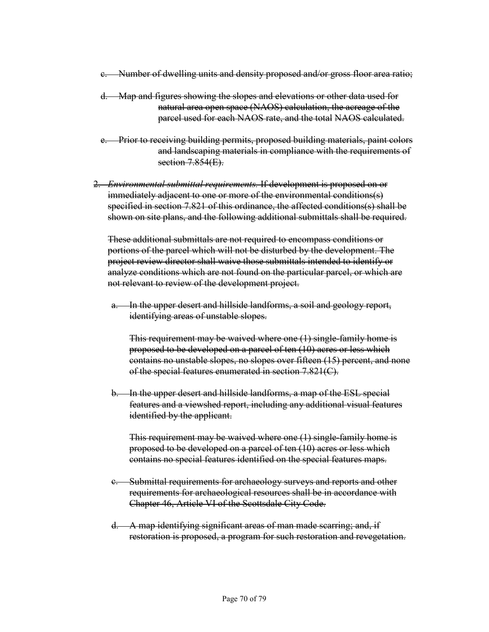- c. Number of dwelling units and density proposed and/or gross floor area ratio;
- d. Map and figures showing the slopes and elevations or other data used for natural area open space (NAOS) calculation, the acreage of the parcel used for each NAOS rate, and the total NAOS calculated.
- e. Prior to receiving building permits, proposed building materials, paint colors and landscaping materials in compliance with the requirements of section 7.854(E).
- 2. *Environmental submittal requirements.* If development is proposed on or immediately adjacent to one or more of the environmental conditions(s) specified in section 7.821 of this ordinance, the affected conditions(s) shall be shown on site plans, and the following additional submittals shall be required.

 These additional submittals are not required to encompass conditions or portions of the parcel which will not be disturbed by the development. The project review director shall waive those submittals intended to identify or analyze conditions which are not found on the particular parcel, or which are not relevant to review of the development project.

 a. In the upper desert and hillside landforms, a soil and geology report, identifying areas of unstable slopes.

 This requirement may be waived where one (1) single-family home is proposed to be developed on a parcel of ten (10) acres or less which contains no unstable slopes, no slopes over fifteen (15) percent, and none of the special features enumerated in section 7.821(C).

 b. In the upper desert and hillside landforms, a map of the ESL special features and a viewshed report, including any additional visual features identified by the applicant.

 This requirement may be waived where one (1) single-family home is proposed to be developed on a parcel of ten (10) acres or less which contains no special features identified on the special features maps.

- c. Submittal requirements for archaeology surveys and reports and other requirements for archaeological resources shall be in accordance with Chapter 46, Article VI of the Scottsdale City Code.
- d. A map identifying significant areas of man made scarring; and, if restoration is proposed, a program for such restoration and revegetation.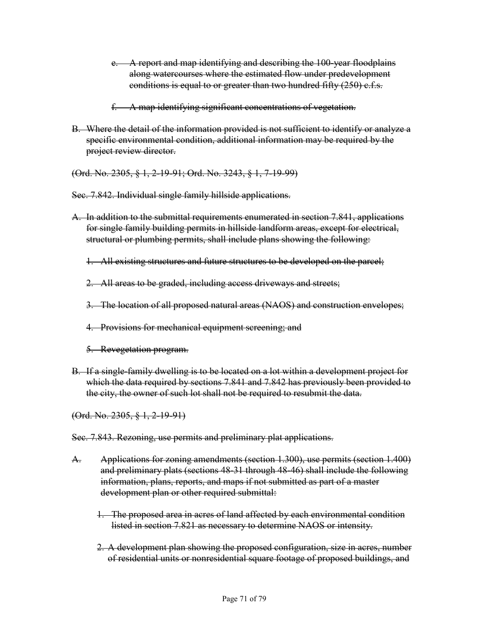- e. A report and map identifying and describing the 100-year floodplains along watercourses where the estimated flow under predevelopment conditions is equal to or greater than two hundred fifty (250) c.f.s.
- f. A map identifying significant concentrations of vegetation.
- B. Where the detail of the information provided is not sufficient to identify or analyze a specific environmental condition, additional information may be required by the project review director.
- (Ord. No. 2305, § 1, 2-19-91; Ord. No. 3243, § 1, 7-19-99)

Sec. 7.842. Individual single family hillside applications.

- A. In addition to the submittal requirements enumerated in section 7.841, applications for single family building permits in hillside landform areas, except for electrical, structural or plumbing permits, shall include plans showing the following:
	- 1. All existing structures and future structures to be developed on the parcel;
	- 2. All areas to be graded, including access driveways and streets;
	- 3. The location of all proposed natural areas (NAOS) and construction envelopes;
	- 4. Provisions for mechanical equipment screening; and
	- 5. Revegetation program.
- B. If a single-family dwelling is to be located on a lot within a development project for which the data required by sections 7.841 and 7.842 has previously been provided to the city, the owner of such lot shall not be required to resubmit the data.

(Ord. No. 2305, § 1, 2-19-91)

Sec. 7.843. Rezoning, use permits and preliminary plat applications.

- A. Applications for zoning amendments (section 1.300), use permits (section 1.400) and preliminary plats (sections 48-31 through 48-46) shall include the following information, plans, reports, and maps if not submitted as part of a master development plan or other required submittal:
	- 1. The proposed area in acres of land affected by each environmental condition listed in section 7.821 as necessary to determine NAOS or intensity.
	- 2. A development plan showing the proposed configuration, size in acres, number of residential units or nonresidential square footage of proposed buildings, and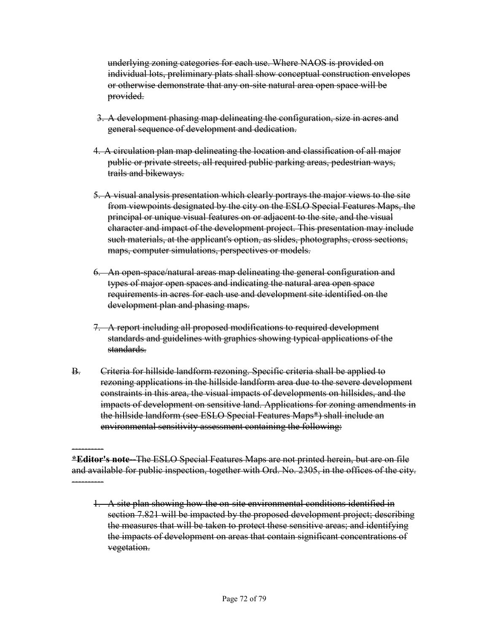underlying zoning categories for each use. Where NAOS is provided on individual lots, preliminary plats shall show conceptual construction envelopes or otherwise demonstrate that any on-site natural area open space will be provided.

- 3. A development phasing map delineating the configuration, size in acres and general sequence of development and dedication.
- 4. A circulation plan map delineating the location and classification of all major public or private streets, all required public parking areas, pedestrian ways, trails and bikeways.
- 5. A visual analysis presentation which clearly portrays the major views to the site from viewpoints designated by the city on the ESLO Special Features Maps, the principal or unique visual features on or adjacent to the site, and the visual character and impact of the development project. This presentation may include such materials, at the applicant's option, as slides, photographs, cross sections, maps, computer simulations, perspectives or models.
- 6. An open-space/natural areas map delineating the general configuration and types of major open spaces and indicating the natural area open space requirements in acres for each use and development site identified on the development plan and phasing maps.
- 7. A report including all proposed modifications to required development standards and guidelines with graphics showing typical applications of the standards.
- B. Criteria for hillside landform rezoning. Specific criteria shall be applied to rezoning applications in the hillside landform area due to the severe development constraints in this area, the visual impacts of developments on hillsides, and the impacts of development on sensitive land. Applications for zoning amendments in the hillside landform (see ESLO Special Features Maps\*) shall include an environmental sensitivity assessment containing the following:

---------- **\*Editor's note--**The ESLO Special Features Maps are not printed herein, but are on file and available for public inspection, together with Ord. No. 2305, in the offices of the city. ----------

 <sup>1.</sup> A site plan showing how the on-site environmental conditions identified in section 7.821 will be impacted by the proposed development project; describing the measures that will be taken to protect these sensitive areas; and identifying the impacts of development on areas that contain significant concentrations of vegetation.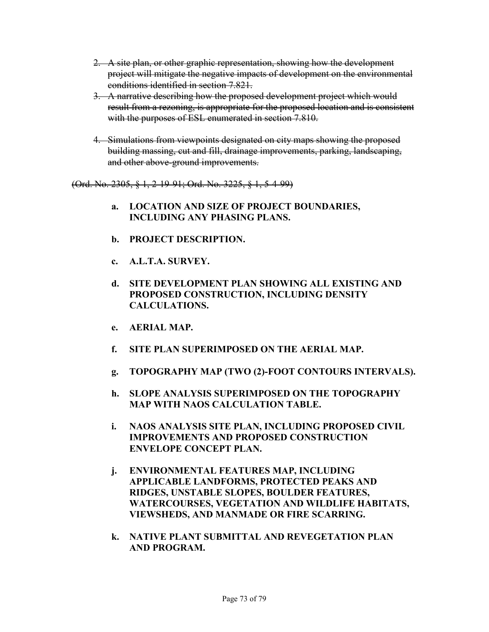- 2. A site plan, or other graphic representation, showing how the development project will mitigate the negative impacts of development on the environmental conditions identified in section 7.821.
- 3. A narrative describing how the proposed development project which would result from a rezoning, is appropriate for the proposed location and is consistent with the purposes of ESL enumerated in section 7.810.
- 4. Simulations from viewpoints designated on city maps showing the proposed building massing, cut and fill, drainage improvements, parking, landscaping, and other above-ground improvements.

(Ord. No. 2305, § 1, 2-19-91; Ord. No. 3225, § 1, 5-4-99)

- **a. LOCATION AND SIZE OF PROJECT BOUNDARIES, INCLUDING ANY PHASING PLANS.**
- **b. PROJECT DESCRIPTION.**
- **c. A.L.T.A. SURVEY.**
- **d. SITE DEVELOPMENT PLAN SHOWING ALL EXISTING AND PROPOSED CONSTRUCTION, INCLUDING DENSITY CALCULATIONS.**
- **e. AERIAL MAP.**
- **f. SITE PLAN SUPERIMPOSED ON THE AERIAL MAP.**
- **g. TOPOGRAPHY MAP (TWO (2)-FOOT CONTOURS INTERVALS).**
- **h. SLOPE ANALYSIS SUPERIMPOSED ON THE TOPOGRAPHY MAP WITH NAOS CALCULATION TABLE.**
- **i. NAOS ANALYSIS SITE PLAN, INCLUDING PROPOSED CIVIL IMPROVEMENTS AND PROPOSED CONSTRUCTION ENVELOPE CONCEPT PLAN.**
- **j. ENVIRONMENTAL FEATURES MAP, INCLUDING APPLICABLE LANDFORMS, PROTECTED PEAKS AND RIDGES, UNSTABLE SLOPES, BOULDER FEATURES, WATERCOURSES, VEGETATION AND WILDLIFE HABITATS, VIEWSHEDS, AND MANMADE OR FIRE SCARRING.**
- **k. NATIVE PLANT SUBMITTAL AND REVEGETATION PLAN AND PROGRAM.**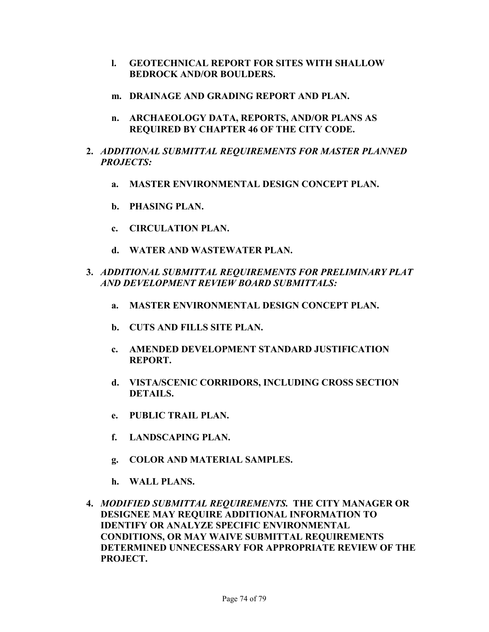- **l. GEOTECHNICAL REPORT FOR SITES WITH SHALLOW BEDROCK AND/OR BOULDERS.**
- **m. DRAINAGE AND GRADING REPORT AND PLAN.**
- **n. ARCHAEOLOGY DATA, REPORTS, AND/OR PLANS AS REQUIRED BY CHAPTER 46 OF THE CITY CODE.**
- **2.** *ADDITIONAL SUBMITTAL REQUIREMENTS FOR MASTER PLANNED PROJECTS:*
	- **a. MASTER ENVIRONMENTAL DESIGN CONCEPT PLAN.**
	- **b. PHASING PLAN.**
	- **c. CIRCULATION PLAN.**
	- **d. WATER AND WASTEWATER PLAN.**
- **3.** *ADDITIONAL SUBMITTAL REQUIREMENTS FOR PRELIMINARY PLAT AND DEVELOPMENT REVIEW BOARD SUBMITTALS:*
	- **a. MASTER ENVIRONMENTAL DESIGN CONCEPT PLAN.**
	- **b. CUTS AND FILLS SITE PLAN.**
	- **c. AMENDED DEVELOPMENT STANDARD JUSTIFICATION REPORT.**
	- **d. VISTA/SCENIC CORRIDORS, INCLUDING CROSS SECTION DETAILS.**
	- **e. PUBLIC TRAIL PLAN.**
	- **f. LANDSCAPING PLAN.**
	- **g. COLOR AND MATERIAL SAMPLES.**
	- **h. WALL PLANS.**
- **4.** *MODIFIED SUBMITTAL REQUIREMENTS.* **THE CITY MANAGER OR DESIGNEE MAY REQUIRE ADDITIONAL INFORMATION TO IDENTIFY OR ANALYZE SPECIFIC ENVIRONMENTAL CONDITIONS, OR MAY WAIVE SUBMITTAL REQUIREMENTS DETERMINED UNNECESSARY FOR APPROPRIATE REVIEW OF THE PROJECT.**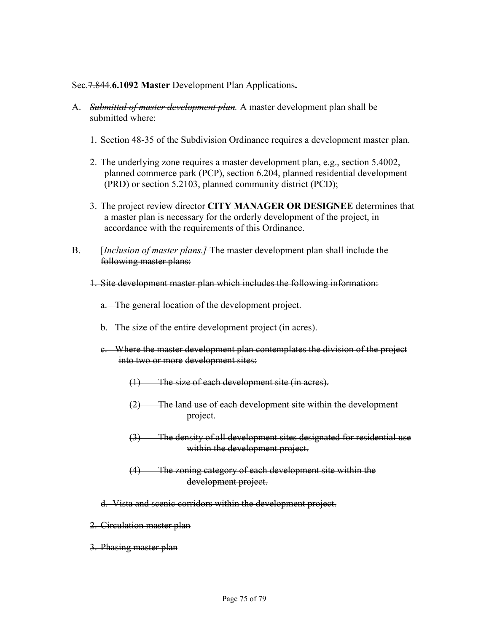## Sec.7.844.**6.1092 Master** Development Plan Applications**.**

- A. *Submittal of master development plan.* A master development plan shall be submitted where:
	- 1. Section 48-35 of the Subdivision Ordinance requires a development master plan.
	- 2. The underlying zone requires a master development plan, e.g., section 5.4002, planned commerce park (PCP), section 6.204, planned residential development (PRD) or section 5.2103, planned community district (PCD);
	- 3. The project review director **CITY MANAGER OR DESIGNEE** determines that a master plan is necessary for the orderly development of the project, in accordance with the requirements of this Ordinance.
- B. [*Inclusion of master plans.]* The master development plan shall include the following master plans:
	- 1. Site development master plan which includes the following information:
		- a. The general location of the development project.
		- b. The size of the entire development project (in acres).
		- c. Where the master development plan contemplates the division of the project into two or more development sites:
			- (1) The size of each development site (in acres).
			- (2) The land use of each development site within the development project.
			- (3) The density of all development sites designated for residential use within the development project.
			- (4) The zoning category of each development site within the development project.
		- d. Vista and scenic corridors within the development project.
	- 2. Circulation master plan
	- 3. Phasing master plan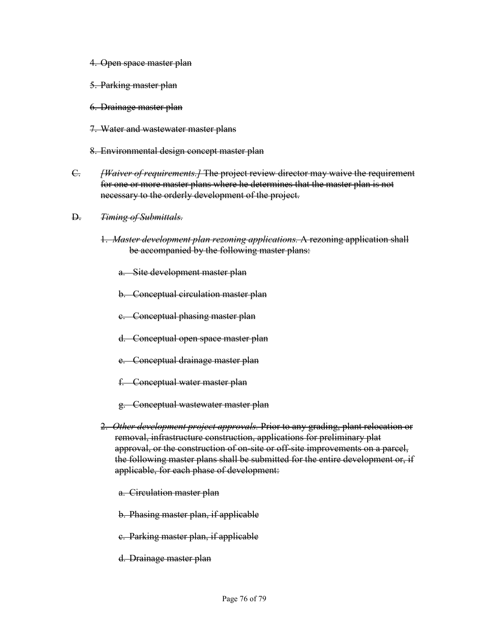- 4. Open space master plan
- 5. Parking master plan
- 6. Drainage master plan
- 7. Water and wastewater master plans
- 8. Environmental design concept master plan
- C. *[Waiver of requirements.]* The project review director may waive the requirement for one or more master plans where he determines that the master plan is not necessary to the orderly development of the project.
- D. *Timing of Submittals.*
	- 1. *Master development plan rezoning applications.* A rezoning application shall be accompanied by the following master plans:
		- a. Site development master plan
		- b. Conceptual circulation master plan
		- c. Conceptual phasing master plan
		- d. Conceptual open space master plan
		- e. Conceptual drainage master plan
		- f. Conceptual water master plan
		- g. Conceptual wastewater master plan
	- 2. *Other development project approvals.* Prior to any grading, plant relocation or removal, infrastructure construction, applications for preliminary plat approval, or the construction of on-site or off-site improvements on a parcel, the following master plans shall be submitted for the entire development or, if applicable, for each phase of development:
		- a. Circulation master plan
		- b. Phasing master plan, if applicable
		- c. Parking master plan, if applicable
		- d. Drainage master plan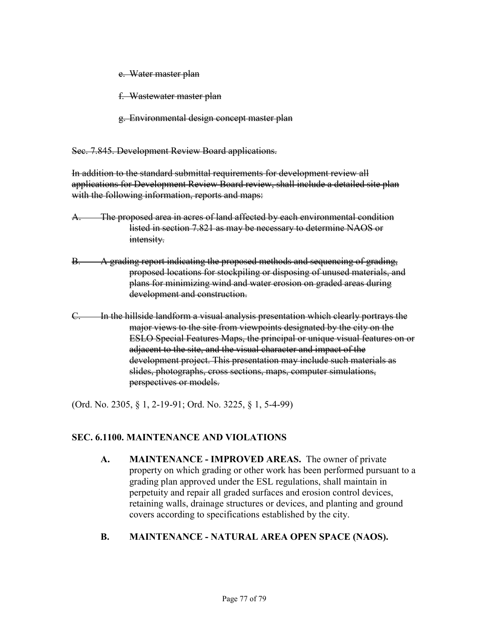e. Water master plan

f. Wastewater master plan

g. Environmental design concept master plan

Sec. 7.845. Development Review Board applications.

In addition to the standard submittal requirements for development review all applications for Development Review Board review, shall include a detailed site plan with the following information, reports and maps:

- A. The proposed area in acres of land affected by each environmental condition listed in section 7.821 as may be necessary to determine NAOS or intensity.
- B. A grading report indicating the proposed methods and sequencing of grading, proposed locations for stockpiling or disposing of unused materials, and plans for minimizing wind and water erosion on graded areas during development and construction.
- C. In the hillside landform a visual analysis presentation which clearly portrays the major views to the site from viewpoints designated by the city on the ESLO Special Features Maps, the principal or unique visual features on or adjacent to the site, and the visual character and impact of the development project. This presentation may include such materials as slides, photographs, cross sections, maps, computer simulations, perspectives or models.

(Ord. No. 2305, § 1, 2-19-91; Ord. No. 3225, § 1, 5-4-99)

## **SEC. 6.1100. MAINTENANCE AND VIOLATIONS**

**A. MAINTENANCE - IMPROVED AREAS.** The owner of private property on which grading or other work has been performed pursuant to a grading plan approved under the ESL regulations, shall maintain in perpetuity and repair all graded surfaces and erosion control devices, retaining walls, drainage structures or devices, and planting and ground covers according to specifications established by the city.

## **B. MAINTENANCE - NATURAL AREA OPEN SPACE (NAOS).**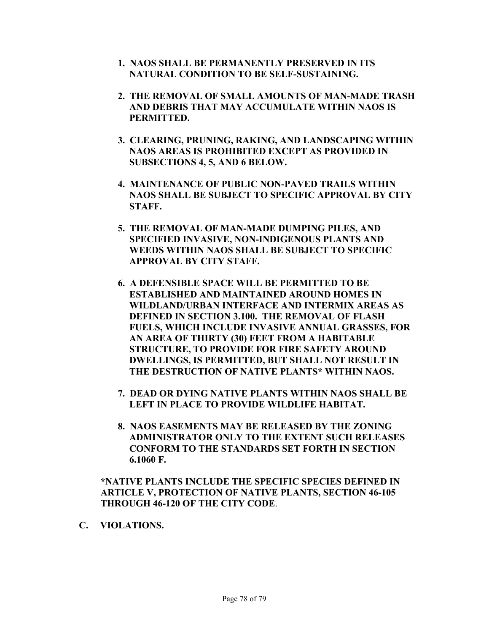- **1. NAOS SHALL BE PERMANENTLY PRESERVED IN ITS NATURAL CONDITION TO BE SELF-SUSTAINING.**
- **2. THE REMOVAL OF SMALL AMOUNTS OF MAN-MADE TRASH AND DEBRIS THAT MAY ACCUMULATE WITHIN NAOS IS PERMITTED.**
- **3. CLEARING, PRUNING, RAKING, AND LANDSCAPING WITHIN NAOS AREAS IS PROHIBITED EXCEPT AS PROVIDED IN SUBSECTIONS 4, 5, AND 6 BELOW.**
- **4. MAINTENANCE OF PUBLIC NON-PAVED TRAILS WITHIN NAOS SHALL BE SUBJECT TO SPECIFIC APPROVAL BY CITY STAFF.**
- **5. THE REMOVAL OF MAN-MADE DUMPING PILES, AND SPECIFIED INVASIVE, NON-INDIGENOUS PLANTS AND WEEDS WITHIN NAOS SHALL BE SUBJECT TO SPECIFIC APPROVAL BY CITY STAFF.**
- **6. A DEFENSIBLE SPACE WILL BE PERMITTED TO BE ESTABLISHED AND MAINTAINED AROUND HOMES IN WILDLAND/URBAN INTERFACE AND INTERMIX AREAS AS DEFINED IN SECTION 3.100. THE REMOVAL OF FLASH FUELS, WHICH INCLUDE INVASIVE ANNUAL GRASSES, FOR AN AREA OF THIRTY (30) FEET FROM A HABITABLE STRUCTURE, TO PROVIDE FOR FIRE SAFETY AROUND DWELLINGS, IS PERMITTED, BUT SHALL NOT RESULT IN THE DESTRUCTION OF NATIVE PLANTS\* WITHIN NAOS.**
- **7. DEAD OR DYING NATIVE PLANTS WITHIN NAOS SHALL BE LEFT IN PLACE TO PROVIDE WILDLIFE HABITAT.**
- **8. NAOS EASEMENTS MAY BE RELEASED BY THE ZONING ADMINISTRATOR ONLY TO THE EXTENT SUCH RELEASES CONFORM TO THE STANDARDS SET FORTH IN SECTION 6.1060 F.**

**\*NATIVE PLANTS INCLUDE THE SPECIFIC SPECIES DEFINED IN ARTICLE V, PROTECTION OF NATIVE PLANTS, SECTION 46-105 THROUGH 46-120 OF THE CITY CODE**.

**C. VIOLATIONS.**